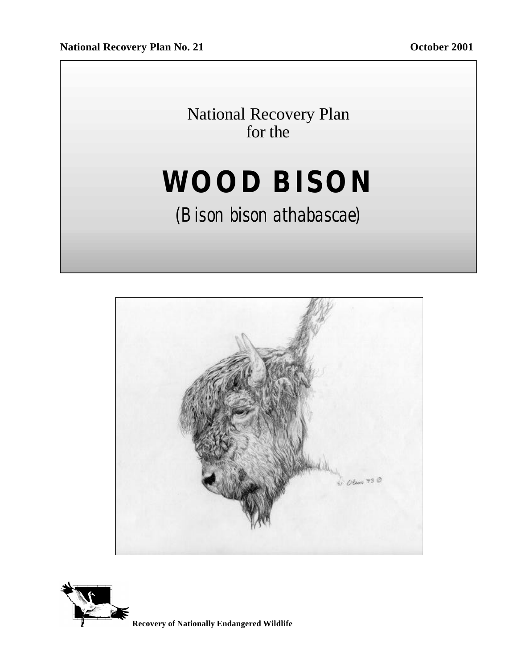National Recovery Plan for the

# **WOOD BISON**

# *(Bison bison athabascae)*



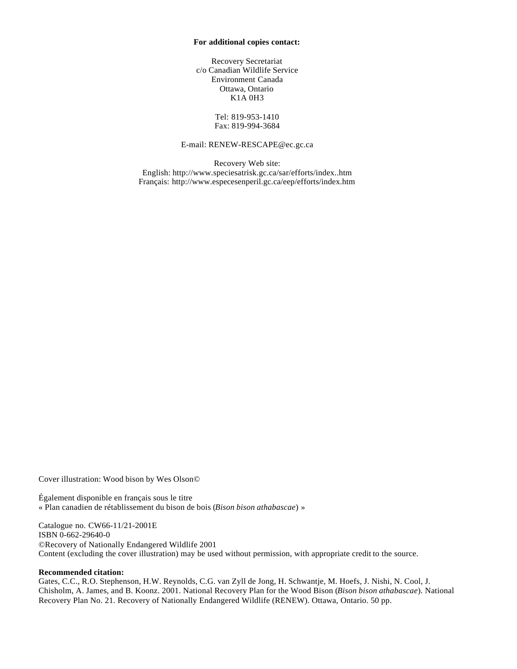#### **For additional copies contact:**

Recovery Secretariat c/o Canadian Wildlife Service Environment Canada Ottawa, Ontario K1A 0H3

> Tel: 819-953-1410 Fax: 819-994-3684

#### E-mail: RENEW-RESCAPE@ec.gc.ca

Recovery Web site: English: http://www.speciesatrisk.gc.ca/sar/efforts/index..htm Français: http://www.especesenperil.gc.ca/eep/efforts/index.htm

Cover illustration: Wood bison by Wes Olson©

Également disponible en français sous le titre « Plan canadien de rétablissement du bison de bois (*Bison bison athabascae*) »

Catalogue no. CW66-11/21-2001E ISBN 0-662-29640-0 ©Recovery of Nationally Endangered Wildlife 2001 Content (excluding the cover illustration) may be used without permission, with appropriate credit to the source.

#### **Recommended citation:**

Gates, C.C., R.O. Stephenson, H.W. Reynolds, C.G. van Zyll de Jong, H. Schwantje, M. Hoefs, J. Nishi, N. Cool, J. Chisholm, A. James, and B. Koonz. 2001. National Recovery Plan for the Wood Bison (*Bison bison athabascae*). National Recovery Plan No. 21. Recovery of Nationally Endangered Wildlife (RENEW). Ottawa, Ontario. 50 pp.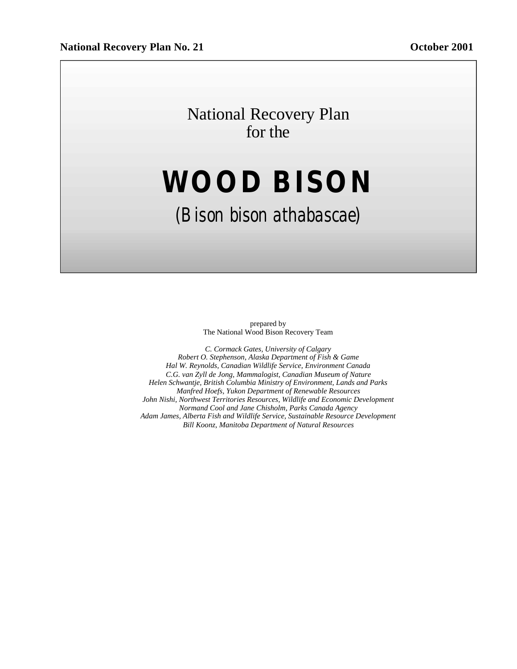# National Recovery Plan for the

# **WOOD BISON**

# *(Bison bison athabascae)*

prepared by The National Wood Bison Recovery Team

*C. Cormack Gates, University of Calgary Robert O. Stephenson, Alaska Department of Fish & Game Hal W. Reynolds, Canadian Wildlife Service, Environment Canada C.G. van Zyll de Jong, Mammalogist, Canadian Museum of Nature Helen Schwantje, British Columbia Ministry of Environment, Lands and Parks Manfred Hoefs, Yukon Department of Renewable Resources John Nishi, Northwest Territories Resources, Wildlife and Economic Development Normand Cool and Jane Chisholm, Parks Canada Agency Adam James, Alberta Fish and Wildlife Service, Sustainable Resource Development Bill Koonz, Manitoba Department of Natural Resources*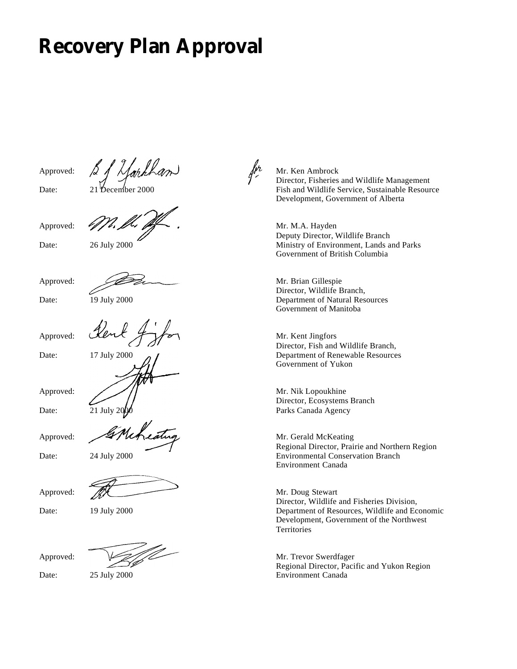# **Recovery Plan Approval**

Approved:



Date: 21 December 2000

Approved:





Approved:



Date: 19 July 2000

Date: 17 July 2000

Approved:

Approved:

Date:  $\overline{21}$  July 20

Approved:





Approved:



Date: 19 July 2000

Approved:

Date: 25 July 2000

Mr. Ken Ambrock Director, Fisheries and Wildlife Management Fish and Wildlife Service, Sustainable Resource Development, Government of Alberta

Mr. M.A. Hayden Deputy Director, Wildlife Branch Ministry of Environment, Lands and Parks Government of British Columbia

Mr. Brian Gillespie Director, Wildlife Branch, Department of Natural Resources Government of Manitoba

Mr. Kent Jingfors Director, Fish and Wildlife Branch, Department of Renewable Resources Government of Yukon

Mr. Nik Lopoukhine Director, Ecosystems Branch Parks Canada Agency

Mr. Gerald McKeating Regional Director, Prairie and Northern Region Environmental Conservation Branch Environment Canada

Mr. Doug Stewart Director, Wildlife and Fisheries Division, Department of Resources, Wildlife and Economic Development, Government of the Northwest **Territories** 

Mr. Trevor Swerdfager Regional Director, Pacific and Yukon Region Environment Canada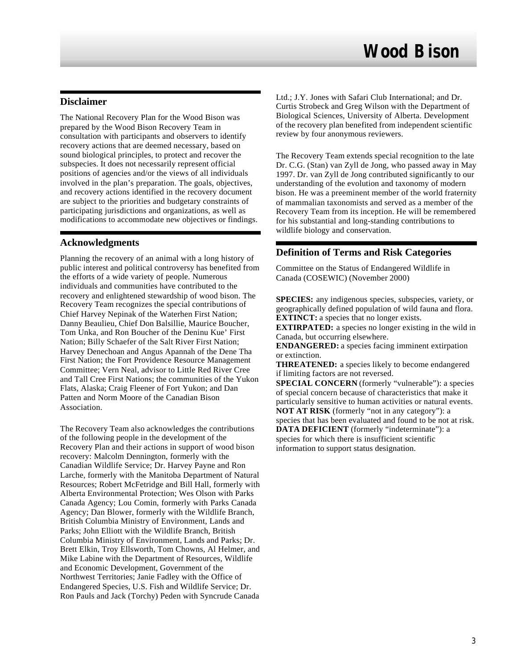### **Disclaimer**

The National Recovery Plan for the Wood Bison was prepared by the Wood Bison Recovery Team in consultation with participants and observers to identify recovery actions that are deemed necessary, based on sound biological principles, to protect and recover the subspecies. It does not necessarily represent official positions of agencies and/or the views of all individuals involved in the plan's preparation. The goals, objectives, and recovery actions identified in the recovery document are subject to the priorities and budgetary constraints of participating jurisdictions and organizations, as well as modifications to accommodate new objectives or findings.

### **Acknowledgments**

Planning the recovery of an animal with a long history of public interest and political controversy has benefited from the efforts of a wide variety of people. Numerous individuals and communities have contributed to the recovery and enlightened stewardship of wood bison. The Recovery Team recognizes the special contributions of Chief Harvey Nepinak of the Waterhen First Nation; Danny Beaulieu, Chief Don Balsillie, Maurice Boucher, Tom Unka, and Ron Boucher of the Deninu Kue' First Nation; Billy Schaefer of the Salt River First Nation; Harvey Denechoan and Angus Apannah of the Dene Tha First Nation; the Fort Providence Resource Management Committee; Vern Neal, advisor to Little Red River Cree and Tall Cree First Nations; the communities of the Yukon Flats, Alaska; Craig Fleener of Fort Yukon; and Dan Patten and Norm Moore of the Canadian Bison Association.

The Recovery Team also acknowledges the contributions of the following people in the development of the Recovery Plan and their actions in support of wood bison recovery: Malcolm Dennington, formerly with the Canadian Wildlife Service; Dr. Harvey Payne and Ron Larche, formerly with the Manitoba Department of Natural Resources; Robert McFetridge and Bill Hall, formerly with Alberta Environmental Protection; Wes Olson with Parks Canada Agency; Lou Comin, formerly with Parks Canada Agency; Dan Blower, formerly with the Wildlife Branch, British Columbia Ministry of Environment, Lands and Parks; John Elliott with the Wildlife Branch, British Columbia Ministry of Environment, Lands and Parks; Dr. Brett Elkin, Troy Ellsworth, Tom Chowns, Al Helmer, and Mike Labine with the Department of Resources, Wildlife and Economic Development, Government of the Northwest Territories; Janie Fadley with the Office of Endangered Species, U.S. Fish and Wildlife Service; Dr. Ron Pauls and Jack (Torchy) Peden with Syncrude Canada

Ltd.; J.Y. Jones with Safari Club International; and Dr. Curtis Strobeck and Greg Wilson with the Department of Biological Sciences, University of Alberta. Development of the recovery plan benefited from independent scientific review by four anonymous reviewers.

The Recovery Team extends special recognition to the late Dr. C.G. (Stan) van Zyll de Jong, who passed away in May 1997. Dr. van Zyll de Jong contributed significantly to our understanding of the evolution and taxonomy of modern bison. He was a preeminent member of the world fraternity of mammalian taxonomists and served as a member of the Recovery Team from its inception. He will be remembered for his substantial and long-standing contributions to wildlife biology and conservation.

# **Definition of Terms and Risk Categories**

Committee on the Status of Endangered Wildlife in Canada (COSEWIC) (November 2000)

**SPECIES:** any indigenous species, subspecies, variety, or geographically defined population of wild fauna and flora. **EXTINCT:** a species that no longer exists.

**EXTIRPATED:** a species no longer existing in the wild in Canada, but occurring elsewhere.

**ENDANGERED:** a species facing imminent extirpation or extinction.

**THREATENED:** a species likely to become endangered if limiting factors are not reversed.

**SPECIAL CONCERN** (formerly "vulnerable"): a species of special concern because of characteristics that make it particularly sensitive to human activities or natural events. **NOT AT RISK** (formerly "not in any category"): a species that has been evaluated and found to be not at risk. **DATA DEFICIENT** (formerly "indeterminate"): a species for which there is insufficient scientific information to support status designation.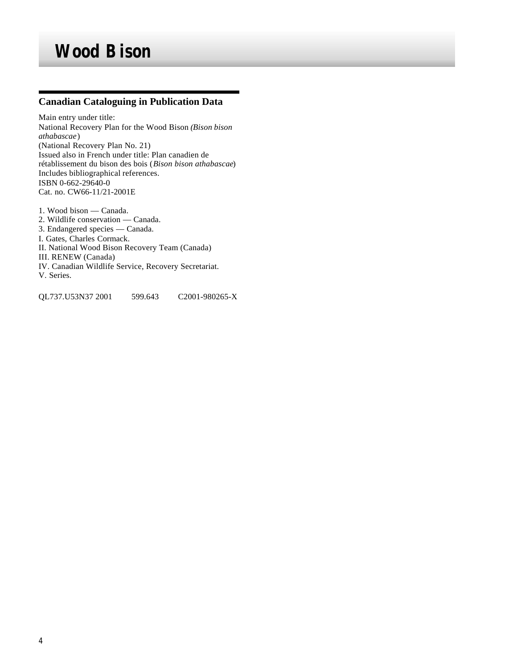# **Canadian Cataloguing in Publication Data**

Main entry under title: National Recovery Plan for the Wood Bison *(Bison bison athabascae*) (National Recovery Plan No. 21) Issued also in French under title: Plan canadien de rétablissement du bison des bois (*Bison bison athabascae*) Includes bibliographical references. ISBN 0-662-29640-0 Cat. no. CW66-11/21-2001E

1. Wood bison — Canada. 2. Wildlife conservation — Canada. 3. Endangered species — Canada. I. Gates, Charles Cormack. II. National Wood Bison Recovery Team (Canada) III. RENEW (Canada) IV. Canadian Wildlife Service, Recovery Secretariat. V. Series.

QL737.U53N37 2001 599.643 C2001-980265-X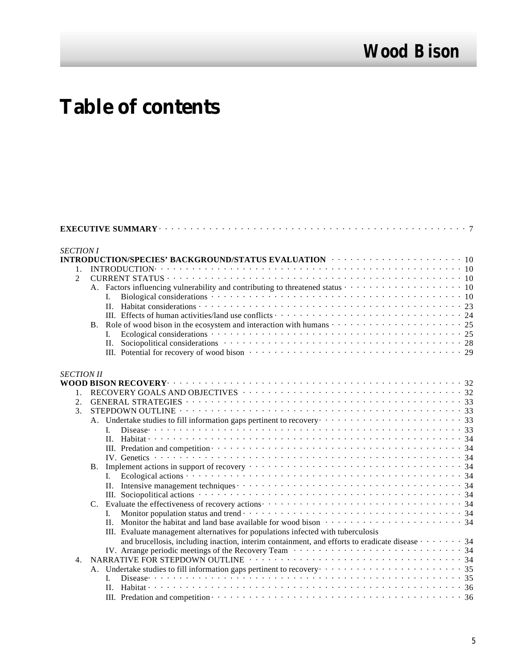# **Table of contents**

| <b>SECTION I</b>  | INTRODUCTION/SPECIES' BACKGROUND/STATUS EVALUATION And a service of the service of the 10                        |  |
|-------------------|------------------------------------------------------------------------------------------------------------------|--|
|                   |                                                                                                                  |  |
| 1.                |                                                                                                                  |  |
| $\mathfrak{D}$    |                                                                                                                  |  |
|                   |                                                                                                                  |  |
|                   |                                                                                                                  |  |
|                   |                                                                                                                  |  |
|                   |                                                                                                                  |  |
|                   |                                                                                                                  |  |
|                   | L                                                                                                                |  |
|                   |                                                                                                                  |  |
|                   |                                                                                                                  |  |
| <b>SECTION II</b> |                                                                                                                  |  |
|                   |                                                                                                                  |  |
| $1_{-}$           |                                                                                                                  |  |
| 2.                |                                                                                                                  |  |
| 3.                |                                                                                                                  |  |
|                   | A. Undertake studies to fill information gaps pertinent to recovery contract to the context of the studies of 33 |  |
|                   |                                                                                                                  |  |
|                   |                                                                                                                  |  |
|                   |                                                                                                                  |  |
|                   |                                                                                                                  |  |
|                   | <b>B.</b>                                                                                                        |  |
|                   | I.                                                                                                               |  |
|                   |                                                                                                                  |  |
|                   |                                                                                                                  |  |
|                   |                                                                                                                  |  |
|                   | L.                                                                                                               |  |
|                   |                                                                                                                  |  |
|                   | III. Evaluate management alternatives for populations infected with tuberculosis                                 |  |
|                   | and brucellosis, including inaction, interim containment, and efforts to eradicate disease $\cdots$ 34           |  |
|                   |                                                                                                                  |  |
| 4.                |                                                                                                                  |  |
|                   |                                                                                                                  |  |
|                   | L                                                                                                                |  |
|                   |                                                                                                                  |  |
|                   |                                                                                                                  |  |
|                   |                                                                                                                  |  |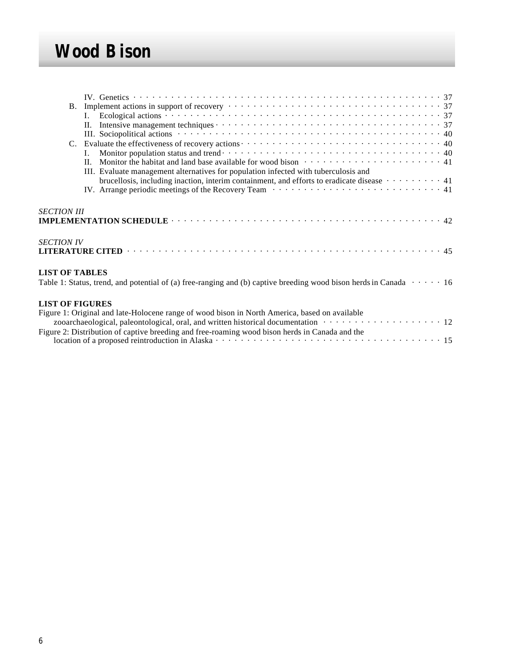|                                                                                                                                                    | B. Implement actions in support of recovery $\cdots \cdots \cdots \cdots \cdots \cdots \cdots \cdots \cdots \cdots \cdots \cdots$                                                                                                                                                                               |  |  |  |  |  |  |  |
|----------------------------------------------------------------------------------------------------------------------------------------------------|-----------------------------------------------------------------------------------------------------------------------------------------------------------------------------------------------------------------------------------------------------------------------------------------------------------------|--|--|--|--|--|--|--|
|                                                                                                                                                    | II. Monitor the habitat and land base available for wood bison $\cdots \cdots \cdots \cdots \cdots \cdots \cdots$<br>III. Evaluate management alternatives for population infected with tuberculosis and                                                                                                        |  |  |  |  |  |  |  |
|                                                                                                                                                    | brucellosis, including inaction, interim containment, and efforts to eradicate disease $\cdots \cdots \cdots 41$<br>IV. Arrange periodic meetings of the Recovery Team $\cdots \cdots \cdots \cdots \cdots \cdots \cdots \cdots \cdots 41$                                                                      |  |  |  |  |  |  |  |
| <b>SECTION III</b>                                                                                                                                 |                                                                                                                                                                                                                                                                                                                 |  |  |  |  |  |  |  |
| <b>SECTION IV</b>                                                                                                                                  |                                                                                                                                                                                                                                                                                                                 |  |  |  |  |  |  |  |
| <b>LIST OF TABLES</b><br>Table 1: Status, trend, and potential of (a) free-ranging and (b) captive breeding wood bison herds in Canada $\cdots$ 16 |                                                                                                                                                                                                                                                                                                                 |  |  |  |  |  |  |  |
| <b>LIST OF FIGURES</b>                                                                                                                             | Figure 1: Original and late-Holocene range of wood bison in North America, based on available<br>zooarchaeological, paleontological, oral, and written historical documentation vertures with the state of 12<br>Figure 2: Distribution of captive breading and free rooming wood bison berds in Canada and the |  |  |  |  |  |  |  |

| Figure 2: Distribution of captive breeding and free-roaming wood bison herds in Canada and the |  |
|------------------------------------------------------------------------------------------------|--|
|                                                                                                |  |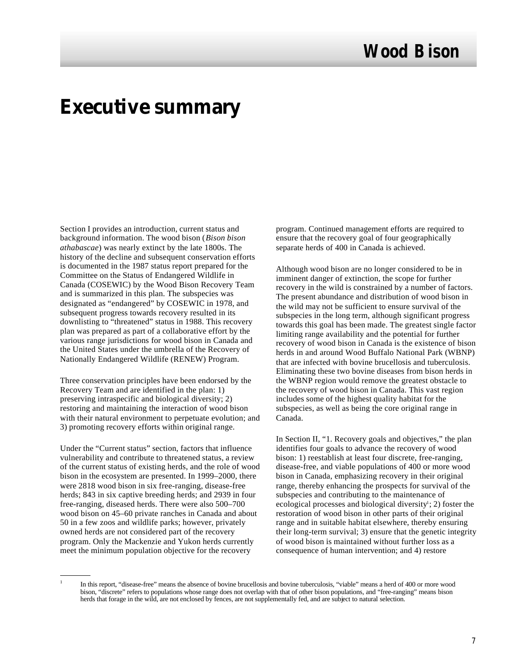# **Executive summary**

Section I provides an introduction, current status and background information. The wood bison (*Bison bison athabascae*) was nearly extinct by the late 1800s. The history of the decline and subsequent conservation efforts is documented in the 1987 status report prepared for the Committee on the Status of Endangered Wildlife in Canada (COSEWIC) by the Wood Bison Recovery Team and is summarized in this plan. The subspecies was designated as "endangered" by COSEWIC in 1978, and subsequent progress towards recovery resulted in its downlisting to "threatened" status in 1988. This recovery plan was prepared as part of a collaborative effort by the various range jurisdictions for wood bison in Canada and the United States under the umbrella of the Recovery of Nationally Endangered Wildlife (RENEW) Program.

Three conservation principles have been endorsed by the Recovery Team and are identified in the plan: 1) preserving intraspecific and biological diversity; 2) restoring and maintaining the interaction of wood bison with their natural environment to perpetuate evolution; and 3) promoting recovery efforts within original range.

Under the "Current status" section, factors that influence vulnerability and contribute to threatened status, a review of the current status of existing herds, and the role of wood bison in the ecosystem are presented. In 1999–2000, there were 2818 wood bison in six free-ranging, disease-free herds; 843 in six captive breeding herds; and 2939 in four free-ranging, diseased herds. There were also 500–700 wood bison on 45–60 private ranches in Canada and about 50 in a few zoos and wildlife parks; however, privately owned herds are not considered part of the recovery program. Only the Mackenzie and Yukon herds currently meet the minimum population objective for the recovery

program. Continued management efforts are required to ensure that the recovery goal of four geographically separate herds of 400 in Canada is achieved.

Although wood bison are no longer considered to be in imminent danger of extinction, the scope for further recovery in the wild is constrained by a number of factors. The present abundance and distribution of wood bison in the wild may not be sufficient to ensure survival of the subspecies in the long term, although significant progress towards this goal has been made. The greatest single factor limiting range availability and the potential for further recovery of wood bison in Canada is the existence of bison herds in and around Wood Buffalo National Park (WBNP) that are infected with bovine brucellosis and tuberculosis. Eliminating these two bovine diseases from bison herds in the WBNP region would remove the greatest obstacle to the recovery of wood bison in Canada. This vast region includes some of the highest quality habitat for the subspecies, as well as being the core original range in Canada.

In Section II, "1. Recovery goals and objectives," the plan identifies four goals to advance the recovery of wood bison: 1) reestablish at least four discrete, free-ranging, disease-free, and viable populations of 400 or more wood bison in Canada, emphasizing recovery in their original range, thereby enhancing the prospects for survival of the subspecies and contributing to the maintenance of ecological processes and biological diversity<sup>1</sup>; 2) foster the restoration of wood bison in other parts of their original range and in suitable habitat elsewhere, thereby ensuring their long-term survival; 3) ensure that the genetic integrity of wood bison is maintained without further loss as a consequence of human intervention; and 4) restore

<sup>1</sup>

In this report, "disease-free" means the absence of bovine brucellosis and bovine tuberculosis, "viable" means a herd of 400 or more wood bison, "discrete" refers to populations whose range does not overlap with that of other bison populations, and "free-ranging" means bison herds that forage in the wild, are not enclosed by fences, are not supplementally fed, and are subject to natural selection.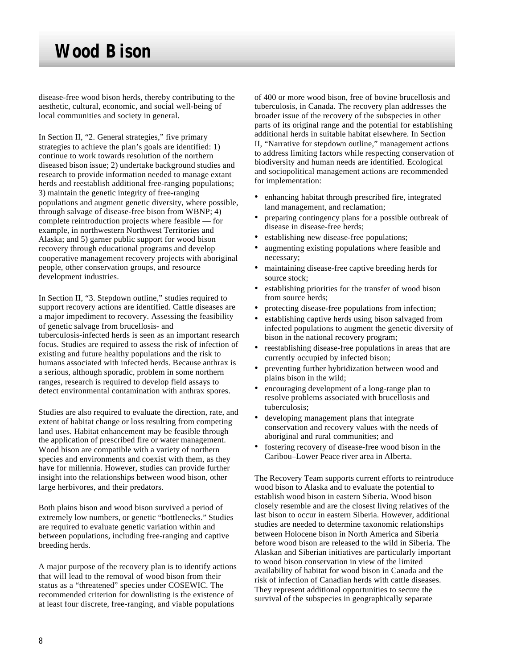disease-free wood bison herds, thereby contributing to the aesthetic, cultural, economic, and social well-being of local communities and society in general.

In Section II, "2. General strategies," five primary strategies to achieve the plan's goals are identified: 1) continue to work towards resolution of the northern diseased bison issue; 2) undertake background studies and research to provide information needed to manage extant herds and reestablish additional free-ranging populations; 3) maintain the genetic integrity of free-ranging populations and augment genetic diversity, where possible, through salvage of disease-free bison from WBNP; 4) complete reintroduction projects where feasible — for example, in northwestern Northwest Territories and Alaska; and 5) garner public support for wood bison recovery through educational programs and develop cooperative management recovery projects with aboriginal people, other conservation groups, and resource development industries.

In Section II, "3. Stepdown outline," studies required to support recovery actions are identified. Cattle diseases are a major impediment to recovery. Assessing the feasibility of genetic salvage from brucellosis- and tuberculosis-infected herds is seen as an important research focus. Studies are required to assess the risk of infection of existing and future healthy populations and the risk to humans associated with infected herds. Because anthrax is a serious, although sporadic, problem in some northern ranges, research is required to develop field assays to detect environmental contamination with anthrax spores.

Studies are also required to evaluate the direction, rate, and extent of habitat change or loss resulting from competing land uses. Habitat enhancement may be feasible through the application of prescribed fire or water management. Wood bison are compatible with a variety of northern species and environments and coexist with them, as they have for millennia. However, studies can provide further insight into the relationships between wood bison, other large herbivores, and their predators.

Both plains bison and wood bison survived a period of extremely low numbers, or genetic "bottlenecks." Studies are required to evaluate genetic variation within and between populations, including free-ranging and captive breeding herds.

A major purpose of the recovery plan is to identify actions that will lead to the removal of wood bison from their status as a "threatened" species under COSEWIC. The recommended criterion for downlisting is the existence of at least four discrete, free-ranging, and viable populations

of 400 or more wood bison, free of bovine brucellosis and tuberculosis, in Canada. The recovery plan addresses the broader issue of the recovery of the subspecies in other parts of its original range and the potential for establishing additional herds in suitable habitat elsewhere. In Section II, "Narrative for stepdown outline," management actions to address limiting factors while respecting conservation of biodiversity and human needs are identified. Ecological and sociopolitical management actions are recommended for implementation:

- enhancing habitat through prescribed fire, integrated land management, and reclamation;
- preparing contingency plans for a possible outbreak of disease in disease-free herds;
- establishing new disease-free populations;
- augmenting existing populations where feasible and necessary;
- maintaining disease-free captive breeding herds for source stock;
- establishing priorities for the transfer of wood bison from source herds;
- protecting disease-free populations from infection;
- establishing captive herds using bison salvaged from infected populations to augment the genetic diversity of bison in the national recovery program;
- reestablishing disease-free populations in areas that are currently occupied by infected bison;
- preventing further hybridization between wood and plains bison in the wild;
- encouraging development of a long-range plan to resolve problems associated with brucellosis and tuberculosis;
- developing management plans that integrate conservation and recovery values with the needs of aboriginal and rural communities; and
- fostering recovery of disease-free wood bison in the Caribou–Lower Peace river area in Alberta.

The Recovery Team supports current efforts to reintroduce wood bison to Alaska and to evaluate the potential to establish wood bison in eastern Siberia. Wood bison closely resemble and are the closest living relatives of the last bison to occur in eastern Siberia. However, additional studies are needed to determine taxonomic relationships between Holocene bison in North America and Siberia before wood bison are released to the wild in Siberia. The Alaskan and Siberian initiatives are particularly important to wood bison conservation in view of the limited availability of habitat for wood bison in Canada and the risk of infection of Canadian herds with cattle diseases. They represent additional opportunities to secure the survival of the subspecies in geographically separate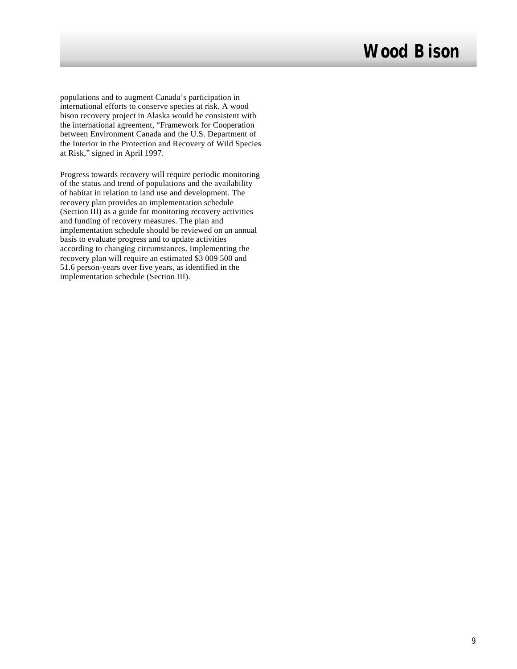populations and to augment Canada's participation in international efforts to conserve species at risk. A wood bison recovery project in Alaska would be consistent with the international agreement, "Framework for Cooperation between Environment Canada and the U.S. Department of the Interior in the Protection and Recovery of Wild Species at Risk," signed in April 1997.

Progress towards recovery will require periodic monitoring of the status and trend of populations and the availability of habitat in relation to land use and development. The recovery plan provides an implementation schedule (Section III) as a guide for monitoring recovery activities and funding of recovery measures. The plan and implementation schedule should be reviewed on an annual basis to evaluate progress and to update activities according to changing circumstances. Implementing the recovery plan will require an estimated \$3 009 500 and 51.6 person-years over five years, as identified in the implementation schedule (Section III).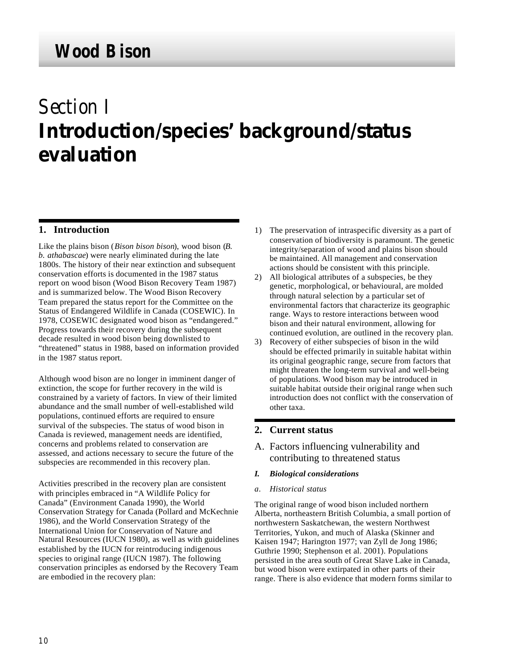# *Section I* **Introduction/species' background/status evaluation**

# **1. Introduction**

Like the plains bison (*Bison bison bison*), wood bison (*B. b. athabascae*) were nearly eliminated during the late 1800s. The history of their near extinction and subsequent conservation efforts is documented in the 1987 status report on wood bison (Wood Bison Recovery Team 1987) and is summarized below. The Wood Bison Recovery Team prepared the status report for the Committee on the Status of Endangered Wildlife in Canada (COSEWIC). In 1978, COSEWIC designated wood bison as "endangered." Progress towards their recovery during the subsequent decade resulted in wood bison being downlisted to "threatened" status in 1988, based on information provided in the 1987 status report.

Although wood bison are no longer in imminent danger of extinction, the scope for further recovery in the wild is constrained by a variety of factors. In view of their limited abundance and the small number of well-established wild populations, continued efforts are required to ensure survival of the subspecies. The status of wood bison in Canada is reviewed, management needs are identified, concerns and problems related to conservation are assessed, and actions necessary to secure the future of the subspecies are recommended in this recovery plan.

Activities prescribed in the recovery plan are consistent with principles embraced in "A Wildlife Policy for Canada" (Environment Canada 1990), the World Conservation Strategy for Canada (Pollard and McKechnie 1986), and the World Conservation Strategy of the International Union for Conservation of Nature and Natural Resources (IUCN 1980), as well as with guidelines established by the IUCN for reintroducing indigenous species to original range (IUCN 1987). The following conservation principles as endorsed by the Recovery Team are embodied in the recovery plan:

- 1) The preservation of intraspecific diversity as a part of conservation of biodiversity is paramount. The genetic integrity/separation of wood and plains bison should be maintained. All management and conservation actions should be consistent with this principle.
- 2) All biological attributes of a subspecies, be they genetic, morphological, or behavioural, are molded through natural selection by a particular set of environmental factors that characterize its geographic range. Ways to restore interactions between wood bison and their natural environment, allowing for continued evolution, are outlined in the recovery plan.
- 3) Recovery of either subspecies of bison in the wild should be effected primarily in suitable habitat within its original geographic range, secure from factors that might threaten the long-term survival and well-being of populations. Wood bison may be introduced in suitable habitat outside their original range when such introduction does not conflict with the conservation of other taxa.

## **2. Current status**

- A. Factors influencing vulnerability and contributing to threatened status
- *I. Biological considerations*
- *a. Historical status*

The original range of wood bison included northern Alberta, northeastern British Columbia, a small portion of northwestern Saskatchewan, the western Northwest Territories, Yukon, and much of Alaska (Skinner and Kaisen 1947; Harington 1977; van Zyll de Jong 1986; Guthrie 1990; Stephenson et al. 2001). Populations persisted in the area south of Great Slave Lake in Canada, but wood bison were extirpated in other parts of their range. There is also evidence that modern forms similar to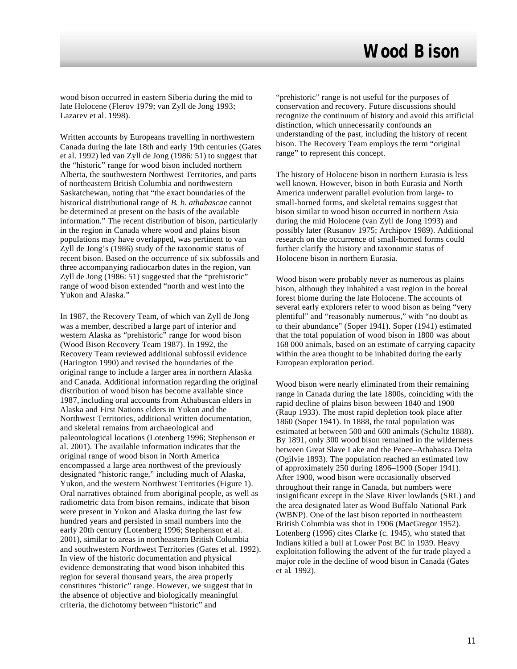wood bison occurred in eastern Siberia during the mid to late Holocene (Flerov 1979; van Zyll de Jong 1993; Lazarev et al. 1998).

Written accounts by Europeans travelling in northwestern Canada during the late 18th and early 19th centuries (Gates et al. 1992) led van Zyll de Jong (1986: 51) to suggest that the "historic" range for wood bison included northern Alberta, the southwestern Northwest Territories, and parts of northeastern British Columbia and northwestern Saskatchewan, noting that "the exact boundaries of the historical distributional range of *B. b. athabascae* cannot be determined at present on the basis of the available information." The recent distribution of bison, particularly in the region in Canada where wood and plains bison populations may have overlapped, was pertinent to van Zyll de Jong's (1986) study of the taxonomic status of recent bison. Based on the occurrence of six subfossils and three accompanying radiocarbon dates in the region, van Zyll de Jong (1986: 51) suggested that the "prehistoric" range of wood bison extended "north and west into the Yukon and Alaska."

In 1987, the Recovery Team, of which van Zyll de Jong was a member, described a large part of interior and western Alaska as "prehistoric" range for wood bison (Wood Bison Recovery Team 1987). In 1992, the Recovery Team reviewed additional subfossil evidence (Harington 1990) and revised the boundaries of the original range to include a larger area in northern Alaska and Canada. Additional information regarding the original distribution of wood bison has become available since 1987, including oral accounts from Athabascan elders in Alaska and First Nations elders in Yukon and the Northwest Territories, additional written documentation, and skeletal remains from archaeological and paleontological locations (Lotenberg 1996; Stephenson et al. 2001). The available information indicates that the original range of wood bison in North America encompassed a large area northwest of the previously designated "historic range," including much of Alaska, Yukon, and the western Northwest Territories (Figure 1). Oral narratives obtained from aboriginal people, as well as radiometric data from bison remains, indicate that bison were present in Yukon and Alaska during the last few hundred years and persisted in small numbers into the early 20th century (Lotenberg 1996; Stephenson et al. 2001), similar to areas in northeastern British Columbia and southwestern Northwest Territories (Gates et al. 1992). In view of the historic documentation and physical evidence demonstrating that wood bison inhabited this region for several thousand years, the area properly constitutes "historic" range. However, we suggest that in the absence of objective and biologically meaningful criteria, the dichotomy between "historic" and

"prehistoric" range is not useful for the purposes of conservation and recovery. Future discussions should recognize the continuum of history and avoid this artificial distinction, which unnecessarily confounds an understanding of the past, including the history of recent bison. The Recovery Team employs the term "original range" to represent this concept.

The history of Holocene bison in northern Eurasia is less well known. However, bison in both Eurasia and North America underwent parallel evolution from large- to small-horned forms, and skeletal remains suggest that bison similar to wood bison occurred in northern Asia during the mid Holocene (van Zyll de Jong 1993) and possibly later (Rusanov 1975; Archipov 1989). Additional research on the occurrence of small-horned forms could further clarify the history and taxonomic status of Holocene bison in northern Eurasia.

Wood bison were probably never as numerous as plains bison, although they inhabited a vast region in the boreal forest biome during the late Holocene. The accounts of several early explorers refer to wood bison as being "very plentiful" and "reasonably numerous," with "no doubt as to their abundance" (Soper 1941). Soper (1941) estimated that the total population of wood bison in 1800 was about 168 000 animals, based on an estimate of carrying capacity within the area thought to be inhabited during the early European exploration period.

Wood bison were nearly eliminated from their remaining range in Canada during the late 1800s, coinciding with the rapid decline of plains bison between 1840 and 1900 (Raup 1933). The most rapid depletion took place after 1860 (Soper 1941). In 1888, the total population was estimated at between 500 and 600 animals (Schultz 1888). By 1891, only 300 wood bison remained in the wilderness between Great Slave Lake and the Peace–Athabasca Delta (Ogilvie 1893). The population reached an estimated low of approximately 250 during 1896–1900 (Soper 1941). After 1900, wood bison were occasionally observed throughout their range in Canada, but numbers were insignificant except in the Slave River lowlands (SRL) and the area designated later as Wood Buffalo National Park (WBNP). One of the last bison reported in northeastern British Columbia was shot in 1906 (MacGregor 1952). Lotenberg (1996) cites Clarke (c. 1945), who stated that Indians killed a bull at Lower Post BC in 1939. Heavy exploitation following the advent of the fur trade played a major role in the decline of wood bison in Canada (Gates et al*.* 1992).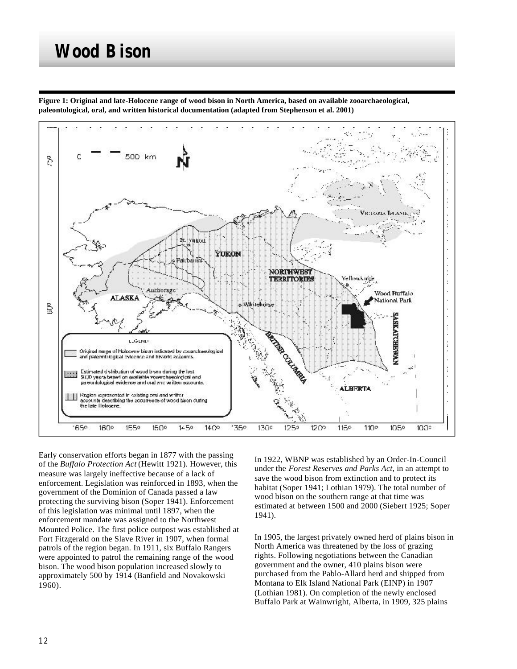

**Figure 1: Original and late-Holocene range of wood bison in North America, based on available zooarchaeological, paleontological, oral, and written historical documentation (adapted from Stephenson et al. 2001)**

Early conservation efforts began in 1877 with the passing of the *Buffalo Protection Act* (Hewitt 1921). However, this measure was largely ineffective because of a lack of enforcement. Legislation was reinforced in 1893, when the government of the Dominion of Canada passed a law protecting the surviving bison (Soper 1941). Enforcement of this legislation was minimal until 1897, when the enforcement mandate was assigned to the Northwest Mounted Police. The first police outpost was established at Fort Fitzgerald on the Slave River in 1907, when formal patrols of the region began. In 1911, six Buffalo Rangers were appointed to patrol the remaining range of the wood bison. The wood bison population increased slowly to approximately 500 by 1914 (Banfield and Novakowski 1960).

In 1922, WBNP was established by an Order-In-Council under the *Forest Reserves and Parks Act*, in an attempt to save the wood bison from extinction and to protect its habitat (Soper 1941; Lothian 1979). The total number of wood bison on the southern range at that time was estimated at between 1500 and 2000 (Siebert 1925; Soper 1941).

In 1905, the largest privately owned herd of plains bison in North America was threatened by the loss of grazing rights. Following negotiations between the Canadian government and the owner, 410 plains bison were purchased from the Pablo-Allard herd and shipped from Montana to Elk Island National Park (EINP) in 1907 (Lothian 1981). On completion of the newly enclosed Buffalo Park at Wainwright, Alberta, in 1909, 325 plains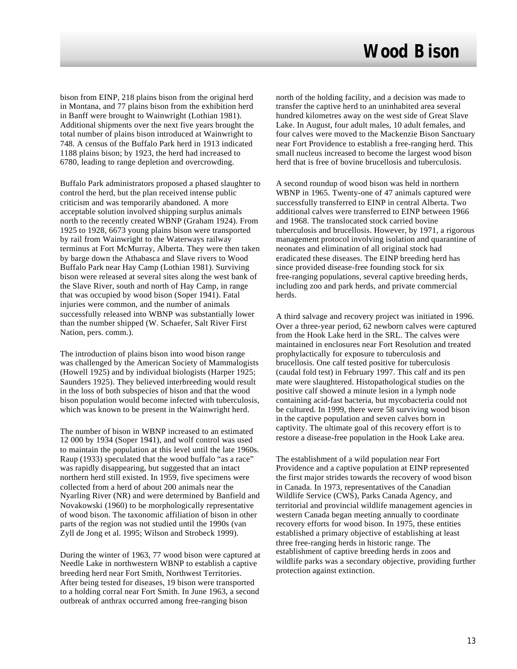bison from EINP, 218 plains bison from the original herd in Montana, and 77 plains bison from the exhibition herd in Banff were brought to Wainwright (Lothian 1981). Additional shipments over the next five years brought the total number of plains bison introduced at Wainwright to 748. A census of the Buffalo Park herd in 1913 indicated 1188 plains bison; by 1923, the herd had increased to 6780, leading to range depletion and overcrowding.

Buffalo Park administrators proposed a phased slaughter to control the herd, but the plan received intense public criticism and was temporarily abandoned. A more acceptable solution involved shipping surplus animals north to the recently created WBNP (Graham 1924). From 1925 to 1928, 6673 young plains bison were transported by rail from Wainwright to the Waterways railway terminus at Fort McMurray, Alberta. They were then taken by barge down the Athabasca and Slave rivers to Wood Buffalo Park near Hay Camp (Lothian 1981). Surviving bison were released at several sites along the west bank of the Slave River, south and north of Hay Camp, in range that was occupied by wood bison (Soper 1941). Fatal injuries were common, and the number of animals successfully released into WBNP was substantially lower than the number shipped (W. Schaefer, Salt River First Nation, pers. comm.).

The introduction of plains bison into wood bison range was challenged by the American Society of Mammalogists (Howell 1925) and by individual biologists (Harper 1925; Saunders 1925). They believed interbreeding would result in the loss of both subspecies of bison and that the wood bison population would become infected with tuberculosis, which was known to be present in the Wainwright herd.

The number of bison in WBNP increased to an estimated 12 000 by 1934 (Soper 1941), and wolf control was used to maintain the population at this level until the late 1960s. Raup (1933) speculated that the wood buffalo "as a race" was rapidly disappearing, but suggested that an intact northern herd still existed. In 1959, five specimens were collected from a herd of about 200 animals near the Nyarling River (NR) and were determined by Banfield and Novakowski (1960) to be morphologically representative of wood bison. The taxonomic affiliation of bison in other parts of the region was not studied until the 1990s (van Zyll de Jong et al*.* 1995; Wilson and Strobeck 1999).

During the winter of 1963, 77 wood bison were captured at Needle Lake in northwestern WBNP to establish a captive breeding herd near Fort Smith, Northwest Territories. After being tested for diseases, 19 bison were transported to a holding corral near Fort Smith. In June 1963, a second outbreak of anthrax occurred among free-ranging bison

north of the holding facility, and a decision was made to transfer the captive herd to an uninhabited area several hundred kilometres away on the west side of Great Slave Lake. In August, four adult males, 10 adult females, and four calves were moved to the Mackenzie Bison Sanctuary near Fort Providence to establish a free-ranging herd. This small nucleus increased to become the largest wood bison herd that is free of bovine brucellosis and tuberculosis.

A second roundup of wood bison was held in northern WBNP in 1965. Twenty-one of 47 animals captured were successfully transferred to EINP in central Alberta. Two additional calves were transferred to EINP between 1966 and 1968. The translocated stock carried bovine tuberculosis and brucellosis. However, by 1971, a rigorous management protocol involving isolation and quarantine of neonates and elimination of all original stock had eradicated these diseases. The EINP breeding herd has since provided disease-free founding stock for six free-ranging populations, several captive breeding herds, including zoo and park herds, and private commercial herds.

A third salvage and recovery project was initiated in 1996. Over a three-year period, 62 newborn calves were captured from the Hook Lake herd in the SRL. The calves were maintained in enclosures near Fort Resolution and treated prophylactically for exposure to tuberculosis and brucellosis. One calf tested positive for tuberculosis (caudal fold test) in February 1997. This calf and its pen mate were slaughtered. Histopathological studies on the positive calf showed a minute lesion in a lymph node containing acid-fast bacteria, but mycobacteria could not be cultured. In 1999, there were 58 surviving wood bison in the captive population and seven calves born in captivity. The ultimate goal of this recovery effort is to restore a disease-free population in the Hook Lake area.

The establishment of a wild population near Fort Providence and a captive population at EINP represented the first major strides towards the recovery of wood bison in Canada. In 1973, representatives of the Canadian Wildlife Service (CWS), Parks Canada Agency, and territorial and provincial wildlife management agencies in western Canada began meeting annually to coordinate recovery efforts for wood bison. In 1975, these entities established a primary objective of establishing at least three free-ranging herds in historic range. The establishment of captive breeding herds in zoos and wildlife parks was a secondary objective, providing further protection against extinction.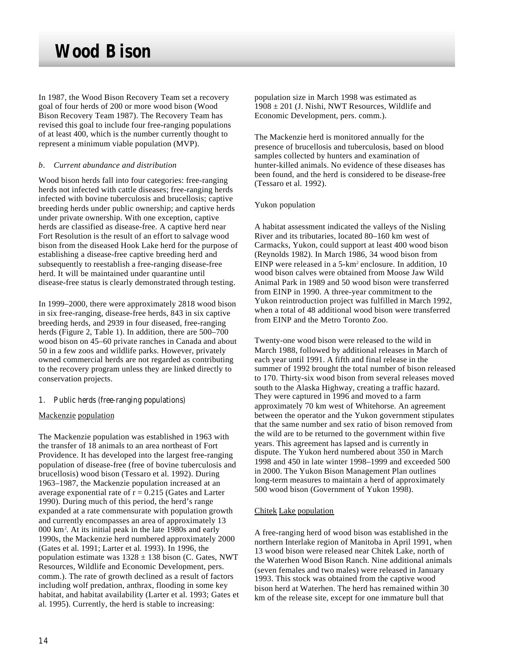In 1987, the Wood Bison Recovery Team set a recovery goal of four herds of 200 or more wood bison (Wood Bison Recovery Team 1987). The Recovery Team has revised this goal to include four free-ranging populations of at least 400, which is the number currently thought to represent a minimum viable population (MVP).

### *b. Current abundance and distribution*

Wood bison herds fall into four categories: free-ranging herds not infected with cattle diseases; free-ranging herds infected with bovine tuberculosis and brucellosis; captive breeding herds under public ownership; and captive herds under private ownership. With one exception, captive herds are classified as disease-free. A captive herd near Fort Resolution is the result of an effort to salvage wood bison from the diseased Hook Lake herd for the purpose of establishing a disease-free captive breeding herd and subsequently to reestablish a free-ranging disease-free herd. It will be maintained under quarantine until disease-free status is clearly demonstrated through testing.

In 1999–2000, there were approximately 2818 wood bison in six free-ranging, disease-free herds, 843 in six captive breeding herds, and 2939 in four diseased, free-ranging herds (Figure 2, Table 1). In addition, there are  $500-700$ wood bison on 45–60 private ranches in Canada and about 50 in a few zoos and wildlife parks. However, privately owned commercial herds are not regarded as contributing to the recovery program unless they are linked directly to conservation projects.

### 1. Public herds (free-ranging populations)

#### Mackenzie population

The Mackenzie population was established in 1963 with the transfer of 18 animals to an area northeast of Fort Providence. It has developed into the largest free-ranging population of disease-free (free of bovine tuberculosis and brucellosis) wood bison (Tessaro et al*.* 1992). During 1963–1987, the Mackenzie population increased at an average exponential rate of  $r = 0.215$  (Gates and Larter 1990). During much of this period, the herd's range expanded at a rate commensurate with population growth and currently encompasses an area of approximately 13 000 km<sup>2</sup> . At its initial peak in the late 1980s and early 1990s, the Mackenzie herd numbered approximately 2000 (Gates et al*.* 1991; Larter et al*.* 1993). In 1996, the population estimate was  $1328 \pm 138$  bison (C. Gates, NWT Resources, Wildlife and Economic Development, pers. comm.). The rate of growth declined as a result of factors including wolf predation, anthrax, flooding in some key habitat, and habitat availability (Larter et al*.* 1993; Gates et al*.* 1995). Currently, the herd is stable to increasing:

population size in March 1998 was estimated as  $1908 \pm 201$  (J. Nishi, NWT Resources, Wildlife and Economic Development, pers. comm.).

The Mackenzie herd is monitored annually for the presence of brucellosis and tuberculosis, based on blood samples collected by hunters and examination of hunter-killed animals. No evidence of these diseases has been found, and the herd is considered to be disease-free (Tessaro et al*.* 1992).

#### Yukon population

A habitat assessment indicated the valleys of the Nisling River and its tributaries, located 80–160 km west of Carmacks, Yukon, could support at least 400 wood bison (Reynolds 1982). In March 1986, 34 wood bison from EINP were released in a 5-km<sup>2</sup> enclosure. In addition, 10 wood bison calves were obtained from Moose Jaw Wild Animal Park in 1989 and 50 wood bison were transferred from EINP in 1990. A three-year commitment to the Yukon reintroduction project was fulfilled in March 1992, when a total of 48 additional wood bison were transferred from EINP and the Metro Toronto Zoo.

Twenty-one wood bison were released to the wild in March 1988, followed by additional releases in March of each year until 1991. A fifth and final release in the summer of 1992 brought the total number of bison released to 170. Thirty-six wood bison from several releases moved south to the Alaska Highway, creating a traffic hazard. They were captured in 1996 and moved to a farm approximately 70 km west of Whitehorse. An agreement between the operator and the Yukon government stipulates that the same number and sex ratio of bison removed from the wild are to be returned to the government within five years. This agreement has lapsed and is currently in dispute. The Yukon herd numbered about 350 in March 1998 and 450 in late winter 1998–1999 and exceeded 500 in 2000. The Yukon Bison Management Plan outlines long-term measures to maintain a herd of approximately 500 wood bison (Government of Yukon 1998).

### Chitek Lake population

A free-ranging herd of wood bison was established in the northern Interlake region of Manitoba in April 1991, when 13 wood bison were released near Chitek Lake, north of the Waterhen Wood Bison Ranch. Nine additional animals (seven females and two males) were released in January 1993. This stock was obtained from the captive wood bison herd at Waterhen. The herd has remained within 30 km of the release site, except for one immature bull that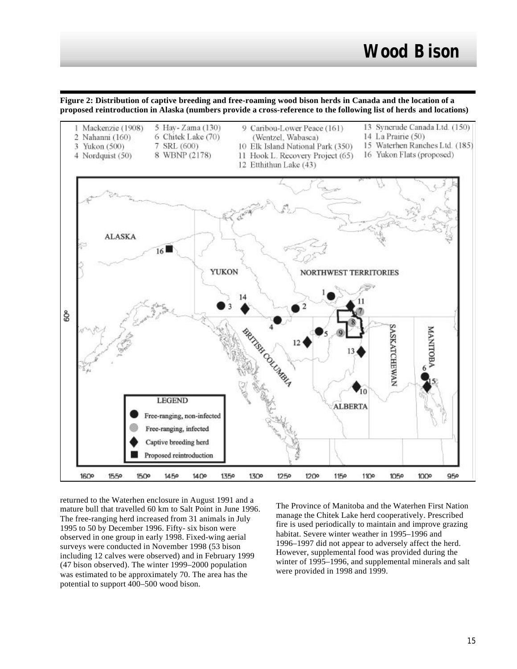**Figure 2: Distribution of captive breeding and free-roaming wood bison herds in Canada and the location of a proposed reintroduction in Alaska (numbers provide a cross-reference to the following list of herds and locations)**



returned to the Waterhen enclosure in August 1991 and a mature bull that travelled 60 km to Salt Point in June 1996. The free-ranging herd increased from 31 animals in July 1995 to 50 by December 1996. Fifty- six bison were observed in one group in early 1998. Fixed-wing aerial surveys were conducted in November 1998 (53 bison including 12 calves were observed) and in February 1999 (47 bison observed). The winter 1999–2000 population was estimated to be approximately 70. The area has the potential to support 400–500 wood bison.

The Province of Manitoba and the Waterhen First Nation manage the Chitek Lake herd cooperatively. Prescribed fire is used periodically to maintain and improve grazing habitat. Severe winter weather in 1995–1996 and 1996–1997 did not appear to adversely affect the herd. However, supplemental food was provided during the winter of 1995–1996, and supplemental minerals and salt were provided in 1998 and 1999.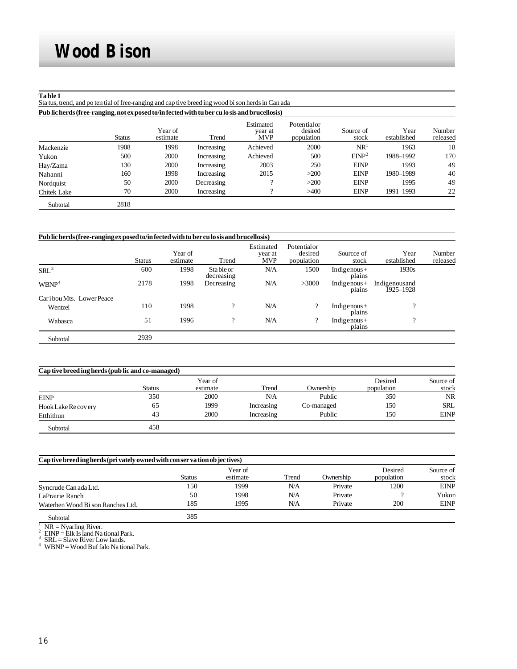#### **Ta ble 1**

Sta tus, trend, and po ten tial of free-ranging and cap tive breed ing wood bi son herds in Can ada

| Pub lic herds (free-ranging, not ex posed to/in fected with tu ber cu lo sis and brucellosis) |               |                     |            |                                    |                                      |                    |                     |                           |
|-----------------------------------------------------------------------------------------------|---------------|---------------------|------------|------------------------------------|--------------------------------------|--------------------|---------------------|---------------------------|
|                                                                                               | <b>Status</b> | Year of<br>estimate | Trend      | Estimated<br>year at<br><b>MVP</b> | Potentialor<br>desired<br>population | Source of<br>stock | Year<br>established | <b>Number</b><br>released |
| Mackenzie                                                                                     | 1908          | 1998                | Increasing | Achieved                           | 2000                                 | NR <sup>1</sup>    | 1963                | 18                        |
| Yukon                                                                                         | 500           | 2000                | Increasing | Achieved                           | 500                                  | EINP <sup>2</sup>  | 1988-1992           | 170                       |
| Hay/Zama                                                                                      | 130           | 2000                | Increasing | 2003                               | 250                                  | <b>EINP</b>        | 1993                | 49                        |
| Nahanni                                                                                       | 160           | 1998                | Increasing | 2015                               | >200                                 | <b>EINP</b>        | 1980-1989           | 40                        |
| Nordquist                                                                                     | 50            | 2000                | Decreasing |                                    | >200                                 | <b>EINP</b>        | 1995                | 49                        |
| <b>Chitek Lake</b>                                                                            | 70            | 2000                | Increasing | $\Omega$                           | >400                                 | <b>EINP</b>        | 1991-1993           | 22                        |
| Subtotal                                                                                      | 2818          |                     |            |                                    |                                      |                    |                     |                           |

| Public herds (free-ranging exposed to/in fected with tu ber culo sis and brucellosis) |               |                     |                                |                                    |                                      |                          |                             |                    |
|---------------------------------------------------------------------------------------|---------------|---------------------|--------------------------------|------------------------------------|--------------------------------------|--------------------------|-----------------------------|--------------------|
|                                                                                       | <b>Status</b> | Year of<br>estimate | Trend                          | Estimated<br>year at<br><b>MVP</b> | Potentialor<br>desired<br>population | Sourcce of<br>stock      | Year<br>established         | Number<br>released |
| SRL <sup>3</sup>                                                                      | 600           | 1998                | <b>Stable or</b><br>decreasing | N/A                                | 1500                                 | Indigenous+<br>plains    | 1930s                       |                    |
| WBNP <sup>4</sup>                                                                     | 2178          | 1998                | Decreasing                     | N/A                                | >3000                                | Indigenous $+$<br>plains | Indigenous and<br>1925–1928 |                    |
| Car i bou Mts.-Lower Peace                                                            |               |                     |                                |                                    |                                      |                          |                             |                    |
| Wentzel                                                                               | 110           | 1998                | $\overline{?}$                 | N/A                                | $\gamma$                             | Indigenous $+$<br>plains | $\Omega$                    |                    |
| Wabasca                                                                               | 51            | 1996                | $\overline{?}$                 | N/A                                | ?                                    | Indigenous $+$<br>plains | $\Omega$                    |                    |
| Subtotal                                                                              | 2939          |                     |                                |                                    |                                      |                          |                             |                    |

| Cap tive breed ing herds (pub lic and co-managed) |        |                     |            |            |                       |                    |  |  |
|---------------------------------------------------|--------|---------------------|------------|------------|-----------------------|--------------------|--|--|
|                                                   | Status | Year of<br>estimate | Trend      | Ownership  | Desired<br>population | Source of<br>stock |  |  |
| <b>EINP</b>                                       | 350    | 2000                | N/A        | Public     | 350                   | <b>NR</b>          |  |  |
| Hook Lake Re covery                               | 65     | 1999                | Increasing | Co-managed | 150                   | <b>SRL</b>         |  |  |
| Etthithun                                         | 43     | 2000                | Increasing | Public     | 150                   | <b>EINP</b>        |  |  |
| Subtotal                                          | 458    |                     |            |            |                       |                    |  |  |

| Cap tive breed ing herds (privately owned with conservation objectives) |        |                     |       |           |                       |                    |  |  |
|-------------------------------------------------------------------------|--------|---------------------|-------|-----------|-----------------------|--------------------|--|--|
|                                                                         | Status | Year of<br>estimate | Trend | Ownership | Desired<br>population | Source of<br>stock |  |  |
| Syncrude Can ada Ltd.                                                   | 150    | 1999                | N/A   | Private   | 1200                  | <b>EINP</b>        |  |  |
| LaPrairie Ranch                                                         | 50     | 1998                | N/A   | Private   |                       | Yukor.             |  |  |
| Waterhen Wood Bi son Ranches Ltd.                                       | 185    | 1995                | N/A   | Private   | 200                   | <b>EINP</b>        |  |  |
| Subtotal                                                                | 385    |                     |       |           |                       |                    |  |  |

 $\frac{1}{2}$  NR = Nyarling River.

<sup>2</sup> EINP = Elk Is land Na tional Park.<br><sup>3</sup> SRL = Slave River Low lands.<br><sup>4</sup> WBNP = Wood Buf falo Na tional Park.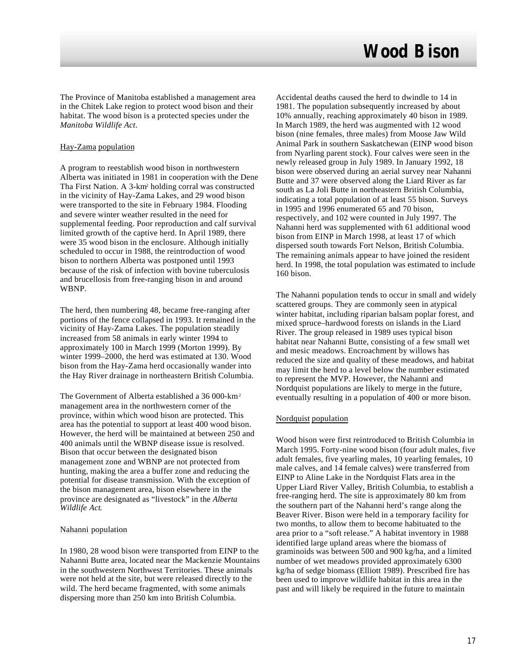The Province of Manitoba established a management area in the Chitek Lake region to protect wood bison and their habitat. The wood bison is a protected species under the *Manitoba Wildlife Act*.

### Hay-Zama population

A program to reestablish wood bison in northwestern Alberta was initiated in 1981 in cooperation with the Dene Tha First Nation. A 3-km<sup>2</sup> holding corral was constructed in the vicinity of Hay-Zama Lakes, and 29 wood bison were transported to the site in February 1984. Flooding and severe winter weather resulted in the need for supplemental feeding. Poor reproduction and calf survival limited growth of the captive herd. In April 1989, there were 35 wood bison in the enclosure. Although initially scheduled to occur in 1988, the reintroduction of wood bison to northern Alberta was postponed until 1993 because of the risk of infection with bovine tuberculosis and brucellosis from free-ranging bison in and around WBNP.

The herd, then numbering 48, became free-ranging after portions of the fence collapsed in 1993. It remained in the vicinity of Hay-Zama Lakes. The population steadily increased from 58 animals in early winter 1994 to approximately 100 in March 1999 (Morton 1999). By winter 1999–2000, the herd was estimated at 130. Wood bison from the Hay-Zama herd occasionally wander into the Hay River drainage in northeastern British Columbia.

The Government of Alberta established a 36 000-km<sup>2</sup> management area in the northwestern corner of the province, within which wood bison are protected. This area has the potential to support at least 400 wood bison. However, the herd will be maintained at between 250 and 400 animals until the WBNP disease issue is resolved. Bison that occur between the designated bison management zone and WBNP are not protected from hunting, making the area a buffer zone and reducing the potential for disease transmission. With the exception of the bison management area, bison elsewhere in the province are designated as "livestock" in the *Alberta Wildlife Act*.

### Nahanni population

In 1980, 28 wood bison were transported from EINP to the Nahanni Butte area, located near the Mackenzie Mountains in the southwestern Northwest Territories. These animals were not held at the site, but were released directly to the wild. The herd became fragmented, with some animals dispersing more than 250 km into British Columbia.

Accidental deaths caused the herd to dwindle to 14 in 1981. The population subsequently increased by about 10% annually, reaching approximately 40 bison in 1989. In March 1989, the herd was augmented with 12 wood bison (nine females, three males) from Moose Jaw Wild Animal Park in southern Saskatchewan (EINP wood bison from Nyarling parent stock). Four calves were seen in the newly released group in July 1989. In January 1992, 18 bison were observed during an aerial survey near Nahanni Butte and 37 were observed along the Liard River as far south as La Joli Butte in northeastern British Columbia, indicating a total population of at least 55 bison. Surveys in 1995 and 1996 enumerated 65 and 70 bison, respectively, and 102 were counted in July 1997. The Nahanni herd was supplemented with 61 additional wood bison from EINP in March 1998, at least 17 of which dispersed south towards Fort Nelson, British Columbia. The remaining animals appear to have joined the resident herd. In 1998, the total population was estimated to include 160 bison.

The Nahanni population tends to occur in small and widely scattered groups. They are commonly seen in atypical winter habitat, including riparian balsam poplar forest, and mixed spruce–hardwood forests on islands in the Liard River. The group released in 1989 uses typical bison habitat near Nahanni Butte, consisting of a few small wet and mesic meadows. Encroachment by willows has reduced the size and quality of these meadows, and habitat may limit the herd to a level below the number estimated to represent the MVP. However, the Nahanni and Nordquist populations are likely to merge in the future, eventually resulting in a population of 400 or more bison.

### Nordquist population

Wood bison were first reintroduced to British Columbia in March 1995. Forty-nine wood bison (four adult males, five adult females, five yearling males, 10 yearling females, 10 male calves, and 14 female calves) were transferred from EINP to Aline Lake in the Nordquist Flats area in the Upper Liard River Valley, British Columbia, to establish a free-ranging herd. The site is approximately 80 km from the southern part of the Nahanni herd's range along the Beaver River. Bison were held in a temporary facility for two months, to allow them to become habituated to the area prior to a "soft release." A habitat inventory in 1988 identified large upland areas where the biomass of graminoids was between 500 and 900 kg/ha, and a limited number of wet meadows provided approximately 6300 kg/ha of sedge biomass (Elliott 1989). Prescribed fire has been used to improve wildlife habitat in this area in the past and will likely be required in the future to maintain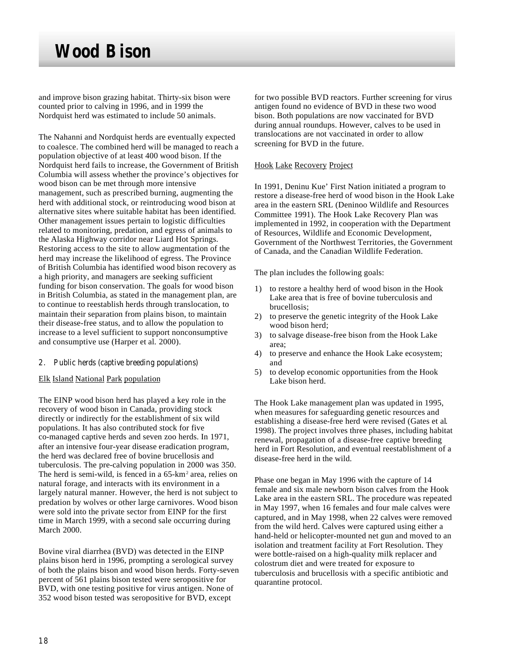and improve bison grazing habitat. Thirty-six bison were counted prior to calving in 1996, and in 1999 the Nordquist herd was estimated to include 50 animals.

The Nahanni and Nordquist herds are eventually expected to coalesce. The combined herd will be managed to reach a population objective of at least 400 wood bison. If the Nordquist herd fails to increase, the Government of British Columbia will assess whether the province's objectives for wood bison can be met through more intensive management, such as prescribed burning, augmenting the herd with additional stock, or reintroducing wood bison at alternative sites where suitable habitat has been identified. Other management issues pertain to logistic difficulties related to monitoring, predation, and egress of animals to the Alaska Highway corridor near Liard Hot Springs. Restoring access to the site to allow augmentation of the herd may increase the likelihood of egress. The Province of British Columbia has identified wood bison recovery as a high priority, and managers are seeking sufficient funding for bison conservation. The goals for wood bison in British Columbia, as stated in the management plan, are to continue to reestablish herds through translocation, to maintain their separation from plains bison, to maintain their disease-free status, and to allow the population to increase to a level sufficient to support nonconsumptive and consumptive use (Harper et al*.* 2000).

- 2. Public herds (captive breeding populations)
- Elk Island National Park population

The EINP wood bison herd has played a key role in the recovery of wood bison in Canada, providing stock directly or indirectly for the establishment of six wild populations. It has also contributed stock for five co-managed captive herds and seven zoo herds. In 1971, after an intensive four-year disease eradication program, the herd was declared free of bovine brucellosis and tuberculosis. The pre-calving population in 2000 was 350. The herd is semi-wild, is fenced in a 65-km<sup>2</sup> area, relies on natural forage, and interacts with its environment in a largely natural manner. However, the herd is not subject to predation by wolves or other large carnivores. Wood bison were sold into the private sector from EINP for the first time in March 1999, with a second sale occurring during March 2000.

Bovine viral diarrhea (BVD) was detected in the EINP plains bison herd in 1996, prompting a serological survey of both the plains bison and wood bison herds. Forty-seven percent of 561 plains bison tested were seropositive for BVD, with one testing positive for virus antigen. None of 352 wood bison tested was seropositive for BVD, except

for two possible BVD reactors. Further screening for virus antigen found no evidence of BVD in these two wood bison. Both populations are now vaccinated for BVD during annual roundups. However, calves to be used in translocations are not vaccinated in order to allow screening for BVD in the future.

### Hook Lake Recovery Project

In 1991, Deninu Kue' First Nation initiated a program to restore a disease-free herd of wood bison in the Hook Lake area in the eastern SRL (Deninoo Wildlife and Resources Committee 1991). The Hook Lake Recovery Plan was implemented in 1992, in cooperation with the Department of Resources, Wildlife and Economic Development, Government of the Northwest Territories, the Government of Canada, and the Canadian Wildlife Federation.

The plan includes the following goals:

- 1) to restore a healthy herd of wood bison in the Hook Lake area that is free of bovine tuberculosis and brucellosis;
- 2) to preserve the genetic integrity of the Hook Lake wood bison herd;
- 3) to salvage disease-free bison from the Hook Lake area;
- 4) to preserve and enhance the Hook Lake ecosystem; and
- 5) to develop economic opportunities from the Hook Lake bison herd.

The Hook Lake management plan was updated in 1995, when measures for safeguarding genetic resources and establishing a disease-free herd were revised (Gates et al*.* 1998). The project involves three phases, including habitat renewal, propagation of a disease-free captive breeding herd in Fort Resolution, and eventual reestablishment of a disease-free herd in the wild.

Phase one began in May 1996 with the capture of 14 female and six male newborn bison calves from the Hook Lake area in the eastern SRL. The procedure was repeated in May 1997, when 16 females and four male calves were captured, and in May 1998, when 22 calves were removed from the wild herd. Calves were captured using either a hand-held or helicopter-mounted net gun and moved to an isolation and treatment facility at Fort Resolution. They were bottle-raised on a high-quality milk replacer and colostrum diet and were treated for exposure to tuberculosis and brucellosis with a specific antibiotic and quarantine protocol.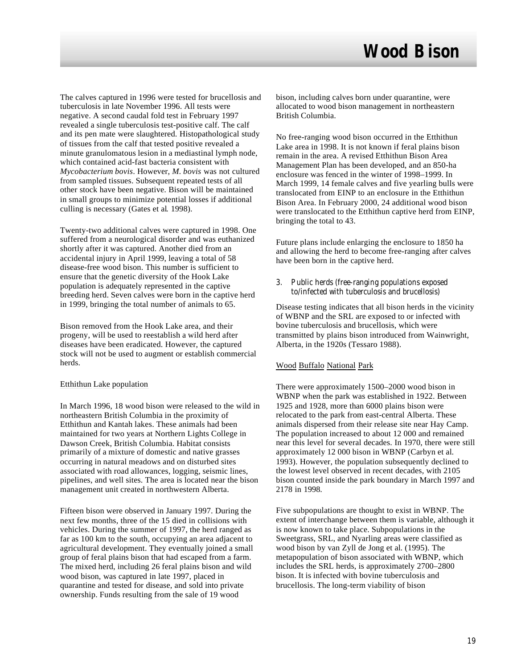The calves captured in 1996 were tested for brucellosis and tuberculosis in late November 1996. All tests were negative. A second caudal fold test in February 1997 revealed a single tuberculosis test-positive calf. The calf and its pen mate were slaughtered. Histopathological study of tissues from the calf that tested positive revealed a minute granulomatous lesion in a mediastinal lymph node, which contained acid-fast bacteria consistent with *Mycobacterium bovis*. However, *M. bovis* was not cultured from sampled tissues. Subsequent repeated tests of all other stock have been negative. Bison will be maintained in small groups to minimize potential losses if additional culling is necessary (Gates et al*.* 1998).

Twenty-two additional calves were captured in 1998. One suffered from a neurological disorder and was euthanized shortly after it was captured. Another died from an accidental injury in April 1999, leaving a total of 58 disease-free wood bison. This number is sufficient to ensure that the genetic diversity of the Hook Lake population is adequately represented in the captive breeding herd. Seven calves were born in the captive herd in 1999, bringing the total number of animals to 65.

Bison removed from the Hook Lake area, and their progeny, will be used to reestablish a wild herd after diseases have been eradicated. However, the captured stock will not be used to augment or establish commercial herds.

#### Etthithun Lake population

In March 1996, 18 wood bison were released to the wild in northeastern British Columbia in the proximity of Etthithun and Kantah lakes. These animals had been maintained for two years at Northern Lights College in Dawson Creek, British Columbia. Habitat consists primarily of a mixture of domestic and native grasses occurring in natural meadows and on disturbed sites associated with road allowances, logging, seismic lines, pipelines, and well sites. The area is located near the bison management unit created in northwestern Alberta.

Fifteen bison were observed in January 1997. During the next few months, three of the 15 died in collisions with vehicles. During the summer of 1997, the herd ranged as far as 100 km to the south, occupying an area adjacent to agricultural development. They eventually joined a small group of feral plains bison that had escaped from a farm. The mixed herd, including 26 feral plains bison and wild wood bison, was captured in late 1997, placed in quarantine and tested for disease, and sold into private ownership. Funds resulting from the sale of 19 wood

bison, including calves born under quarantine, were allocated to wood bison management in northeastern British Columbia.

No free-ranging wood bison occurred in the Etthithun Lake area in 1998. It is not known if feral plains bison remain in the area. A revised Etthithun Bison Area Management Plan has been developed, and an 850-ha enclosure was fenced in the winter of 1998–1999. In March 1999, 14 female calves and five yearling bulls were translocated from EINP to an enclosure in the Etthithun Bison Area. In February 2000, 24 additional wood bison were translocated to the Etthithun captive herd from EINP, bringing the total to 43.

Future plans include enlarging the enclosure to 1850 ha and allowing the herd to become free-ranging after calves have been born in the captive herd.

3. Public herds (free-ranging populations exposed to/infected with tuberculosis and brucellosis)

Disease testing indicates that all bison herds in the vicinity of WBNP and the SRL are exposed to or infected with bovine tuberculosis and brucellosis, which were transmitted by plains bison introduced from Wainwright, Alberta, in the 1920s (Tessaro 1988).

#### Wood Buffalo National Park

There were approximately 1500–2000 wood bison in WBNP when the park was established in 1922. Between 1925 and 1928, more than 6000 plains bison were relocated to the park from east-central Alberta. These animals dispersed from their release site near Hay Camp. The population increased to about 12 000 and remained near this level for several decades. In 1970, there were still approximately 12 000 bison in WBNP (Carbyn et al*.* 1993). However, the population subsequently declined to the lowest level observed in recent decades, with 2105 bison counted inside the park boundary in March 1997 and 2178 in 1998.

Five subpopulations are thought to exist in WBNP. The extent of interchange between them is variable, although it is now known to take place. Subpopulations in the Sweetgrass, SRL, and Nyarling areas were classified as wood bison by van Zyll de Jong et al*.* (1995). The metapopulation of bison associated with WBNP, which includes the SRL herds, is approximately 2700–2800 bison. It is infected with bovine tuberculosis and brucellosis. The long-term viability of bison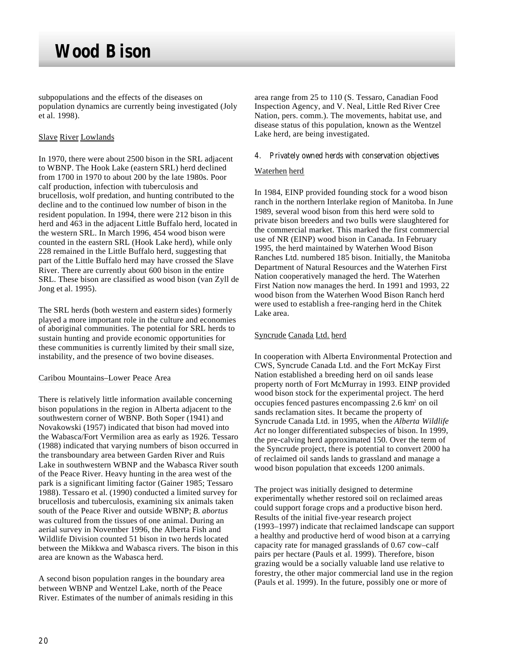subpopulations and the effects of the diseases on population dynamics are currently being investigated (Joly et al*.* 1998).

### Slave River Lowlands

In 1970, there were about 2500 bison in the SRL adjacent to WBNP. The Hook Lake (eastern SRL) herd declined from 1700 in 1970 to about 200 by the late 1980s. Poor calf production, infection with tuberculosis and brucellosis, wolf predation, and hunting contributed to the decline and to the continued low number of bison in the resident population. In 1994, there were 212 bison in this herd and  $\overline{463}$  in the adjacent Little Buffalo herd, located in the western SRL. In March 1996, 454 wood bison were counted in the eastern SRL (Hook Lake herd), while only 228 remained in the Little Buffalo herd, suggesting that part of the Little Buffalo herd may have crossed the Slave River. There are currently about 600 bison in the entire SRL. These bison are classified as wood bison (van Zyll de Jong et al. 1995).

The SRL herds (both western and eastern sides) formerly played a more important role in the culture and economies of aboriginal communities. The potential for SRL herds to sustain hunting and provide economic opportunities for these communities is currently limited by their small size, instability, and the presence of two bovine diseases.

Caribou Mountains–Lower Peace Area

There is relatively little information available concerning bison populations in the region in Alberta adjacent to the southwestern corner of WBNP. Both Soper (1941) and Novakowski (1957) indicated that bison had moved into the Wabasca/Fort Vermilion area as early as 1926. Tessaro (1988) indicated that varying numbers of bison occurred in the transboundary area between Garden River and Ruis Lake in southwestern WBNP and the Wabasca River south of the Peace River. Heavy hunting in the area west of the park is a significant limiting factor (Gainer 1985; Tessaro 1988). Tessaro et al*.* (1990) conducted a limited survey for brucellosis and tuberculosis, examining six animals taken south of the Peace River and outside WBNP; *B. abortus* was cultured from the tissues of one animal. During an aerial survey in November 1996, the Alberta Fish and Wildlife Division counted 51 bison in two herds located between the Mikkwa and Wabasca rivers. The bison in this area are known as the Wabasca herd.

A second bison population ranges in the boundary area between WBNP and Wentzel Lake, north of the Peace River. Estimates of the number of animals residing in this area range from 25 to 110 (S. Tessaro, Canadian Food Inspection Agency, and V. Neal, Little Red River Cree Nation, pers. comm.). The movements, habitat use, and disease status of this population, known as the Wentzel Lake herd, are being investigated.

4. Privately owned herds with conservation objectives

### Waterhen herd

In 1984, EINP provided founding stock for a wood bison ranch in the northern Interlake region of Manitoba. In June 1989, several wood bison from this herd were sold to private bison breeders and two bulls were slaughtered for the commercial market. This marked the first commercial use of NR (EINP) wood bison in Canada. In February 1995, the herd maintained by Waterhen Wood Bison Ranches Ltd. numbered 185 bison. Initially, the Manitoba Department of Natural Resources and the Waterhen First Nation cooperatively managed the herd. The Waterhen First Nation now manages the herd. In 1991 and 1993, 22 wood bison from the Waterhen Wood Bison Ranch herd were used to establish a free-ranging herd in the Chitek Lake area.

### Syncrude Canada Ltd. herd

In cooperation with Alberta Environmental Protection and CWS, Syncrude Canada Ltd. and the Fort McKay First Nation established a breeding herd on oil sands lease property north of Fort McMurray in 1993. EINP provided wood bison stock for the experimental project. The herd occupies fenced pastures encompassing 2.6 km<sup>2</sup> on oil sands reclamation sites. It became the property of Syncrude Canada Ltd. in 1995, when the *Alberta Wildlife Act* no longer differentiated subspecies of bison. In 1999, the pre-calving herd approximated 150. Over the term of the Syncrude project, there is potential to convert 2000 ha of reclaimed oil sands lands to grassland and manage a wood bison population that exceeds 1200 animals.

The project was initially designed to determine experimentally whether restored soil on reclaimed areas could support forage crops and a productive bison herd. Results of the initial five-year research project (1993–1997) indicate that reclaimed landscape can support a healthy and productive herd of wood bison at a carrying capacity rate for managed grasslands of 0.67 cow–calf pairs per hectare (Pauls et al. 1999). Therefore, bison grazing would be a socially valuable land use relative to forestry, the other major commercial land use in the region (Pauls et al. 1999). In the future, possibly one or more of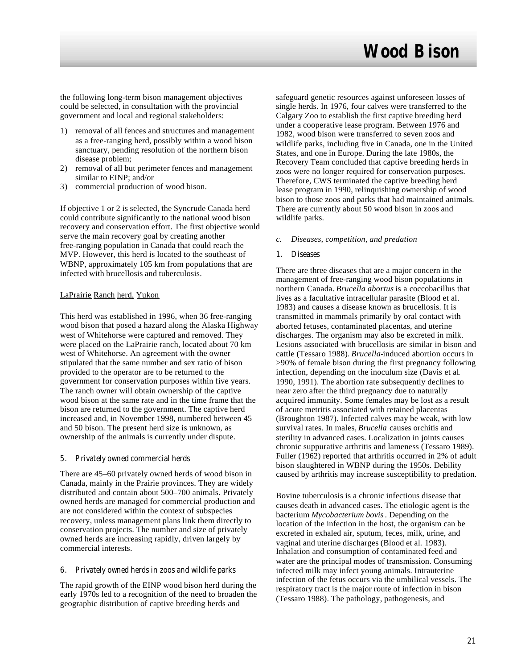the following long-term bison management objectives could be selected, in consultation with the provincial government and local and regional stakeholders:

- 1) removal of all fences and structures and management as a free-ranging herd, possibly within a wood bison sanctuary, pending resolution of the northern bison disease problem;
- 2) removal of all but perimeter fences and management similar to EINP; and/or
- 3) commercial production of wood bison.

If objective 1 or 2 is selected, the Syncrude Canada herd could contribute significantly to the national wood bison recovery and conservation effort. The first objective would serve the main recovery goal by creating another free-ranging population in Canada that could reach the MVP. However, this herd is located to the southeast of WBNP, approximately 105 km from populations that are infected with brucellosis and tuberculosis.

#### LaPrairie Ranch herd, Yukon

This herd was established in 1996, when 36 free-ranging wood bison that posed a hazard along the Alaska Highway west of Whitehorse were captured and removed. They were placed on the LaPrairie ranch, located about 70 km west of Whitehorse. An agreement with the owner stipulated that the same number and sex ratio of bison provided to the operator are to be returned to the government for conservation purposes within five years. The ranch owner will obtain ownership of the captive wood bison at the same rate and in the time frame that the bison are returned to the government. The captive herd increased and, in November 1998, numbered between 45 and 50 bison. The present herd size is unknown, as ownership of the animals is currently under dispute.

#### 5. Privately owned commercial herds

There are 45–60 privately owned herds of wood bison in Canada, mainly in the Prairie provinces. They are widely distributed and contain about 500–700 animals. Privately owned herds are managed for commercial production and are not considered within the context of subspecies recovery, unless management plans link them directly to conservation projects. The number and size of privately owned herds are increasing rapidly, driven largely by commercial interests.

#### 6. Privately owned herds in zoos and wildlife parks

The rapid growth of the EINP wood bison herd during the early 1970s led to a recognition of the need to broaden the geographic distribution of captive breeding herds and

safeguard genetic resources against unforeseen losses of single herds. In 1976, four calves were transferred to the Calgary Zoo to establish the first captive breeding herd under a cooperative lease program. Between 1976 and 1982, wood bison were transferred to seven zoos and wildlife parks, including five in Canada, one in the United States, and one in Europe. During the late 1980s, the Recovery Team concluded that captive breeding herds in zoos were no longer required for conservation purposes. Therefore, CWS terminated the captive breeding herd lease program in 1990, relinquishing ownership of wood bison to those zoos and parks that had maintained animals. There are currently about 50 wood bison in zoos and wildlife parks.

#### *c. Diseases, competition, and predation*

#### 1. Diseases

There are three diseases that are a major concern in the management of free-ranging wood bison populations in northern Canada. *Brucella abortus* is a coccobacillus that lives as a facultative intracellular parasite (Blood et al*.* 1983) and causes a disease known as brucellosis. It is transmitted in mammals primarily by oral contact with aborted fetuses, contaminated placentas, and uterine discharges. The organism may also be excreted in milk. Lesions associated with brucellosis are similar in bison and cattle (Tessaro 1988). *Brucella-*induced abortion occurs in >90% of female bison during the first pregnancy following infection, depending on the inoculum size (Davis et al*.* 1990, 1991). The abortion rate subsequently declines to near zero after the third pregnancy due to naturally acquired immunity. Some females may be lost as a result of acute metritis associated with retained placentas (Broughton 1987). Infected calves may be weak, with low survival rates. In males, *Brucella* causes orchitis and sterility in advanced cases. Localization in joints causes chronic suppurative arthritis and lameness (Tessaro 1989). Fuller (1962) reported that arthritis occurred in 2% of adult bison slaughtered in WBNP during the 1950s. Debility caused by arthritis may increase susceptibility to predation.

Bovine tuberculosis is a chronic infectious disease that causes death in advanced cases. The etiologic agent is the bacterium *Mycobacterium bovis*. Depending on the location of the infection in the host, the organism can be excreted in exhaled air, sputum, feces, milk, urine, and vaginal and uterine discharges (Blood et al*.* 1983). Inhalation and consumption of contaminated feed and water are the principal modes of transmission. Consuming infected milk may infect young animals. Intrauterine infection of the fetus occurs via the umbilical vessels. The respiratory tract is the major route of infection in bison (Tessaro 1988). The pathology, pathogenesis, and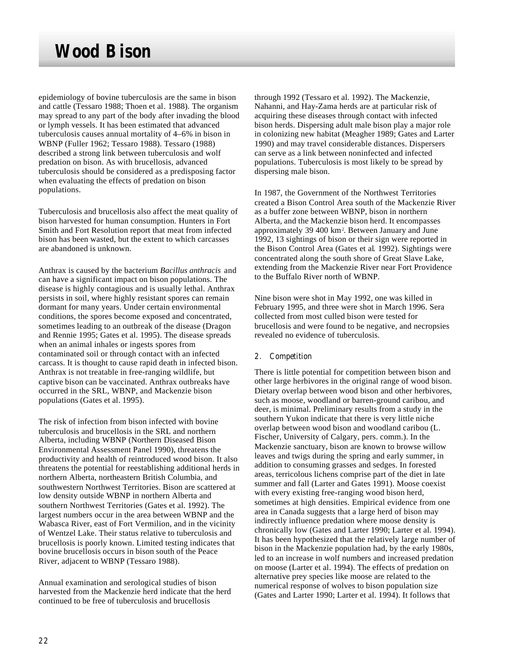epidemiology of bovine tuberculosis are the same in bison and cattle (Tessaro 1988; Thoen et al*.* 1988). The organism may spread to any part of the body after invading the blood or lymph vessels. It has been estimated that advanced tuberculosis causes annual mortality of 4–6% in bison in WBNP (Fuller 1962; Tessaro 1988). Tessaro (1988) described a strong link between tuberculosis and wolf predation on bison. As with brucellosis, advanced tuberculosis should be considered as a predisposing factor when evaluating the effects of predation on bison populations.

Tuberculosis and brucellosis also affect the meat quality of bison harvested for human consumption. Hunters in Fort Smith and Fort Resolution report that meat from infected bison has been wasted, but the extent to which carcasses are abandoned is unknown.

Anthrax is caused by the bacterium *Bacillus anthracis* and can have a significant impact on bison populations. The disease is highly contagious and is usually lethal. Anthrax persists in soil, where highly resistant spores can remain dormant for many years. Under certain environmental conditions, the spores become exposed and concentrated, sometimes leading to an outbreak of the disease (Dragon and Rennie 1995; Gates et al. 1995). The disease spreads when an animal inhales or ingests spores from contaminated soil or through contact with an infected carcass. It is thought to cause rapid death in infected bison. Anthrax is not treatable in free-ranging wildlife, but captive bison can be vaccinated. Anthrax outbreaks have occurred in the SRL, WBNP, and Mackenzie bison populations (Gates et al. 1995).

The risk of infection from bison infected with bovine tuberculosis and brucellosis in the SRL and northern Alberta, including WBNP (Northern Diseased Bison Environmental Assessment Panel 1990), threatens the productivity and health of reintroduced wood bison. It also threatens the potential for reestablishing additional herds in northern Alberta, northeastern British Columbia, and southwestern Northwest Territories. Bison are scattered at low density outside WBNP in northern Alberta and southern Northwest Territories (Gates et al. 1992). The largest numbers occur in the area between WBNP and the Wabasca River, east of Fort Vermilion, and in the vicinity of Wentzel Lake. Their status relative to tuberculosis and brucellosis is poorly known. Limited testing indicates that bovine brucellosis occurs in bison south of the Peace River, adjacent to WBNP (Tessaro 1988).

Annual examination and serological studies of bison harvested from the Mackenzie herd indicate that the herd continued to be free of tuberculosis and brucellosis

through 1992 (Tessaro et al*.* 1992). The Mackenzie, Nahanni, and Hay-Zama herds are at particular risk of acquiring these diseases through contact with infected bison herds. Dispersing adult male bison play a major role in colonizing new habitat (Meagher 1989; Gates and Larter 1990) and may travel considerable distances. Dispersers can serve as a link between noninfected and infected populations. Tuberculosis is most likely to be spread by dispersing male bison.

In 1987, the Government of the Northwest Territories created a Bison Control Area south of the Mackenzie River as a buffer zone between WBNP, bison in northern Alberta, and the Mackenzie bison herd. It encompasses approximately 39 400 km<sup>2</sup> . Between January and June 1992, 13 sightings of bison or their sign were reported in the Bison Control Area (Gates et al*.* 1992). Sightings were concentrated along the south shore of Great Slave Lake, extending from the Mackenzie River near Fort Providence to the Buffalo River north of WBNP.

Nine bison were shot in May 1992, one was killed in February 1995, and three were shot in March 1996. Sera collected from most culled bison were tested for brucellosis and were found to be negative, and necropsies revealed no evidence of tuberculosis.

#### 2. Competition

There is little potential for competition between bison and other large herbivores in the original range of wood bison. Dietary overlap between wood bison and other herbivores, such as moose, woodland or barren-ground caribou, and deer, is minimal. Preliminary results from a study in the southern Yukon indicate that there is very little niche overlap between wood bison and woodland caribou (L. Fischer, University of Calgary, pers. comm.). In the Mackenzie sanctuary, bison are known to browse willow leaves and twigs during the spring and early summer, in addition to consuming grasses and sedges. In forested areas, terricolous lichens comprise part of the diet in late summer and fall (Larter and Gates 1991). Moose coexist with every existing free-ranging wood bison herd, sometimes at high densities. Empirical evidence from one area in Canada suggests that a large herd of bison may indirectly influence predation where moose density is chronically low (Gates and Larter 1990; Larter et al. 1994). It has been hypothesized that the relatively large number of bison in the Mackenzie population had, by the early 1980s, led to an increase in wolf numbers and increased predation on moose (Larter et al. 1994). The effects of predation on alternative prey species like moose are related to the numerical response of wolves to bison population size (Gates and Larter 1990; Larter et al. 1994). It follows that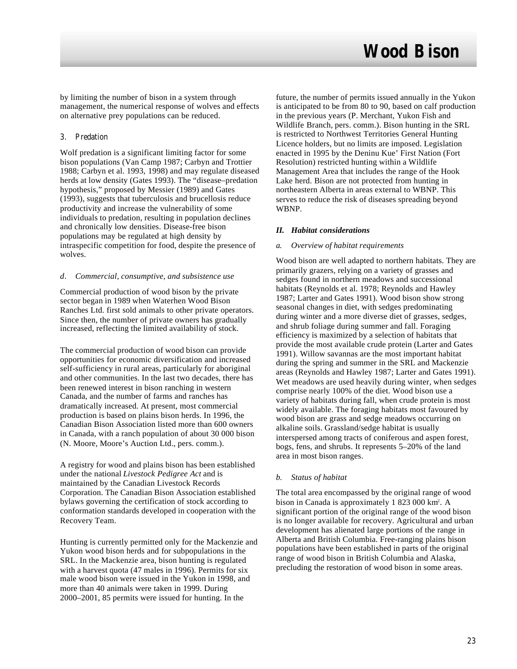by limiting the number of bison in a system through management, the numerical response of wolves and effects on alternative prey populations can be reduced.

#### 3. Predation

Wolf predation is a significant limiting factor for some bison populations (Van Camp 1987; Carbyn and Trottier 1988; Carbyn et al. 1993, 1998) and may regulate diseased herds at low density (Gates 1993). The "disease–predation hypothesis," proposed by Messier (1989) and Gates (1993), suggests that tuberculosis and brucellosis reduce productivity and increase the vulnerability of some individuals to predation, resulting in population declines and chronically low densities. Disease-free bison populations may be regulated at high density by intraspecific competition for food, despite the presence of wolves.

#### *d. Commercial, consumptive, and subsistence use*

Commercial production of wood bison by the private sector began in 1989 when Waterhen Wood Bison Ranches Ltd. first sold animals to other private operators. Since then, the number of private owners has gradually increased, reflecting the limited availability of stock.

The commercial production of wood bison can provide opportunities for economic diversification and increased self-sufficiency in rural areas, particularly for aboriginal and other communities. In the last two decades, there has been renewed interest in bison ranching in western Canada, and the number of farms and ranches has dramatically increased. At present, most commercial production is based on plains bison herds. In 1996, the Canadian Bison Association listed more than 600 owners in Canada, with a ranch population of about 30 000 bison (N. Moore, Moore's Auction Ltd., pers. comm.).

A registry for wood and plains bison has been established under the national *Livestock Pedigree Act* and is maintained by the Canadian Livestock Records Corporation. The Canadian Bison Association established bylaws governing the certification of stock according to conformation standards developed in cooperation with the Recovery Team.

Hunting is currently permitted only for the Mackenzie and Yukon wood bison herds and for subpopulations in the SRL. In the Mackenzie area, bison hunting is regulated with a harvest quota (47 males in 1996). Permits for six male wood bison were issued in the Yukon in 1998, and more than 40 animals were taken in 1999. During 2000–2001, 85 permits were issued for hunting. In the

future, the number of permits issued annually in the Yukon is anticipated to be from 80 to 90, based on calf production in the previous years (P. Merchant, Yukon Fish and Wildlife Branch, pers. comm.). Bison hunting in the SRL is restricted to Northwest Territories General Hunting Licence holders, but no limits are imposed. Legislation enacted in 1995 by the Deninu Kue' First Nation (Fort Resolution) restricted hunting within a Wildlife Management Area that includes the range of the Hook Lake herd. Bison are not protected from hunting in northeastern Alberta in areas external to WBNP. This serves to reduce the risk of diseases spreading beyond WBNP.

### *II. Habitat considerations*

#### *a. Overview of habitat requirements*

Wood bison are well adapted to northern habitats. They are primarily grazers, relying on a variety of grasses and sedges found in northern meadows and successional habitats (Reynolds et al. 1978; Reynolds and Hawley 1987; Larter and Gates 1991). Wood bison show strong seasonal changes in diet, with sedges predominating during winter and a more diverse diet of grasses, sedges, and shrub foliage during summer and fall. Foraging efficiency is maximized by a selection of habitats that provide the most available crude protein (Larter and Gates 1991). Willow savannas are the most important habitat during the spring and summer in the SRL and Mackenzie areas (Reynolds and Hawley 1987; Larter and Gates 1991). Wet meadows are used heavily during winter, when sedges comprise nearly 100% of the diet. Wood bison use a variety of habitats during fall, when crude protein is most widely available. The foraging habitats most favoured by wood bison are grass and sedge meadows occurring on alkaline soils. Grassland/sedge habitat is usually interspersed among tracts of coniferous and aspen forest, bogs, fens, and shrubs. It represents 5–20% of the land area in most bison ranges.

### *b. Status of habitat*

The total area encompassed by the original range of wood bison in Canada is approximately 1 823 000 km<sup>2</sup>. A significant portion of the original range of the wood bison is no longer available for recovery. Agricultural and urban development has alienated large portions of the range in Alberta and British Columbia. Free-ranging plains bison populations have been established in parts of the original range of wood bison in British Columbia and Alaska, precluding the restoration of wood bison in some areas.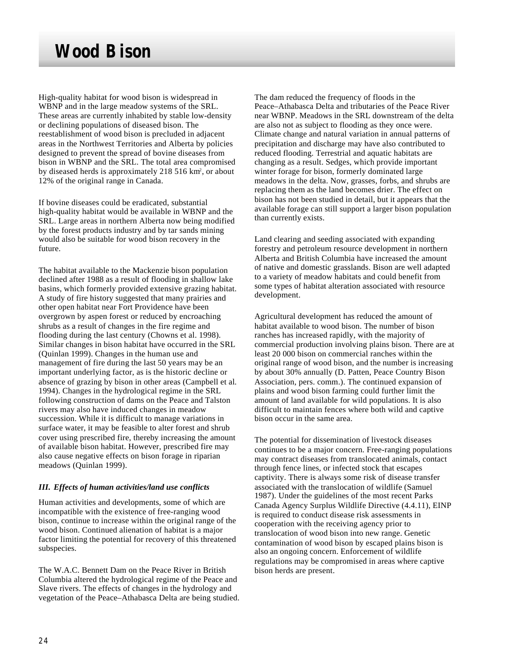High-quality habitat for wood bison is widespread in WBNP and in the large meadow systems of the SRL. These areas are currently inhabited by stable low-density or declining populations of diseased bison. The reestablishment of wood bison is precluded in adjacent areas in the Northwest Territories and Alberta by policies designed to prevent the spread of bovine diseases from bison in WBNP and the SRL. The total area compromised by diseased herds is approximately 218 516 km<sup>2</sup>, or about 12% of the original range in Canada.

If bovine diseases could be eradicated, substantial high-quality habitat would be available in WBNP and the SRL. Large areas in northern Alberta now being modified by the forest products industry and by tar sands mining would also be suitable for wood bison recovery in the future.

The habitat available to the Mackenzie bison population declined after 1988 as a result of flooding in shallow lake basins, which formerly provided extensive grazing habitat. A study of fire history suggested that many prairies and other open habitat near Fort Providence have been overgrown by aspen forest or reduced by encroaching shrubs as a result of changes in the fire regime and flooding during the last century (Chowns et al. 1998). Similar changes in bison habitat have occurred in the SRL (Quinlan 1999). Changes in the human use and management of fire during the last 50 years may be an important underlying factor, as is the historic decline or absence of grazing by bison in other areas (Campbell et al*.* 1994). Changes in the hydrological regime in the SRL following construction of dams on the Peace and Talston rivers may also have induced changes in meadow succession. While it is difficult to manage variations in surface water, it may be feasible to alter forest and shrub cover using prescribed fire, thereby increasing the amount of available bison habitat. However, prescribed fire may also cause negative effects on bison forage in riparian meadows (Quinlan 1999).

### *III. Effects of human activities/land use conflicts*

Human activities and developments, some of which are incompatible with the existence of free-ranging wood bison, continue to increase within the original range of the wood bison. Continued alienation of habitat is a major factor limiting the potential for recovery of this threatened subspecies.

The W.A.C. Bennett Dam on the Peace River in British Columbia altered the hydrological regime of the Peace and Slave rivers. The effects of changes in the hydrology and vegetation of the Peace–Athabasca Delta are being studied. The dam reduced the frequency of floods in the Peace–Athabasca Delta and tributaries of the Peace River near WBNP. Meadows in the SRL downstream of the delta are also not as subject to flooding as they once were. Climate change and natural variation in annual patterns of precipitation and discharge may have also contributed to reduced flooding. Terrestrial and aquatic habitats are changing as a result. Sedges, which provide important winter forage for bison, formerly dominated large meadows in the delta. Now, grasses, forbs, and shrubs are replacing them as the land becomes drier. The effect on bison has not been studied in detail, but it appears that the available forage can still support a larger bison population than currently exists.

Land clearing and seeding associated with expanding forestry and petroleum resource development in northern Alberta and British Columbia have increased the amount of native and domestic grasslands. Bison are well adapted to a variety of meadow habitats and could benefit from some types of habitat alteration associated with resource development.

Agricultural development has reduced the amount of habitat available to wood bison. The number of bison ranches has increased rapidly, with the majority of commercial production involving plains bison. There are at least 20 000 bison on commercial ranches within the original range of wood bison, and the number is increasing by about 30% annually (D. Patten, Peace Country Bison Association, pers. comm.). The continued expansion of plains and wood bison farming could further limit the amount of land available for wild populations. It is also difficult to maintain fences where both wild and captive bison occur in the same area.

The potential for dissemination of livestock diseases continues to be a major concern. Free-ranging populations may contract diseases from translocated animals, contact through fence lines, or infected stock that escapes captivity. There is always some risk of disease transfer associated with the translocation of wildlife (Samuel 1987). Under the guidelines of the most recent Parks Canada Agency Surplus Wildlife Directive (4.4.11), EINP is required to conduct disease risk assessments in cooperation with the receiving agency prior to translocation of wood bison into new range. Genetic contamination of wood bison by escaped plains bison is also an ongoing concern. Enforcement of wildlife regulations may be compromised in areas where captive bison herds are present.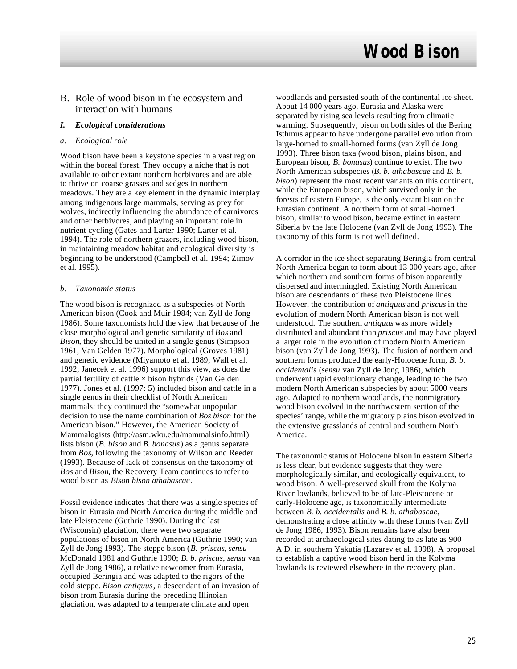### B. Role of wood bison in the ecosystem and interaction with humans

### *I. Ecological considerations*

#### *a. Ecological role*

Wood bison have been a keystone species in a vast region within the boreal forest. They occupy a niche that is not available to other extant northern herbivores and are able to thrive on coarse grasses and sedges in northern meadows. They are a key element in the dynamic interplay among indigenous large mammals, serving as prey for wolves, indirectly influencing the abundance of carnivores and other herbivores, and playing an important role in nutrient cycling (Gates and Larter 1990; Larter et al. 1994). The role of northern grazers, including wood bison, in maintaining meadow habitat and ecological diversity is beginning to be understood (Campbell et al. 1994; Zimov et al. 1995).

#### *b. Taxonomic status*

The wood bison is recognized as a subspecies of North American bison (Cook and Muir 1984; van Zyll de Jong 1986). Some taxonomists hold the view that because of the close morphological and genetic similarity of *Bos* and *Bison*, they should be united in a single genus (Simpson 1961; Van Gelden 1977). Morphological (Groves 1981) and genetic evidence (Miyamoto et al. 1989; Wall et al. 1992; Janecek et al. 1996) support this view, as does the partial fertility of cattle  $\times$  bison hybrids (Van Gelden) 1977). Jones et al. (1997: 5) included bison and cattle in a single genus in their checklist of North American mammals; they continued the "somewhat unpopular decision to use the name combination of *Bos bison* for the American bison." However, the American Society of Mammalogists (http://asm.wku.edu/mammalsinfo.html) lists bison (*B. bison* and *B. bonasus*) as a genus separate from *Bos*, following the taxonomy of Wilson and Reeder (1993). Because of lack of consensus on the taxonomy of *Bos* and *Bison*, the Recovery Team continues to refer to wood bison as *Bison bison athabascae*.

Fossil evidence indicates that there was a single species of bison in Eurasia and North America during the middle and late Pleistocene (Guthrie 1990). During the last (Wisconsin) glaciation, there were two separate populations of bison in North America (Guthrie 1990; van Zyll de Jong 1993). The steppe bison (*B. priscus*, *sensu* McDonald 1981 and Guthrie 1990; *B. b. priscus*, *sensu* van Zyll de Jong 1986), a relative newcomer from Eurasia, occupied Beringia and was adapted to the rigors of the cold steppe. *Bison antiquus*, a descendant of an invasion of bison from Eurasia during the preceding Illinoian glaciation, was adapted to a temperate climate and open

woodlands and persisted south of the continental ice sheet. About 14 000 years ago, Eurasia and Alaska were separated by rising sea levels resulting from climatic warming. Subsequently, bison on both sides of the Bering Isthmus appear to have undergone parallel evolution from large-horned to small-horned forms (van Zyll de Jong 1993). Three bison taxa (wood bison, plains bison, and European bison, *B. bonasus*) continue to exist. The two North American subspecies (*B. b. athabascae* and *B. b. bison*) represent the most recent variants on this continent, while the European bison, which survived only in the forests of eastern Europe, is the only extant bison on the Eurasian continent. A northern form of small-horned bison, similar to wood bison, became extinct in eastern Siberia by the late Holocene (van Zyll de Jong 1993). The taxonomy of this form is not well defined.

A corridor in the ice sheet separating Beringia from central North America began to form about 13 000 years ago, after which northern and southern forms of bison apparently dispersed and intermingled. Existing North American bison are descendants of these two Pleistocene lines. However, the contribution of *antiquus* and *priscus* in the evolution of modern North American bison is not well understood. The southern *antiquus* was more widely distributed and abundant than *priscus* and may have played a larger role in the evolution of modern North American bison (van Zyll de Jong 1993). The fusion of northern and southern forms produced the early-Holocene form, *B. b. occidentalis* (*sensu* van Zyll de Jong 1986), which underwent rapid evolutionary change, leading to the two modern North American subspecies by about 5000 years ago. Adapted to northern woodlands, the nonmigratory wood bison evolved in the northwestern section of the species' range, while the migratory plains bison evolved in the extensive grasslands of central and southern North America.

The taxonomic status of Holocene bison in eastern Siberia is less clear, but evidence suggests that they were morphologically similar, and ecologically equivalent, to wood bison. A well-preserved skull from the Kolyma River lowlands, believed to be of late-Pleistocene or early-Holocene age, is taxonomically intermediate between *B. b. occidentalis* and *B. b. athabascae*, demonstrating a close affinity with these forms (van Zyll de Jong 1986, 1993). Bison remains have also been recorded at archaeological sites dating to as late as 900 A.D. in southern Yakutia (Lazarev et al. 1998). A proposal to establish a captive wood bison herd in the Kolyma lowlands is reviewed elsewhere in the recovery plan.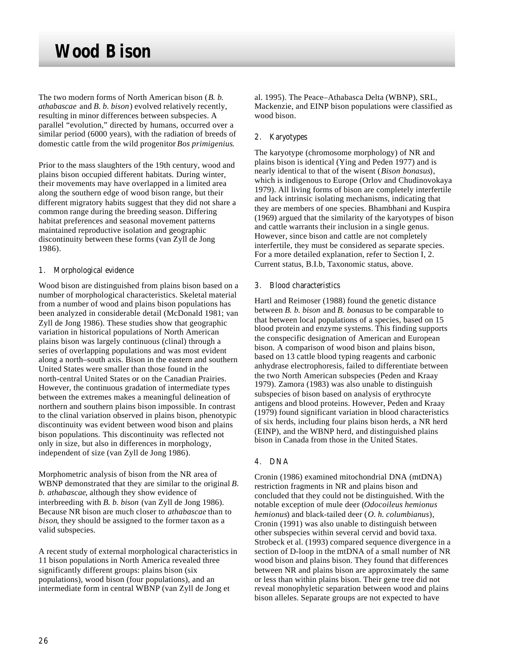The two modern forms of North American bison (*B. b. athabascae* and *B. b. bison*) evolved relatively recently, resulting in minor differences between subspecies. A parallel "evolution," directed by humans, occurred over a similar period (6000 years), with the radiation of breeds of domestic cattle from the wild progenitor *Bos primigenius*.

Prior to the mass slaughters of the 19th century, wood and plains bison occupied different habitats. During winter, their movements may have overlapped in a limited area along the southern edge of wood bison range, but their different migratory habits suggest that they did not share a common range during the breeding season. Differing habitat preferences and seasonal movement patterns maintained reproductive isolation and geographic discontinuity between these forms (van Zyll de Jong 1986).

### 1. Morphological evidence

Wood bison are distinguished from plains bison based on a number of morphological characteristics. Skeletal material from a number of wood and plains bison populations has been analyzed in considerable detail (McDonald 1981; van Zyll de Jong 1986). These studies show that geographic variation in historical populations of North American plains bison was largely continuous (clinal) through a series of overlapping populations and was most evident along a north–south axis. Bison in the eastern and southern United States were smaller than those found in the north-central United States or on the Canadian Prairies. However, the continuous gradation of intermediate types between the extremes makes a meaningful delineation of northern and southern plains bison impossible. In contrast to the clinal variation observed in plains bison, phenotypic discontinuity was evident between wood bison and plains bison populations. This discontinuity was reflected not only in size, but also in differences in morphology, independent of size (van Zyll de Jong 1986).

Morphometric analysis of bison from the NR area of WBNP demonstrated that they are similar to the original *B. b. athabascae*, although they show evidence of interbreeding with *B. b. bison* (van Zyll de Jong 1986). Because NR bison are much closer to *athabascae* than to *bison*, they should be assigned to the former taxon as a valid subspecies.

A recent study of external morphological characteristics in 11 bison populations in North America revealed three significantly different groups: plains bison (six populations), wood bison (four populations), and an intermediate form in central WBNP (van Zyll de Jong et

al. 1995). The Peace–Athabasca Delta (WBNP), SRL, Mackenzie, and EINP bison populations were classified as wood bison.

### 2. Karyotypes

The karyotype (chromosome morphology) of NR and plains bison is identical (Ying and Peden 1977) and is nearly identical to that of the wisent (*Bison bonasus*), which is indigenous to Europe (Orlov and Chudinovokaya 1979). All living forms of bison are completely interfertile and lack intrinsic isolating mechanisms, indicating that they are members of one species. Bhambhani and Kuspira (1969) argued that the similarity of the karyotypes of bison and cattle warrants their inclusion in a single genus. However, since bison and cattle are not completely interfertile, they must be considered as separate species. For a more detailed explanation, refer to Section I, 2. Current status, B.I.b, Taxonomic status, above.

### 3. Blood characteristics

Hartl and Reimoser (1988) found the genetic distance between *B. b. bison* and *B. bonasus* to be comparable to that between local populations of a species, based on 15 blood protein and enzyme systems. This finding supports the conspecific designation of American and European bison. A comparison of wood bison and plains bison, based on 13 cattle blood typing reagents and carbonic anhydrase electrophoresis, failed to differentiate between the two North American subspecies (Peden and Kraay 1979). Zamora (1983) was also unable to distinguish subspecies of bison based on analysis of erythrocyte antigens and blood proteins. However, Peden and Kraay (1979) found significant variation in blood characteristics of six herds, including four plains bison herds, a NR herd (EINP), and the WBNP herd, and distinguished plains bison in Canada from those in the United States.

## 4. DNA

Cronin (1986) examined mitochondrial DNA (mtDNA) restriction fragments in NR and plains bison and concluded that they could not be distinguished. With the notable exception of mule deer (*Odocoileus hemionus hemionus*) and black-tailed deer (*O. h. columbianus*), Cronin (1991) was also unable to distinguish between other subspecies within several cervid and bovid taxa. Strobeck et al. (1993) compared sequence divergence in a section of D-loop in the mtDNA of a small number of NR wood bison and plains bison. They found that differences between NR and plains bison are approximately the same or less than within plains bison. Their gene tree did not reveal monophyletic separation between wood and plains bison alleles. Separate groups are not expected to have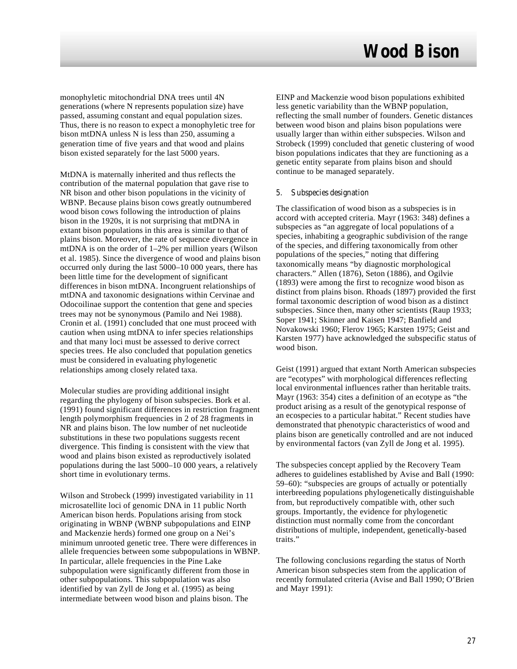monophyletic mitochondrial DNA trees until 4N generations (where N represents population size) have passed, assuming constant and equal population sizes. Thus, there is no reason to expect a monophyletic tree for bison mtDNA unless N is less than 250, assuming a generation time of five years and that wood and plains bison existed separately for the last 5000 years.

MtDNA is maternally inherited and thus reflects the contribution of the maternal population that gave rise to NR bison and other bison populations in the vicinity of WBNP. Because plains bison cows greatly outnumbered wood bison cows following the introduction of plains bison in the 1920s, it is not surprising that mtDNA in extant bison populations in this area is similar to that of plains bison. Moreover, the rate of sequence divergence in mtDNA is on the order of 1–2% per million years (Wilson et al. 1985). Since the divergence of wood and plains bison occurred only during the last 5000–10 000 years, there has been little time for the development of significant differences in bison mtDNA. Incongruent relationships of mtDNA and taxonomic designations within Cervinae and Odocoilinae support the contention that gene and species trees may not be synonymous (Pamilo and Nei 1988). Cronin et al. (1991) concluded that one must proceed with caution when using mtDNA to infer species relationships and that many loci must be assessed to derive correct species trees. He also concluded that population genetics must be considered in evaluating phylogenetic relationships among closely related taxa.

Molecular studies are providing additional insight regarding the phylogeny of bison subspecies. Bork et al. (1991) found significant differences in restriction fragment length polymorphism frequencies in 2 of 28 fragments in NR and plains bison. The low number of net nucleotide substitutions in these two populations suggests recent divergence. This finding is consistent with the view that wood and plains bison existed as reproductively isolated populations during the last 5000–10 000 years, a relatively short time in evolutionary terms.

Wilson and Strobeck (1999) investigated variability in 11 microsatellite loci of genomic DNA in 11 public North American bison herds. Populations arising from stock originating in WBNP (WBNP subpopulations and EINP and Mackenzie herds) formed one group on a Nei's minimum unrooted genetic tree. There were differences in allele frequencies between some subpopulations in WBNP. In particular, allele frequencies in the Pine Lake subpopulation were significantly different from those in other subpopulations. This subpopulation was also identified by van Zyll de Jong et al. (1995) as being intermediate between wood bison and plains bison. The

EINP and Mackenzie wood bison populations exhibited less genetic variability than the WBNP population, reflecting the small number of founders. Genetic distances between wood bison and plains bison populations were usually larger than within either subspecies. Wilson and Strobeck (1999) concluded that genetic clustering of wood bison populations indicates that they are functioning as a genetic entity separate from plains bison and should continue to be managed separately.

#### 5. Subspecies designation

The classification of wood bison as a subspecies is in accord with accepted criteria. Mayr (1963: 348) defines a subspecies as "an aggregate of local populations of a species, inhabiting a geographic subdivision of the range of the species, and differing taxonomically from other populations of the species," noting that differing taxonomically means "by diagnostic morphological characters." Allen (1876), Seton (1886), and Ogilvie (1893) were among the first to recognize wood bison as distinct from plains bison. Rhoads (1897) provided the first formal taxonomic description of wood bison as a distinct subspecies. Since then, many other scientists (Raup 1933; Soper 1941; Skinner and Kaisen 1947; Banfield and Novakowski 1960; Flerov 1965; Karsten 1975; Geist and Karsten 1977) have acknowledged the subspecific status of wood bison.

Geist (1991) argued that extant North American subspecies are "ecotypes" with morphological differences reflecting local environmental influences rather than heritable traits. Mayr (1963: 354) cites a definition of an ecotype as "the product arising as a result of the genotypical response of an ecospecies to a particular habitat." Recent studies have demonstrated that phenotypic characteristics of wood and plains bison are genetically controlled and are not induced by environmental factors (van Zyll de Jong et al. 1995).

The subspecies concept applied by the Recovery Team adheres to guidelines established by Avise and Ball (1990: 59–60): "subspecies are groups of actually or potentially interbreeding populations phylogenetically distinguishable from, but reproductively compatible with, other such groups. Importantly, the evidence for phylogenetic distinction must normally come from the concordant distributions of multiple, independent, genetically-based traits."

The following conclusions regarding the status of North American bison subspecies stem from the application of recently formulated criteria (Avise and Ball 1990; O'Brien and Mayr 1991):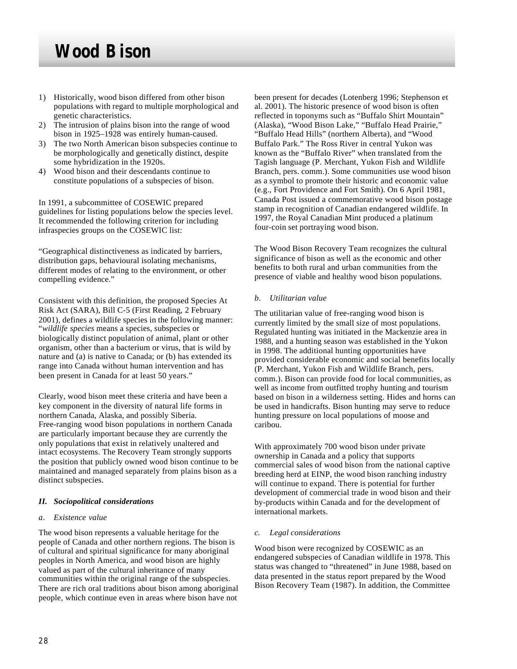- 1) Historically, wood bison differed from other bison populations with regard to multiple morphological and genetic characteristics.
- 2) The intrusion of plains bison into the range of wood bison in 1925–1928 was entirely human-caused.
- 3) The two North American bison subspecies continue to be morphologically and genetically distinct, despite some hybridization in the 1920s.
- 4) Wood bison and their descendants continue to constitute populations of a subspecies of bison.

In 1991, a subcommittee of COSEWIC prepared guidelines for listing populations below the species level. It recommended the following criterion for including infraspecies groups on the COSEWIC list:

"Geographical distinctiveness as indicated by barriers, distribution gaps, behavioural isolating mechanisms, different modes of relating to the environment, or other compelling evidence."

Consistent with this definition, the proposed Species At Risk Act (SARA), Bill C-5 (First Reading, 2 February 2001), defines a wildlife species in the following manner: "*wildlife species* means a species, subspecies or biologically distinct population of animal, plant or other organism, other than a bacterium or virus, that is wild by nature and (a) is native to Canada; or (b) has extended its range into Canada without human intervention and has been present in Canada for at least 50 years."

Clearly, wood bison meet these criteria and have been a key component in the diversity of natural life forms in northern Canada, Alaska, and possibly Siberia. Free-ranging wood bison populations in northern Canada are particularly important because they are currently the only populations that exist in relatively unaltered and intact ecosystems. The Recovery Team strongly supports the position that publicly owned wood bison continue to be maintained and managed separately from plains bison as a distinct subspecies.

### *II. Sociopolitical considerations*

#### *a. Existence value*

The wood bison represents a valuable heritage for the people of Canada and other northern regions. The bison is of cultural and spiritual significance for many aboriginal peoples in North America, and wood bison are highly valued as part of the cultural inheritance of many communities within the original range of the subspecies. There are rich oral traditions about bison among aboriginal people, which continue even in areas where bison have not

been present for decades (Lotenberg 1996; Stephenson et al. 2001). The historic presence of wood bison is often reflected in toponyms such as "Buffalo Shirt Mountain" (Alaska), "Wood Bison Lake," "Buffalo Head Prairie," "Buffalo Head Hills" (northern Alberta), and "Wood Buffalo Park." The Ross River in central Yukon was known as the "Buffalo River" when translated from the Tagish language (P. Merchant, Yukon Fish and Wildlife Branch, pers. comm.). Some communities use wood bison as a symbol to promote their historic and economic value (e.g., Fort Providence and Fort Smith). On 6 April 1981, Canada Post issued a commemorative wood bison postage stamp in recognition of Canadian endangered wildlife. In 1997, the Royal Canadian Mint produced a platinum four-coin set portraying wood bison.

The Wood Bison Recovery Team recognizes the cultural significance of bison as well as the economic and other benefits to both rural and urban communities from the presence of viable and healthy wood bison populations.

#### *b. Utilitarian value*

The utilitarian value of free-ranging wood bison is currently limited by the small size of most populations. Regulated hunting was initiated in the Mackenzie area in 1988, and a hunting season was established in the Yukon in 1998. The additional hunting opportunities have provided considerable economic and social benefits locally (P. Merchant, Yukon Fish and Wildlife Branch, pers. comm.). Bison can provide food for local communities, as well as income from outfitted trophy hunting and tourism based on bison in a wilderness setting. Hides and horns can be used in handicrafts. Bison hunting may serve to reduce hunting pressure on local populations of moose and caribou.

With approximately 700 wood bison under private ownership in Canada and a policy that supports commercial sales of wood bison from the national captive breeding herd at EINP, the wood bison ranching industry will continue to expand. There is potential for further development of commercial trade in wood bison and their by-products within Canada and for the development of international markets.

#### *c. Legal considerations*

Wood bison were recognized by COSEWIC as an endangered subspecies of Canadian wildlife in 1978. This status was changed to "threatened" in June 1988, based on data presented in the status report prepared by the Wood Bison Recovery Team (1987). In addition, the Committee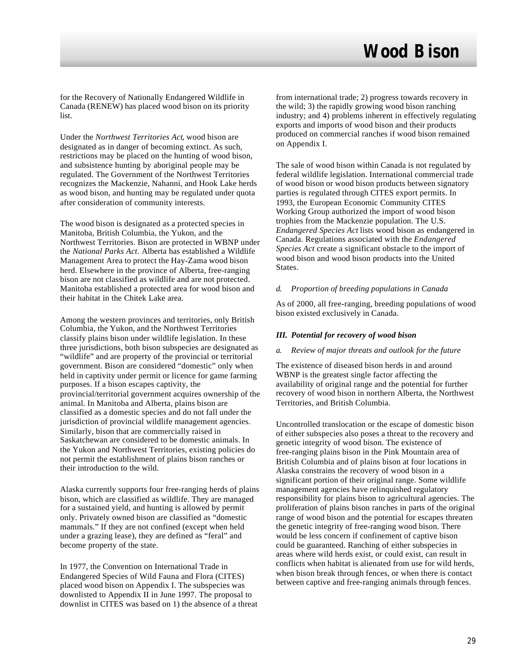for the Recovery of Nationally Endangered Wildlife in Canada (RENEW) has placed wood bison on its priority list.

Under the *Northwest Territories Act*, wood bison are designated as in danger of becoming extinct. As such, restrictions may be placed on the hunting of wood bison, and subsistence hunting by aboriginal people may be regulated. The Government of the Northwest Territories recognizes the Mackenzie, Nahanni, and Hook Lake herds as wood bison, and hunting may be regulated under quota after consideration of community interests.

The wood bison is designated as a protected species in Manitoba, British Columbia, the Yukon, and the Northwest Territories. Bison are protected in WBNP under the *National Parks Act*. Alberta has established a Wildlife Management Area to protect the Hay-Zama wood bison herd. Elsewhere in the province of Alberta, free-ranging bison are not classified as wildlife and are not protected. Manitoba established a protected area for wood bison and their habitat in the Chitek Lake area.

Among the western provinces and territories, only British Columbia, the Yukon, and the Northwest Territories classify plains bison under wildlife legislation. In these three jurisdictions, both bison subspecies are designated as "wildlife" and are property of the provincial or territorial government. Bison are considered "domestic" only when held in captivity under permit or licence for game farming purposes. If a bison escapes captivity, the provincial/territorial government acquires ownership of the animal. In Manitoba and Alberta, plains bison are classified as a domestic species and do not fall under the jurisdiction of provincial wildlife management agencies. Similarly, bison that are commercially raised in Saskatchewan are considered to be domestic animals. In the Yukon and Northwest Territories, existing policies do not permit the establishment of plains bison ranches or their introduction to the wild.

Alaska currently supports four free-ranging herds of plains bison, which are classified as wildlife. They are managed for a sustained yield, and hunting is allowed by permit only. Privately owned bison are classified as "domestic mammals." If they are not confined (except when held under a grazing lease), they are defined as "feral" and become property of the state.

In 1977, the Convention on International Trade in Endangered Species of Wild Fauna and Flora (CITES) placed wood bison on Appendix I. The subspecies was downlisted to Appendix II in June 1997. The proposal to downlist in CITES was based on 1) the absence of a threat from international trade; 2) progress towards recovery in the wild; 3) the rapidly growing wood bison ranching industry; and 4) problems inherent in effectively regulating exports and imports of wood bison and their products produced on commercial ranches if wood bison remained on Appendix I.

The sale of wood bison within Canada is not regulated by federal wildlife legislation. International commercial trade of wood bison or wood bison products between signatory parties is regulated through CITES export permits. In 1993, the European Economic Community CITES Working Group authorized the import of wood bison trophies from the Mackenzie population. The U.S. *Endangered Species Act* lists wood bison as endangered in Canada. Regulations associated with the *Endangered Species Act* create a significant obstacle to the import of wood bison and wood bison products into the United States.

#### *d. Proportion of breeding populations in Canada*

As of 2000, all free-ranging, breeding populations of wood bison existed exclusively in Canada.

#### *III. Potential for recovery of wood bison*

#### *a. Review of major threats and outlook for the future*

The existence of diseased bison herds in and around WBNP is the greatest single factor affecting the availability of original range and the potential for further recovery of wood bison in northern Alberta, the Northwest Territories, and British Columbia.

Uncontrolled translocation or the escape of domestic bison of either subspecies also poses a threat to the recovery and genetic integrity of wood bison. The existence of free-ranging plains bison in the Pink Mountain area of British Columbia and of plains bison at four locations in Alaska constrains the recovery of wood bison in a significant portion of their original range. Some wildlife management agencies have relinquished regulatory responsibility for plains bison to agricultural agencies. The proliferation of plains bison ranches in parts of the original range of wood bison and the potential for escapes threaten the genetic integrity of free-ranging wood bison. There would be less concern if confinement of captive bison could be guaranteed. Ranching of either subspecies in areas where wild herds exist, or could exist, can result in conflicts when habitat is alienated from use for wild herds, when bison break through fences, or when there is contact between captive and free-ranging animals through fences.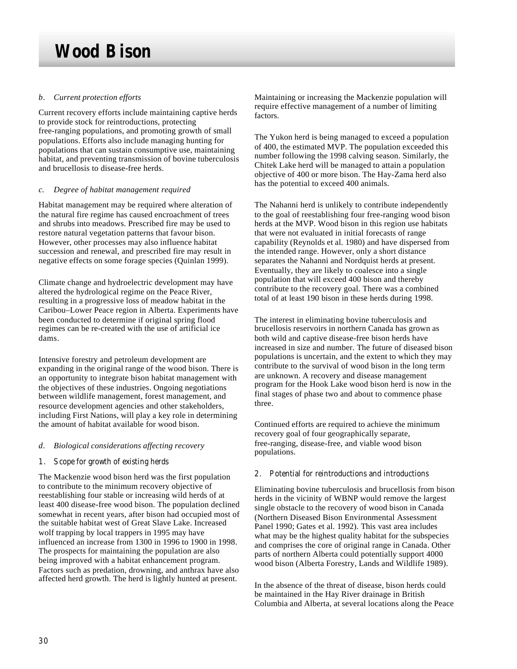### *b. Current protection efforts*

Current recovery efforts include maintaining captive herds to provide stock for reintroductions, protecting free-ranging populations, and promoting growth of small populations. Efforts also include managing hunting for populations that can sustain consumptive use, maintaining habitat, and preventing transmission of bovine tuberculosis and brucellosis to disease-free herds.

#### *c. Degree of habitat management required*

Habitat management may be required where alteration of the natural fire regime has caused encroachment of trees and shrubs into meadows. Prescribed fire may be used to restore natural vegetation patterns that favour bison. However, other processes may also influence habitat succession and renewal, and prescribed fire may result in negative effects on some forage species (Quinlan 1999).

Climate change and hydroelectric development may have altered the hydrological regime on the Peace River, resulting in a progressive loss of meadow habitat in the Caribou–Lower Peace region in Alberta. Experiments have been conducted to determine if original spring flood regimes can be re-created with the use of artificial ice dams.

Intensive forestry and petroleum development are expanding in the original range of the wood bison. There is an opportunity to integrate bison habitat management with the objectives of these industries. Ongoing negotiations between wildlife management, forest management, and resource development agencies and other stakeholders, including First Nations, will play a key role in determining the amount of habitat available for wood bison.

### *d. Biological considerations affecting recovery*

### 1. Scope for growth of existing herds

The Mackenzie wood bison herd was the first population to contribute to the minimum recovery objective of reestablishing four stable or increasing wild herds of at least 400 disease-free wood bison. The population declined somewhat in recent years, after bison had occupied most of the suitable habitat west of Great Slave Lake. Increased wolf trapping by local trappers in 1995 may have influenced an increase from 1300 in 1996 to 1900 in 1998. The prospects for maintaining the population are also being improved with a habitat enhancement program. Factors such as predation, drowning, and anthrax have also affected herd growth. The herd is lightly hunted at present.

Maintaining or increasing the Mackenzie population will require effective management of a number of limiting factors.

The Yukon herd is being managed to exceed a population of 400, the estimated MVP. The population exceeded this number following the 1998 calving season. Similarly, the Chitek Lake herd will be managed to attain a population objective of 400 or more bison. The Hay-Zama herd also has the potential to exceed 400 animals.

The Nahanni herd is unlikely to contribute independently to the goal of reestablishing four free-ranging wood bison herds at the MVP. Wood bison in this region use habitats that were not evaluated in initial forecasts of range capability (Reynolds et al*.* 1980) and have dispersed from the intended range. However, only a short distance separates the Nahanni and Nordquist herds at present. Eventually, they are likely to coalesce into a single population that will exceed 400 bison and thereby contribute to the recovery goal. There was a combined total of at least 190 bison in these herds during 1998.

The interest in eliminating bovine tuberculosis and brucellosis reservoirs in northern Canada has grown as both wild and captive disease-free bison herds have increased in size and number. The future of diseased bison populations is uncertain, and the extent to which they may contribute to the survival of wood bison in the long term are unknown. A recovery and disease management program for the Hook Lake wood bison herd is now in the final stages of phase two and about to commence phase three.

Continued efforts are required to achieve the minimum recovery goal of four geographically separate, free-ranging, disease-free, and viable wood bison populations.

#### 2. Potential for reintroductions and introductions

Eliminating bovine tuberculosis and brucellosis from bison herds in the vicinity of WBNP would remove the largest single obstacle to the recovery of wood bison in Canada (Northern Diseased Bison Environmental Assessment Panel 1990; Gates et al. 1992). This vast area includes what may be the highest quality habitat for the subspecies and comprises the core of original range in Canada. Other parts of northern Alberta could potentially support 4000 wood bison (Alberta Forestry, Lands and Wildlife 1989).

In the absence of the threat of disease, bison herds could be maintained in the Hay River drainage in British Columbia and Alberta, at several locations along the Peace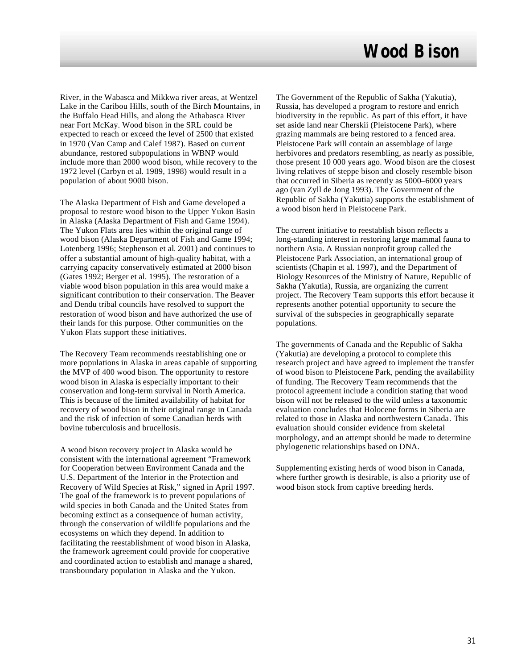River, in the Wabasca and Mikkwa river areas, at Wentzel Lake in the Caribou Hills, south of the Birch Mountains, in the Buffalo Head Hills, and along the Athabasca River near Fort McKay. Wood bison in the SRL could be expected to reach or exceed the level of 2500 that existed in 1970 (Van Camp and Calef 1987). Based on current abundance, restored subpopulations in WBNP would include more than 2000 wood bison, while recovery to the 1972 level (Carbyn et al*.* 1989, 1998) would result in a population of about 9000 bison.

The Alaska Department of Fish and Game developed a proposal to restore wood bison to the Upper Yukon Basin in Alaska (Alaska Department of Fish and Game 1994). The Yukon Flats area lies within the original range of wood bison (Alaska Department of Fish and Game 1994; Lotenberg 1996; Stephenson et al*.* 2001) and continues to offer a substantial amount of high-quality habitat, with a carrying capacity conservatively estimated at 2000 bison (Gates 1992; Berger et al*.* 1995). The restoration of a viable wood bison population in this area would make a significant contribution to their conservation. The Beaver and Dendu tribal councils have resolved to support the restoration of wood bison and have authorized the use of their lands for this purpose. Other communities on the Yukon Flats support these initiatives.

The Recovery Team recommends reestablishing one or more populations in Alaska in areas capable of supporting the MVP of 400 wood bison. The opportunity to restore wood bison in Alaska is especially important to their conservation and long-term survival in North America. This is because of the limited availability of habitat for recovery of wood bison in their original range in Canada and the risk of infection of some Canadian herds with bovine tuberculosis and brucellosis.

A wood bison recovery project in Alaska would be consistent with the international agreement "Framework for Cooperation between Environment Canada and the U.S. Department of the Interior in the Protection and Recovery of Wild Species at Risk," signed in April 1997. The goal of the framework is to prevent populations of wild species in both Canada and the United States from becoming extinct as a consequence of human activity, through the conservation of wildlife populations and the ecosystems on which they depend. In addition to facilitating the reestablishment of wood bison in Alaska, the framework agreement could provide for cooperative and coordinated action to establish and manage a shared, transboundary population in Alaska and the Yukon.

The Government of the Republic of Sakha (Yakutia), Russia, has developed a program to restore and enrich biodiversity in the republic. As part of this effort, it have set aside land near Cherskii (Pleistocene Park), where grazing mammals are being restored to a fenced area. Pleistocene Park will contain an assemblage of large herbivores and predators resembling, as nearly as possible, those present 10 000 years ago. Wood bison are the closest living relatives of steppe bison and closely resemble bison that occurred in Siberia as recently as 5000–6000 years ago (van Zyll de Jong 1993). The Government of the Republic of Sakha (Yakutia) supports the establishment of a wood bison herd in Pleistocene Park.

The current initiative to reestablish bison reflects a long-standing interest in restoring large mammal fauna to northern Asia. A Russian nonprofit group called the Pleistocene Park Association, an international group of scientists (Chapin et al*.* 1997), and the Department of Biology Resources of the Ministry of Nature, Republic of Sakha (Yakutia), Russia, are organizing the current project. The Recovery Team supports this effort because it represents another potential opportunity to secure the survival of the subspecies in geographically separate populations.

The governments of Canada and the Republic of Sakha (Yakutia) are developing a protocol to complete this research project and have agreed to implement the transfer of wood bison to Pleistocene Park, pending the availability of funding. The Recovery Team recommends that the protocol agreement include a condition stating that wood bison will not be released to the wild unless a taxonomic evaluation concludes that Holocene forms in Siberia are related to those in Alaska and northwestern Canada*.* This evaluation should consider evidence from skeletal morphology, and an attempt should be made to determine phylogenetic relationships based on DNA.

Supplementing existing herds of wood bison in Canada, where further growth is desirable, is also a priority use of wood bison stock from captive breeding herds.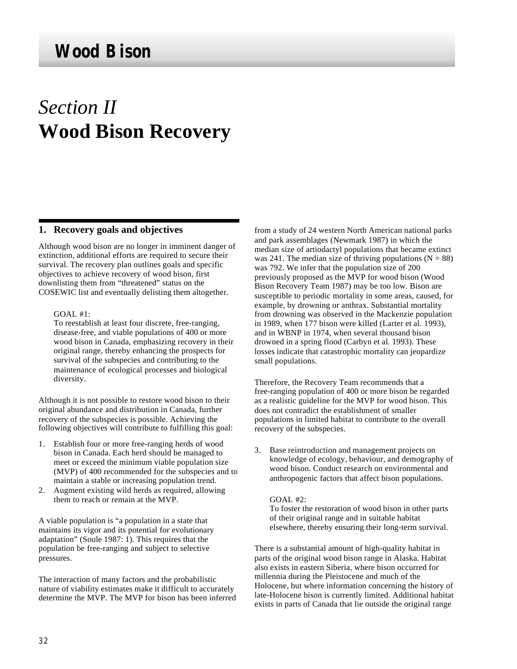# *Section II* **Wood Bison Recovery**

### **1. Recovery goals and objectives**

Although wood bison are no longer in imminent danger of extinction, additional efforts are required to secure their survival. The recovery plan outlines goals and specific objectives to achieve recovery of wood bison, first downlisting them from "threatened" status on the COSEWIC list and eventually delisting them altogether.

#### GOAL #1:

To reestablish at least four discrete, free-ranging, disease-free, and viable populations of 400 or more wood bison in Canada, emphasizing recovery in their original range, thereby enhancing the prospects for survival of the subspecies and contributing to the maintenance of ecological processes and biological diversity.

Although it is not possible to restore wood bison to their original abundance and distribution in Canada, further recovery of the subspecies is possible. Achieving the following objectives will contribute to fulfilling this goal:

- 1. Establish four or more free-ranging herds of wood bison in Canada. Each herd should be managed to meet or exceed the minimum viable population size (MVP) of 400 recommended for the subspecies and to maintain a stable or increasing population trend.
- 2. Augment existing wild herds as required, allowing them to reach or remain at the MVP.

A viable population is "a population in a state that maintains its vigor and its potential for evolutionary adaptation" (Soule 1987: 1). This requires that the population be free-ranging and subject to selective pressures.

The interaction of many factors and the probabilistic nature of viability estimates make it difficult to accurately determine the MVP. The MVP for bison has been inferred from a study of 24 western North American national parks and park assemblages (Newmark 1987) in which the median size of artiodactyl populations that became extinct was 241. The median size of thriving populations ( $N = 88$ ) was 792. We infer that the population size of 200 previously proposed as the MVP for wood bison (Wood Bison Recovery Team 1987) may be too low. Bison are susceptible to periodic mortality in some areas, caused, for example, by drowning or anthrax. Substantial mortality from drowning was observed in the Mackenzie population in 1989, when 177 bison were killed (Larter et al*.* 1993), and in WBNP in 1974, when several thousand bison drowned in a spring flood (Carbyn et al*.* 1993). These losses indicate that catastrophic mortality can jeopardize small populations.

Therefore, the Recovery Team recommends that a free-ranging population of 400 or more bison be regarded as a realistic guideline for the MVP for wood bison. This does not contradict the establishment of smaller populations in limited habitat to contribute to the overall recovery of the subspecies.

3. Base reintroduction and management projects on knowledge of ecology, behaviour, and demography of wood bison. Conduct research on environmental and anthropogenic factors that affect bison populations.

#### GOAL #2:

To foster the restoration of wood bison in other parts of their original range and in suitable habitat elsewhere, thereby ensuring their long-term survival.

There is a substantial amount of high-quality habitat in parts of the original wood bison range in Alaska. Habitat also exists in eastern Siberia, where bison occurred for millennia during the Pleistocene and much of the Holocene, but where information concerning the history of late-Holocene bison is currently limited. Additional habitat exists in parts of Canada that lie outside the original range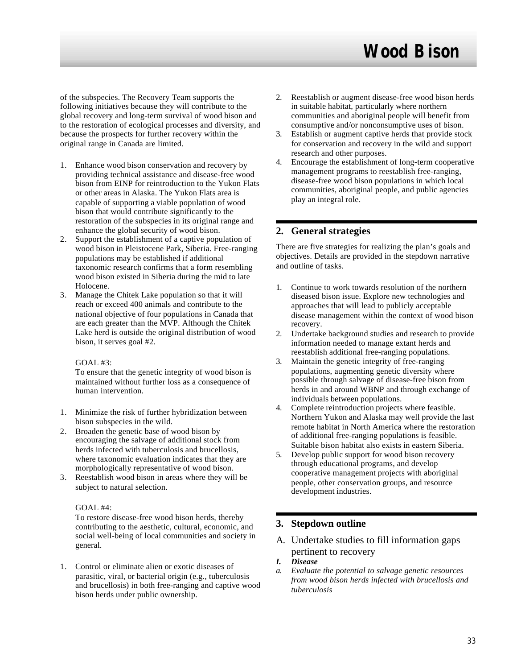of the subspecies. The Recovery Team supports the following initiatives because they will contribute to the global recovery and long-term survival of wood bison and to the restoration of ecological processes and diversity, and because the prospects for further recovery within the original range in Canada are limited.

- 1. Enhance wood bison conservation and recovery by providing technical assistance and disease-free wood bison from EINP for reintroduction to the Yukon Flats or other areas in Alaska. The Yukon Flats area is capable of supporting a viable population of wood bison that would contribute significantly to the restoration of the subspecies in its original range and enhance the global security of wood bison.
- 2. Support the establishment of a captive population of wood bison in Pleistocene Park, Siberia. Free-ranging populations may be established if additional taxonomic research confirms that a form resembling wood bison existed in Siberia during the mid to late Holocene.
- 3. Manage the Chitek Lake population so that it will reach or exceed 400 animals and contribute to the national objective of four populations in Canada that are each greater than the MVP. Although the Chitek Lake herd is outside the original distribution of wood bison, it serves goal #2.

### GOAL #3:

To ensure that the genetic integrity of wood bison is maintained without further loss as a consequence of human intervention.

- 1. Minimize the risk of further hybridization between bison subspecies in the wild.
- 2. Broaden the genetic base of wood bison by encouraging the salvage of additional stock from herds infected with tuberculosis and brucellosis, where taxonomic evaluation indicates that they are morphologically representative of wood bison.
- 3. Reestablish wood bison in areas where they will be subject to natural selection.

#### GOAL #4:

To restore disease-free wood bison herds, thereby contributing to the aesthetic, cultural, economic, and social well-being of local communities and society in general.

1. Control or eliminate alien or exotic diseases of parasitic, viral, or bacterial origin (e.g., tuberculosis and brucellosis) in both free-ranging and captive wood bison herds under public ownership.

- 2. Reestablish or augment disease-free wood bison herds in suitable habitat, particularly where northern communities and aboriginal people will benefit from consumptive and/or nonconsumptive uses of bison.
- 3. Establish or augment captive herds that provide stock for conservation and recovery in the wild and support research and other purposes.
- 4. Encourage the establishment of long-term cooperative management programs to reestablish free-ranging, disease-free wood bison populations in which local communities, aboriginal people, and public agencies play an integral role.

# **2. General strategies**

There are five strategies for realizing the plan's goals and objectives. Details are provided in the stepdown narrative and outline of tasks.

- 1. Continue to work towards resolution of the northern diseased bison issue. Explore new technologies and approaches that will lead to publicly acceptable disease management within the context of wood bison recovery.
- 2. Undertake background studies and research to provide information needed to manage extant herds and reestablish additional free-ranging populations.
- 3. Maintain the genetic integrity of free-ranging populations, augmenting genetic diversity where possible through salvage of disease-free bison from herds in and around WBNP and through exchange of individuals between populations.
- 4. Complete reintroduction projects where feasible. Northern Yukon and Alaska may well provide the last remote habitat in North America where the restoration of additional free-ranging populations is feasible. Suitable bison habitat also exists in eastern Siberia.
- 5. Develop public support for wood bison recovery through educational programs, and develop cooperative management projects with aboriginal people, other conservation groups, and resource development industries.

# **3. Stepdown outline**

- A. Undertake studies to fill information gaps pertinent to recovery
- *I. Disease*
- *a. Evaluate the potential to salvage genetic resources from wood bison herds infected with brucellosis and tuberculosis*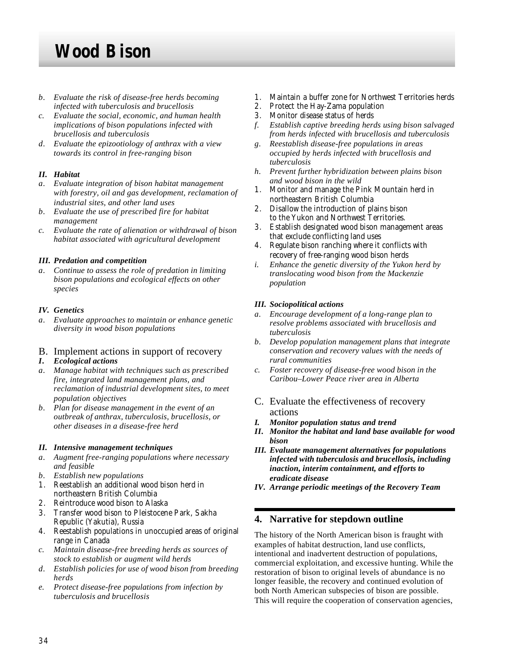- *b. Evaluate the risk of disease-free herds becoming infected with tuberculosis and brucellosis*
- *c. Evaluate the social, economic, and human health implications of bison populations infected with brucellosis and tuberculosis*
- *d. Evaluate the epizootiology of anthrax with a view towards its control in free-ranging bison*

# *II. Habitat*

- *a. Evaluate integration of bison habitat management with forestry, oil and gas development, reclamation of industrial sites, and other land uses*
- *b. Evaluate the use of prescribed fire for habitat management*
- *c. Evaluate the rate of alienation or withdrawal of bison habitat associated with agricultural development*

### *III. Predation and competition*

*a. Continue to assess the role of predation in limiting bison populations and ecological effects on other species*

### *IV. Genetics*

*a. Evaluate approaches to maintain or enhance genetic diversity in wood bison populations*

# B. Implement actions in support of recovery

- *I. Ecological actions*
- *a. Manage habitat with techniques such as prescribed fire, integrated land management plans, and reclamation of industrial development sites, to meet population objectives*
- *b. Plan for disease management in the event of an outbreak of anthrax, tuberculosis, brucellosis, or other diseases in a disease-free herd*

### *II. Intensive management techniques*

- *a. Augment free-ranging populations where necessary and feasible*
- *b. Establish new populations*
- 1. Reestablish an additional wood bison herd in northeastern British Columbia
- 2. Reintroduce wood bison to Alaska
- 3. Transfer wood bison to Pleistocene Park, Sakha Republic (Yakutia), Russia
- 4. Reestablish populations in unoccupied areas of original range in Canada
- *c. Maintain disease-free breeding herds as sources of stock to establish or augment wild herds*
- *d. Establish policies for use of wood bison from breeding herds*
- *e. Protect disease-free populations from infection by tuberculosis and brucellosis*
- 1. Maintain a buffer zone for Northwest Territories herds
- 2. Protect the Hay-Zama population
- 3. Monitor disease status of herds
- *f. Establish captive breeding herds using bison salvaged from herds infected with brucellosis and tuberculosis*
- *g. Reestablish disease-free populations in areas occupied by herds infected with brucellosis and tuberculosis*
- *h. Prevent further hybridization between plains bison and wood bison in the wild*
- 1. Monitor and manage the Pink Mountain herd in northeastern British Columbia
- 2. Disallow the introduction of plains bison to the Yukon and Northwest Territories.
- 3. Establish designated wood bison management areas that exclude conflicting land uses
- 4. Regulate bison ranching where it conflicts with recovery of free-ranging wood bison herds
- *i. Enhance the genetic diversity of the Yukon herd by translocating wood bison from the Mackenzie population*

## *III. Sociopolitical actions*

- *a. Encourage development of a long-range plan to resolve problems associated with brucellosis and tuberculosis*
- *b. Develop population management plans that integrate conservation and recovery values with the needs of rural communities*
- *c. Foster recovery of disease-free wood bison in the Caribou–Lower Peace river area in Alberta*
- C. Evaluate the effectiveness of recovery actions
- *I. Monitor population status and trend*
- *II. Monitor the habitat and land base available for wood bison*
- *III. Evaluate management alternatives for populations infected with tuberculosis and brucellosis, including inaction, interim containment, and efforts to eradicate disease*
- *IV. Arrange periodic meetings of the Recovery Team*

# **4. Narrative for stepdown outline**

The history of the North American bison is fraught with examples of habitat destruction, land use conflicts, intentional and inadvertent destruction of populations, commercial exploitation, and excessive hunting. While the restoration of bison to original levels of abundance is no longer feasible, the recovery and continued evolution of both North American subspecies of bison are possible. This will require the cooperation of conservation agencies,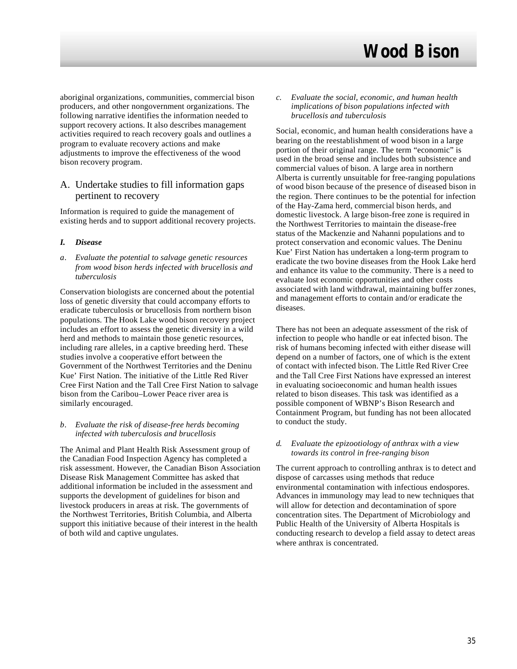aboriginal organizations, communities, commercial bison producers, and other nongovernment organizations. The following narrative identifies the information needed to support recovery actions. It also describes management activities required to reach recovery goals and outlines a program to evaluate recovery actions and make adjustments to improve the effectiveness of the wood bison recovery program.

# A. Undertake studies to fill information gaps pertinent to recovery

Information is required to guide the management of existing herds and to support additional recovery projects.

### *I. Disease*

*a. Evaluate the potential to salvage genetic resources from wood bison herds infected with brucellosis and tuberculosis*

Conservation biologists are concerned about the potential loss of genetic diversity that could accompany efforts to eradicate tuberculosis or brucellosis from northern bison populations. The Hook Lake wood bison recovery project includes an effort to assess the genetic diversity in a wild herd and methods to maintain those genetic resources, including rare alleles, in a captive breeding herd. These studies involve a cooperative effort between the Government of the Northwest Territories and the Deninu Kue' First Nation. The initiative of the Little Red River Cree First Nation and the Tall Cree First Nation to salvage bison from the Caribou–Lower Peace river area is similarly encouraged.

#### *b. Evaluate the risk of disease-free herds becoming infected with tuberculosis and brucellosis*

The Animal and Plant Health Risk Assessment group of the Canadian Food Inspection Agency has completed a risk assessment. However, the Canadian Bison Association Disease Risk Management Committee has asked that additional information be included in the assessment and supports the development of guidelines for bison and livestock producers in areas at risk. The governments of the Northwest Territories, British Columbia, and Alberta support this initiative because of their interest in the health of both wild and captive ungulates.

*c. Evaluate the social, economic, and human health implications of bison populations infected with brucellosis and tuberculosis*

Social, economic, and human health considerations have a bearing on the reestablishment of wood bison in a large portion of their original range. The term "economic" is used in the broad sense and includes both subsistence and commercial values of bison. A large area in northern Alberta is currently unsuitable for free-ranging populations of wood bison because of the presence of diseased bison in the region. There continues to be the potential for infection of the Hay-Zama herd, commercial bison herds, and domestic livestock. A large bison-free zone is required in the Northwest Territories to maintain the disease-free status of the Mackenzie and Nahanni populations and to protect conservation and economic values. The Deninu Kue' First Nation has undertaken a long-term program to eradicate the two bovine diseases from the Hook Lake herd and enhance its value to the community. There is a need to evaluate lost economic opportunities and other costs associated with land withdrawal, maintaining buffer zones, and management efforts to contain and/or eradicate the diseases.

There has not been an adequate assessment of the risk of infection to people who handle or eat infected bison. The risk of humans becoming infected with either disease will depend on a number of factors, one of which is the extent of contact with infected bison. The Little Red River Cree and the Tall Cree First Nations have expressed an interest in evaluating socioeconomic and human health issues related to bison diseases. This task was identified as a possible component of WBNP's Bison Research and Containment Program, but funding has not been allocated to conduct the study.

#### *d. Evaluate the epizootiology of anthrax with a view towards its control in free-ranging bison*

The current approach to controlling anthrax is to detect and dispose of carcasses using methods that reduce environmental contamination with infectious endospores. Advances in immunology may lead to new techniques that will allow for detection and decontamination of spore concentration sites. The Department of Microbiology and Public Health of the University of Alberta Hospitals is conducting research to develop a field assay to detect areas where anthrax is concentrated.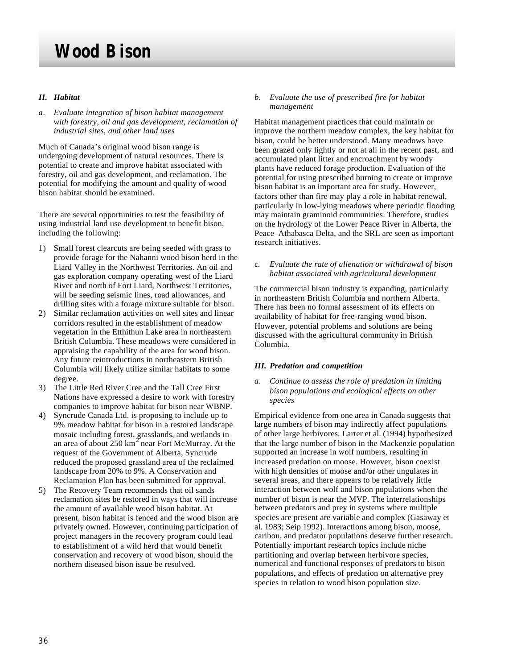### *II. Habitat*

*a. Evaluate integration of bison habitat management with forestry, oil and gas development, reclamation of industrial sites, and other land uses*

Much of Canada's original wood bison range is undergoing development of natural resources. There is potential to create and improve habitat associated with forestry, oil and gas development, and reclamation. The potential for modifying the amount and quality of wood bison habitat should be examined.

There are several opportunities to test the feasibility of using industrial land use development to benefit bison, including the following:

- 1) Small forest clearcuts are being seeded with grass to provide forage for the Nahanni wood bison herd in the Liard Valley in the Northwest Territories. An oil and gas exploration company operating west of the Liard River and north of Fort Liard, Northwest Territories, will be seeding seismic lines, road allowances, and drilling sites with a forage mixture suitable for bison.
- 2) Similar reclamation activities on well sites and linear corridors resulted in the establishment of meadow vegetation in the Etthithun Lake area in northeastern British Columbia. These meadows were considered in appraising the capability of the area for wood bison. Any future reintroductions in northeastern British Columbia will likely utilize similar habitats to some degree.
- 3) The Little Red River Cree and the Tall Cree First Nations have expressed a desire to work with forestry companies to improve habitat for bison near WBNP.
- 4) Syncrude Canada Ltd. is proposing to include up to 9% meadow habitat for bison in a restored landscape mosaic including forest, grasslands, and wetlands in an area of about 250  $\text{km}^2$  near Fort McMurray. At the request of the Government of Alberta, Syncrude reduced the proposed grassland area of the reclaimed landscape from 20% to 9%. A Conservation and Reclamation Plan has been submitted for approval.
- 5) The Recovery Team recommends that oil sands reclamation sites be restored in ways that will increase the amount of available wood bison habitat. At present, bison habitat is fenced and the wood bison are privately owned. However, continuing participation of project managers in the recovery program could lead to establishment of a wild herd that would benefit conservation and recovery of wood bison, should the northern diseased bison issue be resolved.

#### *b. Evaluate the use of prescribed fire for habitat management*

Habitat management practices that could maintain or improve the northern meadow complex, the key habitat for bison, could be better understood. Many meadows have been grazed only lightly or not at all in the recent past, and accumulated plant litter and encroachment by woody plants have reduced forage production. Evaluation of the potential for using prescribed burning to create or improve bison habitat is an important area for study. However, factors other than fire may play a role in habitat renewal, particularly in low-lying meadows where periodic flooding may maintain graminoid communities. Therefore, studies on the hydrology of the Lower Peace River in Alberta, the Peace–Athabasca Delta, and the SRL are seen as important research initiatives.

*c. Evaluate the rate of alienation or withdrawal of bison habitat associated with agricultural development*

The commercial bison industry is expanding, particularly in northeastern British Columbia and northern Alberta. There has been no formal assessment of its effects on availability of habitat for free-ranging wood bison. However, potential problems and solutions are being discussed with the agricultural community in British Columbia.

#### *III. Predation and competition*

*a. Continue to assess the role of predation in limiting bison populations and ecological effects on other species*

Empirical evidence from one area in Canada suggests that large numbers of bison may indirectly affect populations of other large herbivores. Larter et al*.* (1994) hypothesized that the large number of bison in the Mackenzie population supported an increase in wolf numbers, resulting in increased predation on moose. However, bison coexist with high densities of moose and/or other ungulates in several areas, and there appears to be relatively little interaction between wolf and bison populations when the number of bison is near the MVP. The interrelationships between predators and prey in systems where multiple species are present are variable and complex (Gasaway et al*.* 1983; Seip 1992). Interactions among bison, moose, caribou, and predator populations deserve further research. Potentially important research topics include niche partitioning and overlap between herbivore species, numerical and functional responses of predators to bison populations, and effects of predation on alternative prey species in relation to wood bison population size.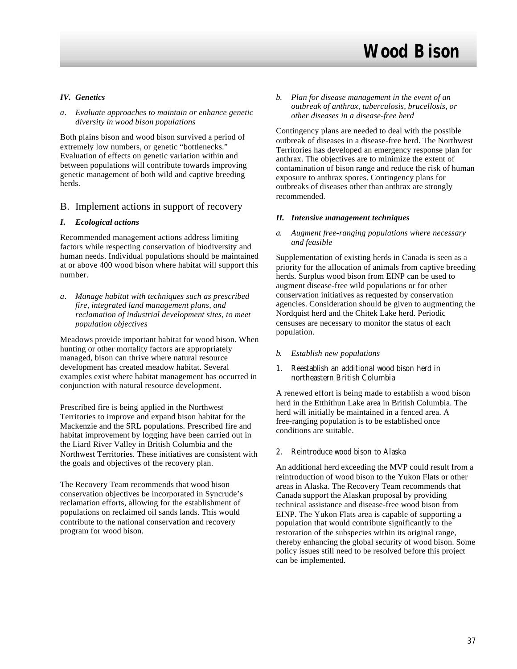### *IV. Genetics*

#### *a. Evaluate approaches to maintain or enhance genetic diversity in wood bison populations*

Both plains bison and wood bison survived a period of extremely low numbers, or genetic "bottlenecks." Evaluation of effects on genetic variation within and between populations will contribute towards improving genetic management of both wild and captive breeding herds.

#### B. Implement actions in support of recovery

#### *I. Ecological actions*

Recommended management actions address limiting factors while respecting conservation of biodiversity and human needs. Individual populations should be maintained at or above 400 wood bison where habitat will support this number.

*a. Manage habitat with techniques such as prescribed fire, integrated land management plans, and reclamation of industrial development sites, to meet population objectives*

Meadows provide important habitat for wood bison. When hunting or other mortality factors are appropriately managed, bison can thrive where natural resource development has created meadow habitat. Several examples exist where habitat management has occurred in conjunction with natural resource development.

Prescribed fire is being applied in the Northwest Territories to improve and expand bison habitat for the Mackenzie and the SRL populations. Prescribed fire and habitat improvement by logging have been carried out in the Liard River Valley in British Columbia and the Northwest Territories. These initiatives are consistent with the goals and objectives of the recovery plan.

The Recovery Team recommends that wood bison conservation objectives be incorporated in Syncrude's reclamation efforts, allowing for the establishment of populations on reclaimed oil sands lands. This would contribute to the national conservation and recovery program for wood bison.

*b. Plan for disease management in the event of an outbreak of anthrax, tuberculosis, brucellosis, or other diseases in a disease-free herd*

Contingency plans are needed to deal with the possible outbreak of diseases in a disease-free herd. The Northwest Territories has developed an emergency response plan for anthrax. The objectives are to minimize the extent of contamination of bison range and reduce the risk of human exposure to anthrax spores. Contingency plans for outbreaks of diseases other than anthrax are strongly recommended.

#### *II. Intensive management techniques*

*a. Augment free-ranging populations where necessary and feasible*

Supplementation of existing herds in Canada is seen as a priority for the allocation of animals from captive breeding herds. Surplus wood bison from EINP can be used to augment disease-free wild populations or for other conservation initiatives as requested by conservation agencies. Consideration should be given to augmenting the Nordquist herd and the Chitek Lake herd. Periodic censuses are necessary to monitor the status of each population.

- *b. Establish new populations*
- 1. Reestablish an additional wood bison herd in northeastern British Columbia

A renewed effort is being made to establish a wood bison herd in the Etthithun Lake area in British Columbia. The herd will initially be maintained in a fenced area. A free-ranging population is to be established once conditions are suitable.

#### 2. Reintroduce wood bison to Alaska

An additional herd exceeding the MVP could result from a reintroduction of wood bison to the Yukon Flats or other areas in Alaska. The Recovery Team recommends that Canada support the Alaskan proposal by providing technical assistance and disease-free wood bison from EINP. The Yukon Flats area is capable of supporting a population that would contribute significantly to the restoration of the subspecies within its original range, thereby enhancing the global security of wood bison. Some policy issues still need to be resolved before this project can be implemented.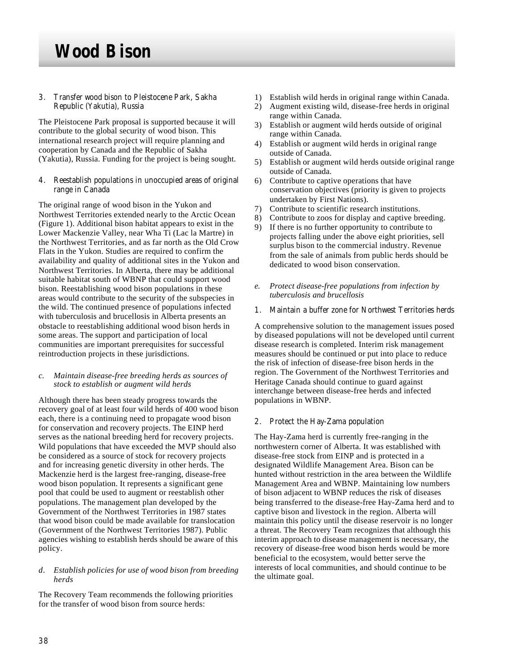3. Transfer wood bison to Pleistocene Park, Sakha Republic (Yakutia), Russia

The Pleistocene Park proposal is supported because it will contribute to the global security of wood bison. This international research project will require planning and cooperation by Canada and the Republic of Sakha (Yakutia), Russia. Funding for the project is being sought.

4. Reestablish populations in unoccupied areas of original range in Canada

The original range of wood bison in the Yukon and Northwest Territories extended nearly to the Arctic Ocean (Figure 1). Additional bison habitat appears to exist in the Lower Mackenzie Valley, near Wha Ti (Lac la Martre) in the Northwest Territories, and as far north as the Old Crow Flats in the Yukon. Studies are required to confirm the availability and quality of additional sites in the Yukon and Northwest Territories. In Alberta, there may be additional suitable habitat south of WBNP that could support wood bison. Reestablishing wood bison populations in these areas would contribute to the security of the subspecies in the wild. The continued presence of populations infected with tuberculosis and brucellosis in Alberta presents an obstacle to reestablishing additional wood bison herds in some areas. The support and participation of local communities are important prerequisites for successful reintroduction projects in these jurisdictions.

#### *c. Maintain disease-free breeding herds as sources of stock to establish or augment wild herds*

Although there has been steady progress towards the recovery goal of at least four wild herds of 400 wood bison each, there is a continuing need to propagate wood bison for conservation and recovery projects. The EINP herd serves as the national breeding herd for recovery projects. Wild populations that have exceeded the MVP should also be considered as a source of stock for recovery projects and for increasing genetic diversity in other herds. The Mackenzie herd is the largest free-ranging, disease-free wood bison population. It represents a significant gene pool that could be used to augment or reestablish other populations. The management plan developed by the Government of the Northwest Territories in 1987 states that wood bison could be made available for translocation (Government of the Northwest Territories 1987). Public agencies wishing to establish herds should be aware of this policy.

#### *d. Establish policies for use of wood bison from breeding herds*

The Recovery Team recommends the following priorities for the transfer of wood bison from source herds:

- 1) Establish wild herds in original range within Canada.
- 2) Augment existing wild, disease-free herds in original range within Canada.
- 3) Establish or augment wild herds outside of original range within Canada.
- 4) Establish or augment wild herds in original range outside of Canada.
- 5) Establish or augment wild herds outside original range outside of Canada.
- 6) Contribute to captive operations that have conservation objectives (priority is given to projects undertaken by First Nations).
- 7) Contribute to scientific research institutions.
- 8) Contribute to zoos for display and captive breeding.
- 9) If there is no further opportunity to contribute to projects falling under the above eight priorities, sell surplus bison to the commercial industry. Revenue from the sale of animals from public herds should be dedicated to wood bison conservation.
- *e. Protect disease-free populations from infection by tuberculosis and brucellosis*
- 1. Maintain a buffer zone for Northwest Territories herds

A comprehensive solution to the management issues posed by diseased populations will not be developed until current disease research is completed. Interim risk management measures should be continued or put into place to reduce the risk of infection of disease-free bison herds in the region. The Government of the Northwest Territories and Heritage Canada should continue to guard against interchange between disease-free herds and infected populations in WBNP.

2. Protect the Hay-Zama population

The Hay-Zama herd is currently free-ranging in the northwestern corner of Alberta. It was established with disease-free stock from EINP and is protected in a designated Wildlife Management Area. Bison can be hunted without restriction in the area between the Wildlife Management Area and WBNP. Maintaining low numbers of bison adjacent to WBNP reduces the risk of diseases being transferred to the disease-free Hay-Zama herd and to captive bison and livestock in the region. Alberta will maintain this policy until the disease reservoir is no longer a threat. The Recovery Team recognizes that although this interim approach to disease management is necessary, the recovery of disease-free wood bison herds would be more beneficial to the ecosystem, would better serve the interests of local communities, and should continue to be the ultimate goal.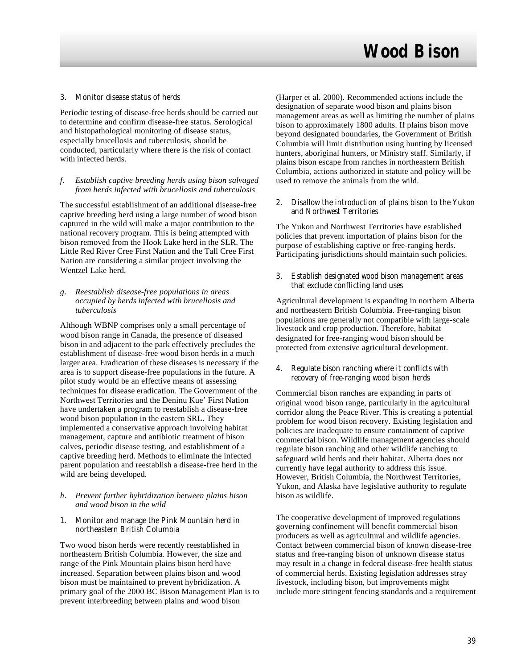#### 3. Monitor disease status of herds

Periodic testing of disease-free herds should be carried out to determine and confirm disease-free status. Serological and histopathological monitoring of disease status, especially brucellosis and tuberculosis, should be conducted, particularly where there is the risk of contact with infected herds.

#### *f. Establish captive breeding herds using bison salvaged from herds infected with brucellosis and tuberculosis*

The successful establishment of an additional disease-free captive breeding herd using a large number of wood bison captured in the wild will make a major contribution to the national recovery program. This is being attempted with bison removed from the Hook Lake herd in the SLR. The Little Red River Cree First Nation and the Tall Cree First Nation are considering a similar project involving the Wentzel Lake herd.

#### *g. Reestablish disease-free populations in areas occupied by herds infected with brucellosis and tuberculosis*

Although WBNP comprises only a small percentage of wood bison range in Canada, the presence of diseased bison in and adjacent to the park effectively precludes the establishment of disease-free wood bison herds in a much larger area. Eradication of these diseases is necessary if the area is to support disease-free populations in the future. A pilot study would be an effective means of assessing techniques for disease eradication. The Government of the Northwest Territories and the Deninu Kue' First Nation have undertaken a program to reestablish a disease-free wood bison population in the eastern SRL. They implemented a conservative approach involving habitat management, capture and antibiotic treatment of bison calves, periodic disease testing, and establishment of a captive breeding herd. Methods to eliminate the infected parent population and reestablish a disease-free herd in the wild are being developed.

#### *h. Prevent further hybridization between plains bison and wood bison in the wild*

1. Monitor and manage the Pink Mountain herd in northeastern British Columbia

Two wood bison herds were recently reestablished in northeastern British Columbia. However, the size and range of the Pink Mountain plains bison herd have increased. Separation between plains bison and wood bison must be maintained to prevent hybridization. A primary goal of the 2000 BC Bison Management Plan is to prevent interbreeding between plains and wood bison

(Harper et al. 2000). Recommended actions include the designation of separate wood bison and plains bison management areas as well as limiting the number of plains bison to approximately 1800 adults. If plains bison move beyond designated boundaries, the Government of British Columbia will limit distribution using hunting by licensed hunters, aboriginal hunters, or Ministry staff. Similarly, if plains bison escape from ranches in northeastern British Columbia, actions authorized in statute and policy will be used to remove the animals from the wild.

2. Disallow the introduction of plains bison to the Yukon and Northwest Territories

The Yukon and Northwest Territories have established policies that prevent importation of plains bison for the purpose of establishing captive or free-ranging herds. Participating jurisdictions should maintain such policies.

3. Establish designated wood bison management areas that exclude conflicting land uses

Agricultural development is expanding in northern Alberta and northeastern British Columbia. Free-ranging bison populations are generally not compatible with large-scale livestock and crop production. Therefore, habitat designated for free-ranging wood bison should be protected from extensive agricultural development.

4. Regulate bison ranching where it conflicts with recovery of free-ranging wood bison herds

Commercial bison ranches are expanding in parts of original wood bison range, particularly in the agricultural corridor along the Peace River. This is creating a potential problem for wood bison recovery. Existing legislation and policies are inadequate to ensure containment of captive commercial bison. Wildlife management agencies should regulate bison ranching and other wildlife ranching to safeguard wild herds and their habitat. Alberta does not currently have legal authority to address this issue. However, British Columbia, the Northwest Territories, Yukon, and Alaska have legislative authority to regulate bison as wildlife.

The cooperative development of improved regulations governing confinement will benefit commercial bison producers as well as agricultural and wildlife agencies. Contact between commercial bison of known disease-free status and free-ranging bison of unknown disease status may result in a change in federal disease-free health status of commercial herds. Existing legislation addresses stray livestock, including bison, but improvements might include more stringent fencing standards and a requirement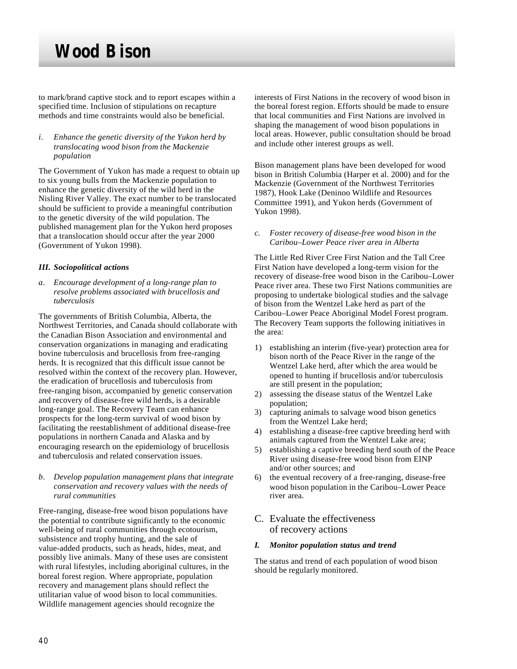to mark/brand captive stock and to report escapes within a specified time. Inclusion of stipulations on recapture methods and time constraints would also be beneficial.

#### *i. Enhance the genetic diversity of the Yukon herd by translocating wood bison from the Mackenzie population*

The Government of Yukon has made a request to obtain up to six young bulls from the Mackenzie population to enhance the genetic diversity of the wild herd in the Nisling River Valley. The exact number to be translocated should be sufficient to provide a meaningful contribution to the genetic diversity of the wild population. The published management plan for the Yukon herd proposes that a translocation should occur after the year 2000 (Government of Yukon 1998).

### *III. Sociopolitical actions*

*a. Encourage development of a long-range plan to resolve problems associated with brucellosis and tuberculosis*

The governments of British Columbia, Alberta, the Northwest Territories, and Canada should collaborate with the Canadian Bison Association and environmental and conservation organizations in managing and eradicating bovine tuberculosis and brucellosis from free-ranging herds. It is recognized that this difficult issue cannot be resolved within the context of the recovery plan. However, the eradication of brucellosis and tuberculosis from free-ranging bison, accompanied by genetic conservation and recovery of disease-free wild herds, is a desirable long-range goal. The Recovery Team can enhance prospects for the long-term survival of wood bison by facilitating the reestablishment of additional disease-free populations in northern Canada and Alaska and by encouraging research on the epidemiology of brucellosis and tuberculosis and related conservation issues.

*b. Develop population management plans that integrate conservation and recovery values with the needs of rural communities*

Free-ranging, disease-free wood bison populations have the potential to contribute significantly to the economic well-being of rural communities through ecotourism, subsistence and trophy hunting, and the sale of value-added products, such as heads, hides, meat, and possibly live animals. Many of these uses are consistent with rural lifestyles, including aboriginal cultures, in the boreal forest region. Where appropriate, population recovery and management plans should reflect the utilitarian value of wood bison to local communities. Wildlife management agencies should recognize the

interests of First Nations in the recovery of wood bison in the boreal forest region. Efforts should be made to ensure that local communities and First Nations are involved in shaping the management of wood bison populations in local areas. However, public consultation should be broad and include other interest groups as well.

Bison management plans have been developed for wood bison in British Columbia (Harper et al. 2000) and for the Mackenzie (Government of the Northwest Territories 1987), Hook Lake (Deninoo Wildlife and Resources Committee 1991), and Yukon herds (Government of Yukon 1998).

#### *c. Foster recovery of disease-free wood bison in the Caribou–Lower Peace river area in Alberta*

The Little Red River Cree First Nation and the Tall Cree First Nation have developed a long-term vision for the recovery of disease-free wood bison in the Caribou–Lower Peace river area. These two First Nations communities are proposing to undertake biological studies and the salvage of bison from the Wentzel Lake herd as part of the Caribou–Lower Peace Aboriginal Model Forest program. The Recovery Team supports the following initiatives in the area:

- 1) establishing an interim (five-year) protection area for bison north of the Peace River in the range of the Wentzel Lake herd, after which the area would be opened to hunting if brucellosis and/or tuberculosis are still present in the population;
- 2) assessing the disease status of the Wentzel Lake population;
- 3) capturing animals to salvage wood bison genetics from the Wentzel Lake herd;
- 4) establishing a disease-free captive breeding herd with animals captured from the Wentzel Lake area;
- 5) establishing a captive breeding herd south of the Peace River using disease-free wood bison from EINP and/or other sources; and
- 6) the eventual recovery of a free-ranging, disease-free wood bison population in the Caribou–Lower Peace river area.

## C. Evaluate the effectiveness of recovery actions

#### *I. Monitor population status and trend*

The status and trend of each population of wood bison should be regularly monitored.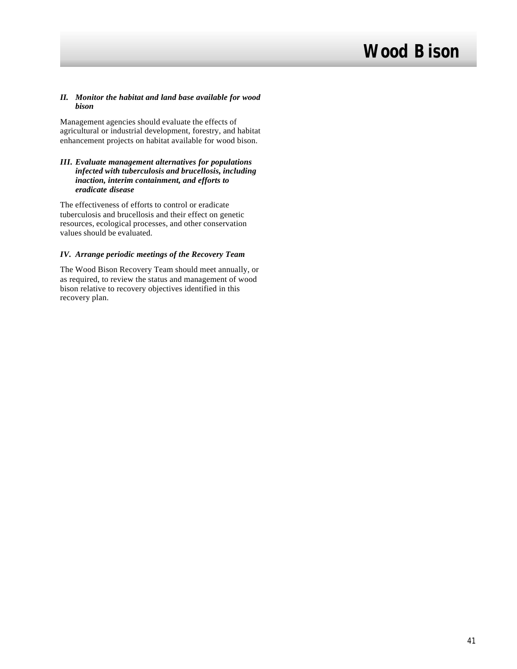#### *II. Monitor the habitat and land base available for wood bison*

Management agencies should evaluate the effects of agricultural or industrial development, forestry, and habitat enhancement projects on habitat available for wood bison.

#### *III. Evaluate management alternatives for populations infected with tuberculosis and brucellosis, including inaction, interim containment, and efforts to eradicate disease*

The effectiveness of efforts to control or eradicate tuberculosis and brucellosis and their effect on genetic resources, ecological processes, and other conservation values should be evaluated.

### *IV. Arrange periodic meetings of the Recovery Team*

The Wood Bison Recovery Team should meet annually, or as required, to review the status and management of wood bison relative to recovery objectives identified in this recovery plan.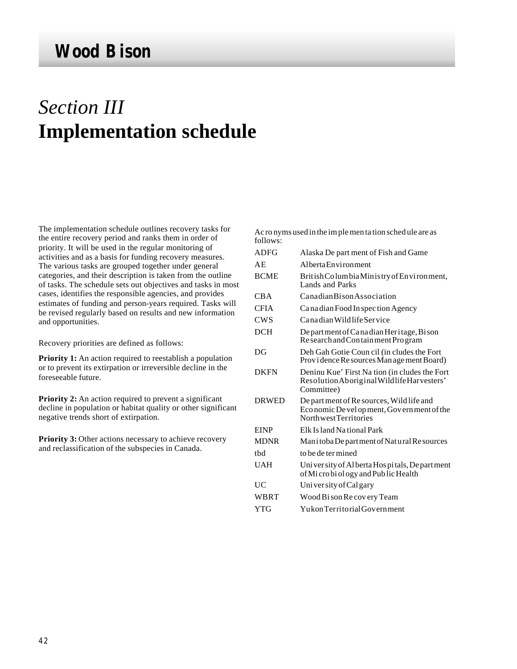# *Section III* **Implementation schedule**

The implementation schedule outlines recovery tasks for the entire recovery period and ranks them in order of priority. It will be used in the regular monitoring of activities and as a basis for funding recovery measures. The various tasks are grouped together under general categories, and their description is taken from the outline of tasks. The schedule sets out objectives and tasks in most cases, identifies the responsible agencies, and provides estimates of funding and person-years required. Tasks will be revised regularly based on results and new information and opportunities.

Recovery priorities are defined as follows:

**Priority 1:** An action required to reestablish a population or to prevent its extirpation or irreversible decline in the foreseeable future.

**Priority 2:** An action required to prevent a significant decline in population or habitat quality or other significant negative trends short of extirpation.

**Priority 3:** Other actions necessary to achieve recovery and reclassification of the subspecies in Canada.

| follows:     | Ac ro nyms used in the implement ation sched ule are as                                                        |
|--------------|----------------------------------------------------------------------------------------------------------------|
| <b>ADFG</b>  | Alaska De part ment of Fish and Game                                                                           |
| AE           | Alberta Environment                                                                                            |
| <b>BCME</b>  | British Columbia Ministry of Environment,<br>Lands and Parks                                                   |
| CBA          | Canadian Bison Association                                                                                     |
| <b>CFIA</b>  | Ca na dian Food In spection Agency                                                                             |
| <b>CWS</b>   | Canadian Wildlife Service                                                                                      |
| <b>DCH</b>   | Department of Canadian Heritage, Bison<br>Research and Containment Program                                     |
| DG           | Deh Gah Gotie Coun cil (in cludes the Fort<br>Providence Resources Man age ment Board)                         |
| <b>DKFN</b>  | Deninu Kue' First Nation (in cludes the Fort<br>Resolution Aboriginal Wildlife Harvesters'<br>Committee)       |
| <b>DRWED</b> | De part ment of Re sources, Wild life and<br>Economic De velopment, Government of the<br>Northwest Territories |
| <b>EINP</b>  | Elk Island National Park                                                                                       |
| <b>MDNR</b>  | Manitoba Department of Natural Resources                                                                       |
| thd          | to be de ter mined                                                                                             |
| <b>UAH</b>   | University of Alberta Hospitals, Department<br>of Microbiology and Public Health                               |
| UC           | Univer sity of Cal gary                                                                                        |
| WBRT         | Wood Bi son Re covery Team                                                                                     |
| <b>YTG</b>   | Yukon Territorial Government                                                                                   |
|              |                                                                                                                |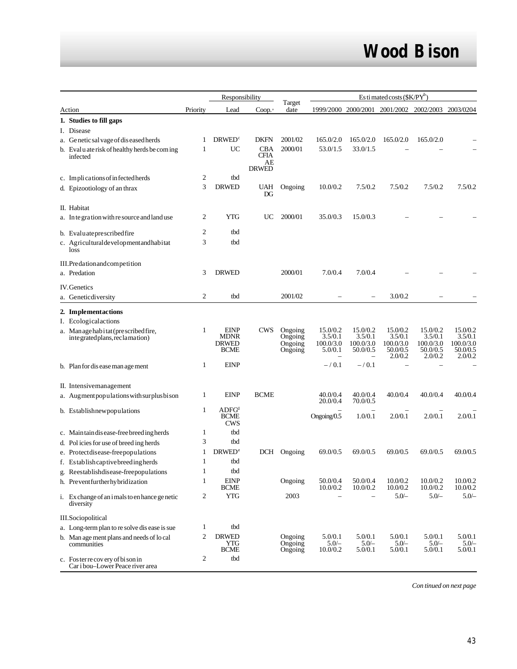| Responsibility                                                           |                | $Estimated costs$ ( $K/PY^b$ )                            |                                          |                                          |                                                                         |                                              |                                                         |                                                         |                                                         |
|--------------------------------------------------------------------------|----------------|-----------------------------------------------------------|------------------------------------------|------------------------------------------|-------------------------------------------------------------------------|----------------------------------------------|---------------------------------------------------------|---------------------------------------------------------|---------------------------------------------------------|
| Action                                                                   | Priority       | Lead                                                      | Coop.                                    | Target<br>date                           |                                                                         |                                              | 1999/2000 2000/2001 2001/2002 2002/2003 2003/0204       |                                                         |                                                         |
| 1. Studies to fill gaps                                                  |                |                                                           |                                          |                                          |                                                                         |                                              |                                                         |                                                         |                                                         |
| I. Disease                                                               |                |                                                           |                                          |                                          |                                                                         |                                              |                                                         |                                                         |                                                         |
| a. Genetic sal vage of dis eased herds                                   | 1              | <b>DRWED</b> <sup>c</sup>                                 | <b>DKFN</b>                              | 2001/02                                  | 165.0/2.0                                                               | 165.0/2.0                                    | 165.0/2.0                                               | 165.0/2.0                                               |                                                         |
| b. Evaluate risk of healthy herds be coming<br>infected                  | 1              | UC                                                        | <b>CBA</b><br>CFIA<br>AE<br><b>DRWED</b> | 2000/01                                  | 53.0/1.5                                                                | 33.0/1.5                                     |                                                         |                                                         |                                                         |
| c. Implications of infected herds                                        | 2              | tbd                                                       |                                          |                                          |                                                                         |                                              |                                                         |                                                         |                                                         |
| d. Epizootiology of an thrax                                             | 3              | <b>DRWED</b>                                              | UAH<br>$_{\rm DG}$                       | Ongoing                                  | 10.0/0.2                                                                | 7.5/0.2                                      | 7.5/0.2                                                 | 7.5/0.2                                                 | 7.5/0.2                                                 |
| II. Habitat                                                              |                |                                                           |                                          |                                          |                                                                         |                                              |                                                         |                                                         |                                                         |
| a. In te gration with resource and land use                              | 2              | <b>YTG</b>                                                | UC                                       | 2000/01                                  | 35.0/0.3                                                                | 15.0/0.3                                     |                                                         |                                                         |                                                         |
| b. Evaluate prescribed fire                                              | $\overline{c}$ | tbd                                                       |                                          |                                          |                                                                         |                                              |                                                         |                                                         |                                                         |
| c. Agriculturaldevelopmentandhabitat<br>loss                             | 3              | tbd                                                       |                                          |                                          |                                                                         |                                              |                                                         |                                                         |                                                         |
| III.Predationandcompetition                                              |                |                                                           |                                          |                                          |                                                                         |                                              |                                                         |                                                         |                                                         |
| a. Predation                                                             | 3              | <b>DRWED</b>                                              |                                          | 2000/01                                  | 7.0/0.4                                                                 | 7.0/0.4                                      |                                                         |                                                         |                                                         |
| <b>IV.</b> Genetics                                                      |                |                                                           |                                          |                                          |                                                                         |                                              |                                                         |                                                         |                                                         |
| a. Geneticdiversity                                                      | $\overline{c}$ | tbd                                                       |                                          | 2001/02                                  |                                                                         |                                              | 3.0/0.2                                                 |                                                         |                                                         |
| 2. Implementactions                                                      |                |                                                           |                                          |                                          |                                                                         |                                              |                                                         |                                                         |                                                         |
| I. Ecologicalactions                                                     |                |                                                           |                                          |                                          |                                                                         |                                              |                                                         |                                                         |                                                         |
| a. Man age hab it at (prescribed fire,<br>integrated plans, reclamation) | 1              | <b>EINP</b><br><b>MDNR</b><br><b>DRWED</b><br><b>BCME</b> | <b>CWS</b>                               | Ongoing<br>Ongoing<br>Ongoing<br>Ongoing | 15.0/0.2<br>3.5/0.1<br>100.0/3.0<br>5.0/0.1<br>$\overline{\phantom{0}}$ | 15.0/0.2<br>3.5/0.1<br>100.0/3.0<br>50.0/0.5 | 15.0/0.2<br>3.5/0.1<br>100.0/3.0<br>50.0/0.5<br>2.0/0.2 | 15.0/0.2<br>3.5/0.1<br>100.0/3.0<br>50.0/0.5<br>2.0/0.2 | 15.0/0.2<br>3.5/0.1<br>100.0/3.0<br>50.0/0.5<br>2.0/0.2 |
| b. Plan for dis ease man age ment                                        | 1              | <b>EINP</b>                                               |                                          |                                          | $- / 0.1$                                                               | $- / 0.1$                                    |                                                         |                                                         |                                                         |
| II. Intensivemanagement                                                  |                |                                                           |                                          |                                          |                                                                         |                                              |                                                         |                                                         |                                                         |
| a. Augment populations with surplus bison                                | 1              | <b>EINP</b>                                               | <b>BCME</b>                              |                                          | 40.0/0.4<br>20.0/0.4                                                    | 40.0/0.4<br>70.0/0.5                         | 40.0/0.4                                                | 40.0/0.4                                                | 40.0/0.4                                                |
| b. Establishnewpopulations                                               | 1              | ADFG <sup>d</sup><br><b>BCME</b><br><b>CWS</b>            |                                          |                                          | Ongoing/ $0.5$                                                          | 1.0/0.1                                      | 2.0/0.1                                                 | 2.0/0.1                                                 | 2.0/0.1                                                 |
| c. Maintain disease-free breeding herds                                  | 1              | tbd                                                       |                                          |                                          |                                                                         |                                              |                                                         |                                                         |                                                         |
| d. Policies for use of breeding herds                                    | 3              | tbd                                                       |                                          |                                          |                                                                         |                                              |                                                         |                                                         |                                                         |
| e. Protectdisease-freepopulations                                        | 1              | <b>DRWED<sup>e</sup></b>                                  | DCH                                      | Ongoing                                  | 69.0/0.5                                                                | 69.0/0.5                                     | 69.0/0.5                                                | 69.0/0.5                                                | 69.0/0.5                                                |
| f. Establish cap tive breeding herds                                     | 1              | tbd                                                       |                                          |                                          |                                                                         |                                              |                                                         |                                                         |                                                         |
| g. Reestablishdisease-freepopulations                                    | 1              | tbd                                                       |                                          |                                          |                                                                         |                                              |                                                         |                                                         |                                                         |
| h. Preventfurtherhybridization                                           | $\mathbf{1}$   | <b>EINP</b><br><b>BCME</b>                                |                                          | Ongoing                                  | 50.0/0.4<br>10.0/0.2                                                    | 50.0/0.4<br>10.0/0.2                         | 10.0/0.2<br>10.0/0.2                                    | 10.0/0.2<br>10.0/0.2                                    | 10.0/0.2<br>10.0/0.2                                    |
| i. Exchange of an imals to enhance genetic<br>diversity                  | 2              | <b>YTG</b>                                                |                                          | 2003                                     | $\overline{\phantom{0}}$                                                |                                              | $5.0/-$                                                 | $5.0/-$                                                 | $5.0/-$                                                 |
| III.Sociopolitical                                                       |                |                                                           |                                          |                                          |                                                                         |                                              |                                                         |                                                         |                                                         |
| a. Long-term plan to re solve dis ease is sue                            | $\mathbf{1}$   | tbd                                                       |                                          |                                          |                                                                         |                                              |                                                         |                                                         |                                                         |
| b. Man age ment plans and needs of local<br>communities                  | $\overline{c}$ | <b>DRWED</b><br>YTG<br><b>BCME</b>                        |                                          | Ongoing<br>Ongoing<br>Ongoing            | 5.0/0.1<br>$5.0/-$<br>10.0/0.2                                          | 5.0/0.1<br>$5.0 -$<br>5.0/0.1                | 5.0/0.1<br>$5.0/-$<br>5.0/0.1                           | 5.0/0.1<br>$5.0 -$<br>5.0/0.1                           | 5.0/0.1<br>$5.0 -$<br>5.0/0.1                           |
| c. Foster recovery of bison in<br>Car i bou-Lower Peace river area       | 2              | tbd                                                       |                                          |                                          |                                                                         |                                              |                                                         |                                                         |                                                         |

*Con tinued on next page*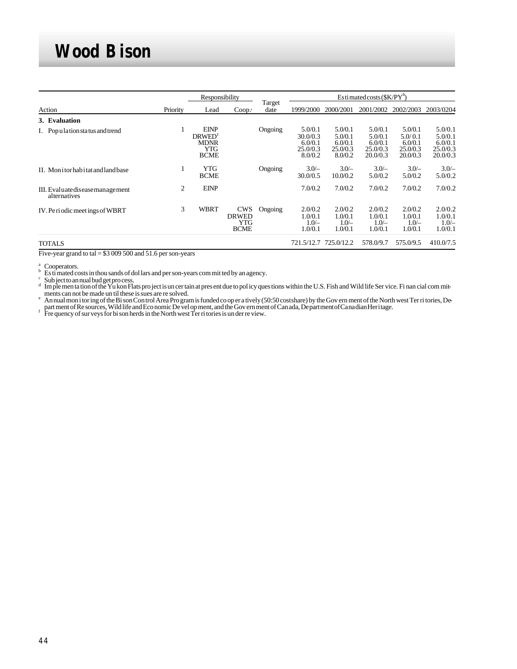|                                                  |          | Responsibility                                                                |                                                         |                | Estimated costs $(SK/PY^b)$                           |                                                      |                                                       |                                                       |                                                       |
|--------------------------------------------------|----------|-------------------------------------------------------------------------------|---------------------------------------------------------|----------------|-------------------------------------------------------|------------------------------------------------------|-------------------------------------------------------|-------------------------------------------------------|-------------------------------------------------------|
| Action                                           | Priority | Lead                                                                          | Coop.                                                   | Target<br>date | 1999/2000                                             | 2000/2001                                            | 2001/2002                                             | 2002/2003                                             | 2003/0204                                             |
| 3. Evaluation                                    |          |                                                                               |                                                         |                |                                                       |                                                      |                                                       |                                                       |                                                       |
| I. Population status and trend                   |          | <b>EINP</b><br><b>DRWED</b> <sup>f</sup><br><b>MDNR</b><br>YTG<br><b>BCME</b> |                                                         | Ongoing        | 5.0/0.1<br>30.0/0.3<br>6.0/0.1<br>25.0/0.3<br>8.0/0.2 | 5.0/0.1<br>5.0/0.1<br>6.0/0.1<br>25.0/0.3<br>8.0/0.2 | 5.0/0.1<br>5.0/0.1<br>6.0/0.1<br>25.0/0.3<br>20.0/0.3 | 5.0/0.1<br>5.0/0.1<br>6.0/0.1<br>25.0/0.3<br>20.0/0.3 | 5.0/0.1<br>5.0/0.1<br>6.0/0.1<br>25.0/0.3<br>20.0/0.3 |
| II. Monitorhabitat and land base                 |          | YTG<br><b>BCME</b>                                                            |                                                         | Ongoing        | $3.0/-$<br>30.0/0.5                                   | $3.0/-$<br>10.0/0.2                                  | $3.0/-$<br>5.0/0.2                                    | $3.0/-$<br>5.0/0.2                                    | $3.0/-$<br>5.0/0.2                                    |
| III. Evaluate disease management<br>alternatives | 2        | <b>EINP</b>                                                                   |                                                         |                | 7.0/0.2                                               | 7.0/0.2                                              | 7.0/0.2                                               | 7.0/0.2                                               | 7.0/0.2                                               |
| IV. Periodic meetings of WBRT                    | 3        | <b>WBRT</b>                                                                   | <b>CWS</b><br><b>DRWED</b><br><b>YTG</b><br><b>BCME</b> | Ongoing        | 2.0/0.2<br>1.0/0.1<br>$1.0 -$<br>1.0/0.1              | 2.0/0.2<br>1.0/0.1<br>$1.0/-$<br>1.0/0.1             | 2.0/0.2<br>1.0/0.1<br>$1.0/-$<br>1.0/0.1              | 2.0/0.2<br>1.0/0.1<br>$1.0/-$<br>1.0/0.1              | 2.0/0.2<br>1.0/0.1<br>$1.0/-$<br>1.0/0.1              |
| <b>TOTALS</b>                                    |          |                                                                               |                                                         |                | 721.5/12.7                                            | 725.0/12.2                                           | 578.0/9.7                                             | 575.0/9.5                                             | 410.0/7.5                                             |

Five-year grand to tal =  $$3009500$  and  $51.6$  per son-years

 $\delta^{a}$  Cooperators.<br>b Es ti mated costs in thou sands of dol lars and per son-years com mit ted by an agency. c

Sub ject to an nual bud get pro cess.<br>Im ple men ta tion of the Yu kon Flats pro ject is un cer tain at pres ent due to pol icy ques tions within the U.S. Fish and Wild life Ser vice. Fi nan cial com mitd ments can not be made un til these is sues are re solved.

An nual mon i tor ing of the Bi son Control Area Pro gram is funded co oper a tively (50:50 costshare) by the Govern ment of the North west Ter ri tories, Depart ment of Re sources, Wild life and Eco nomic De vel op ment,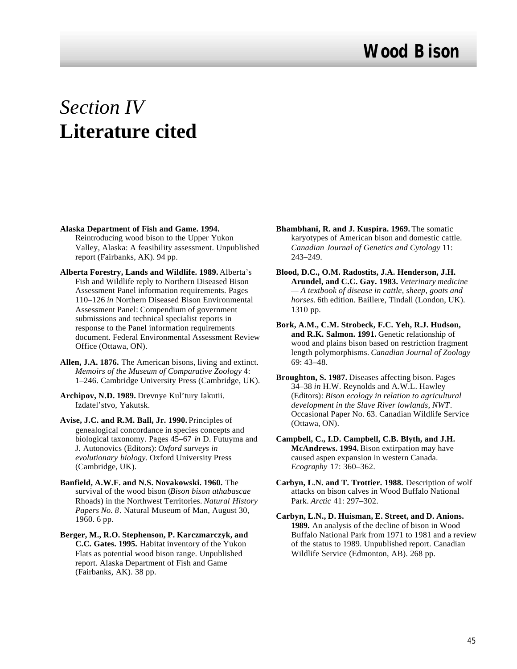# *Section IV* **Literature cited**

- **Alaska Department of Fish and Game. 1994.** Reintroducing wood bison to the Upper Yukon Valley, Alaska: A feasibility assessment. Unpublished report (Fairbanks, AK). 94 pp.
- **Alberta Forestry, Lands and Wildlife. 1989.** Alberta's Fish and Wildlife reply to Northern Diseased Bison Assessment Panel information requirements. Pages 110–126 *in* Northern Diseased Bison Environmental Assessment Panel: Compendium of government submissions and technical specialist reports in response to the Panel information requirements document. Federal Environmental Assessment Review Office (Ottawa, ON).
- **Allen, J.A. 1876.** The American bisons, living and extinct. *Memoirs of the Museum of Comparative Zoology* 4: 1–246. Cambridge University Press (Cambridge, UK).
- **Archipov, N.D. 1989.** Drevnye Kul'tury Iakutii. Izdatel'stvo, Yakutsk.
- **Avise, J.C. and R.M. Ball, Jr. 1990.** Principles of genealogical concordance in species concepts and biological taxonomy. Pages 45–67 *in* D. Futuyma and J. Autonovics (Editors): *Oxford surveys in evolutionary biology*. Oxford University Press (Cambridge, UK).
- **Banfield, A.W.F. and N.S. Novakowski. 1960.** The survival of the wood bison (*Bison bison athabascae* Rhoads) in the Northwest Territories. *Natural History Papers No. 8*. Natural Museum of Man, August 30, 1960. 6 pp.
- **Berger, M., R.O. Stephenson, P. Karczmarczyk, and C.C. Gates. 1995.** Habitat inventory of the Yukon Flats as potential wood bison range. Unpublished report. Alaska Department of Fish and Game (Fairbanks, AK). 38 pp.
- **Bhambhani, R. and J. Kuspira. 1969.** The somatic karyotypes of American bison and domestic cattle. *Canadian Journal of Genetics and Cytology* 11: 243–249.
- **Blood, D.C., O.M. Radostits, J.A. Henderson, J.H. Arundel, and C.C. Gay. 1983.** *Veterinary medicine — A textbook of disease in cattle, sheep, goats and horses.* 6th edition. Baillere, Tindall (London, UK). 1310 pp.
- **Bork, A.M., C.M. Strobeck, F.C. Yeh, R.J. Hudson, and R.K. Salmon. 1991.** Genetic relationship of wood and plains bison based on restriction fragment length polymorphisms. *Canadian Journal of Zoology* 69: 43–48.
- **Broughton, S. 1987.** Diseases affecting bison. Pages 34–38 *in* H.W. Reynolds and A.W.L. Hawley (Editors): *Bison ecology in relation to agricultural development in the Slave River lowlands, NWT*. Occasional Paper No. 63. Canadian Wildlife Service (Ottawa, ON).
- **Campbell, C., I.D. Campbell, C.B. Blyth, and J.H. McAndrews. 1994.** Bison extirpation may have caused aspen expansion in western Canada. *Ecography* 17: 360–362.
- **Carbyn, L.N. and T. Trottier. 1988.** Description of wolf attacks on bison calves in Wood Buffalo National Park. *Arctic* 41: 297–302.
- **Carbyn, L.N., D. Huisman, E. Street, and D. Anions. 1989.** An analysis of the decline of bison in Wood Buffalo National Park from 1971 to 1981 and a review of the status to 1989. Unpublished report. Canadian Wildlife Service (Edmonton, AB). 268 pp.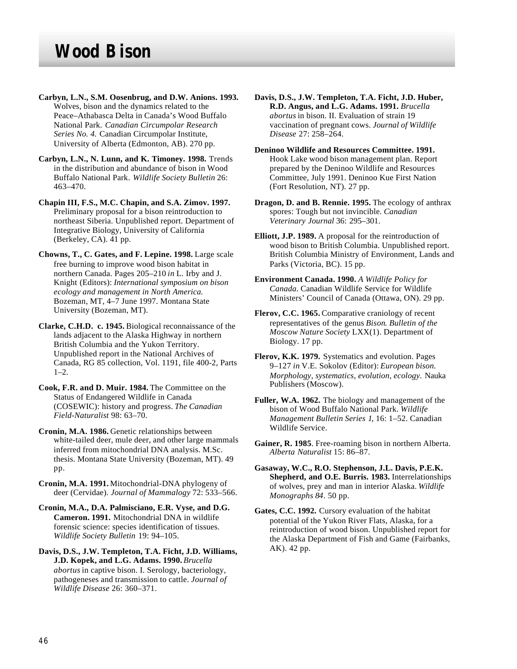- **Carbyn, L.N., S.M. Oosenbrug, and D.W. Anions. 1993.** Wolves, bison and the dynamics related to the Peace–Athabasca Delta in Canada's Wood Buffalo National Park. *Canadian Circumpolar Research Series No. 4.* Canadian Circumpolar Institute, University of Alberta (Edmonton, AB). 270 pp.
- **Carbyn, L.N., N. Lunn, and K. Timoney. 1998.** Trends in the distribution and abundance of bison in Wood Buffalo National Park. *Wildlife Society Bulletin* 26: 463–470.
- **Chapin III, F.S., M.C. Chapin, and S.A. Zimov. 1997.** Preliminary proposal for a bison reintroduction to northeast Siberia. Unpublished report. Department of Integrative Biology, University of California (Berkeley, CA). 41 pp.
- **Chowns, T., C. Gates, and F. Lepine. 1998.** Large scale free burning to improve wood bison habitat in northern Canada. Pages 205–210 *in* L. Irby and J. Knight (Editors): *International symposium on bison ecology and management in North America.* Bozeman, MT, 4–7 June 1997. Montana State University (Bozeman, MT).
- **Clarke, C.H.D. c. 1945.** Biological reconnaissance of the lands adjacent to the Alaska Highway in northern British Columbia and the Yukon Territory. Unpublished report in the National Archives of Canada, RG 85 collection, Vol. 1191, file 400-2, Parts  $1-2.$
- **Cook, F.R. and D. Muir. 1984.** The Committee on the Status of Endangered Wildlife in Canada (COSEWIC): history and progress. *The Canadian Field-Naturalist* 98: 63–70.
- **Cronin, M.A. 1986.** Genetic relationships between white-tailed deer, mule deer, and other large mammals inferred from mitochondrial DNA analysis. M.Sc. thesis. Montana State University (Bozeman, MT). 49 pp.
- **Cronin, M.A. 1991.** Mitochondrial-DNA phylogeny of deer (Cervidae). *Journal of Mammalogy* 72: 533–566.
- **Cronin, M.A., D.A. Palmisciano, E.R. Vyse, and D.G. Cameron. 1991.** Mitochondrial DNA in wildlife forensic science: species identification of tissues. *Wildlife Society Bulletin* 19: 94–105.
- **Davis, D.S., J.W. Templeton, T.A. Ficht, J.D. Williams, J.D. Kopek, and L.G. Adams. 1990.** *Brucella abortus* in captive bison. I. Serology, bacteriology, pathogeneses and transmission to cattle. *Journal of Wildlife Disease* 26: 360–371.
- **Davis, D.S., J.W. Templeton, T.A. Ficht, J.D. Huber, R.D. Angus, and L.G. Adams. 1991.** *Brucella abortus* in bison. II. Evaluation of strain 19 vaccination of pregnant cows. *Journal of Wildlife Disease* 27: 258–264.
- **Deninoo Wildlife and Resources Committee. 1991.** Hook Lake wood bison management plan. Report prepared by the Deninoo Wildlife and Resources Committee, July 1991. Deninoo Kue First Nation (Fort Resolution, NT). 27 pp.
- **Dragon, D. and B. Rennie. 1995.** The ecology of anthrax spores: Tough but not invincible*. Canadian Veterinary Journal* 36: 295–301.
- **Elliott, J.P. 1989.** A proposal for the reintroduction of wood bison to British Columbia. Unpublished report. British Columbia Ministry of Environment, Lands and Parks (Victoria, BC). 15 pp.
- **Environment Canada. 1990.** *A Wildlife Policy for Canada.* Canadian Wildlife Service for Wildlife Ministers' Council of Canada (Ottawa, ON). 29 pp.
- **Flerov, C.C. 1965.** Comparative craniology of recent representatives of the genus *Bison*. *Bulletin of the Moscow Nature Society* LXX(1). Department of Biology. 17 pp.
- **Flerov, K.K. 1979.** Systematics and evolution. Pages 9–127 *in* V.E. Sokolov (Editor): *European bison. Morphology, systematics, evolution, ecology.* Nauka Publishers (Moscow).
- **Fuller, W.A. 1962.** The biology and management of the bison of Wood Buffalo National Park. *Wildlife Management Bulletin Series 1*, 16: 1–52. Canadian Wildlife Service.
- **Gainer, R. 1985**. Free-roaming bison in northern Alberta. *Alberta Naturalist* 15: 86–87.
- **Gasaway, W.C., R.O. Stephenson, J.L. Davis, P.E.K. Shepherd, and O.E. Burris. 1983.** Interrelationships of wolves, prey and man in interior Alaska. *Wildlife Monographs 84*. 50 pp.
- **Gates, C.C. 1992.** Cursory evaluation of the habitat potential of the Yukon River Flats, Alaska, for a reintroduction of wood bison. Unpublished report for the Alaska Department of Fish and Game (Fairbanks, AK). 42 pp.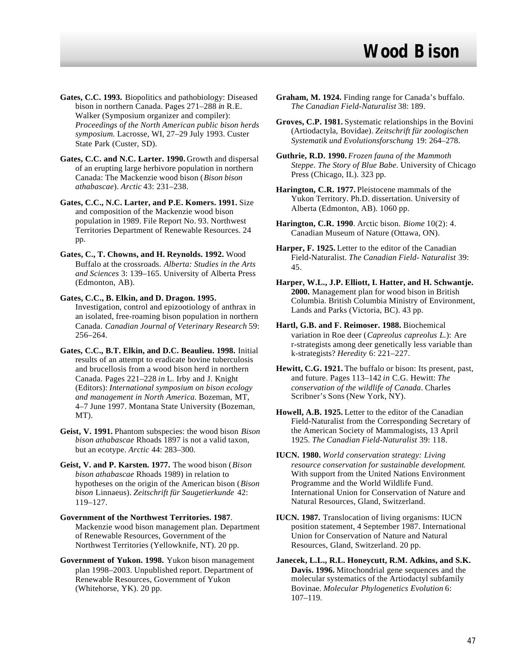- **Gates, C.C. 1993.** Biopolitics and pathobiology: Diseased bison in northern Canada. Pages 271–288 *in* R.E. Walker (Symposium organizer and compiler): *Proceedings of the North American public bison herds symposium.* Lacrosse, WI, 27–29 July 1993. Custer State Park (Custer, SD).
- **Gates, C.C. and N.C. Larter. 1990.** Growth and dispersal of an erupting large herbivore population in northern Canada: The Mackenzie wood bison (*Bison bison athabascae*). *Arctic* 43: 231–238.
- **Gates, C.C., N.C. Larter, and P.E. Komers. 1991.** Size and composition of the Mackenzie wood bison population in 1989. File Report No. 93. Northwest Territories Department of Renewable Resources. 24 pp.
- **Gates, C., T. Chowns, and H. Reynolds. 1992.** Wood Buffalo at the crossroads. *Alberta: Studies in the Arts and Sciences* 3: 139–165. University of Alberta Press (Edmonton, AB).
- **Gates, C.C., B. Elkin, and D. Dragon. 1995.** Investigation, control and epizootiology of anthrax in an isolated, free-roaming bison population in northern Canada. *Canadian Journal of Veterinary Research* 59: 256–264.
- **Gates, C.C., B.T. Elkin, and D.C. Beaulieu. 1998.** Initial results of an attempt to eradicate bovine tuberculosis and brucellosis from a wood bison herd in northern Canada. Pages 221–228 *in* L. Irby and J. Knight (Editors): *International symposium on bison ecology and management in North America.* Bozeman, MT, 4–7 June 1997. Montana State University (Bozeman, MT).
- **Geist, V. 1991.** Phantom subspecies: the wood bison *Bison bison athabascae* Rhoads 1897 is not a valid taxon, but an ecotype. *Arctic* 44: 283–300.
- **Geist, V. and P. Karsten. 1977.** The wood bison (*Bison bison athabascae* Rhoads 1989) in relation to hypotheses on the origin of the American bison (*Bison bison* Linnaeus). *Zeitschrift für Saugetierkunde* 42: 119–127.
- **Government of the Northwest Territories. 1987**. Mackenzie wood bison management plan. Department of Renewable Resources, Government of the Northwest Territories (Yellowknife, NT). 20 pp.
- **Government of Yukon. 1998.** Yukon bison management plan 1998–2003. Unpublished report. Department of Renewable Resources, Government of Yukon (Whitehorse, YK). 20 pp.
- **Graham, M. 1924.** Finding range for Canada's buffalo. *The Canadian Field-Naturalist* 38: 189.
- **Groves, C.P. 1981.** Systematic relationships in the Bovini (Artiodactyla, Bovidae). *Zeitschrift für zoologischen Systematik und Evolutionsforschung* 19: 264–278.
- **Guthrie, R.D. 1990.** *Frozen fauna of the Mammoth Steppe. The Story of Blue Babe*. University of Chicago Press (Chicago, IL). 323 pp.
- **Harington, C.R. 1977.** Pleistocene mammals of the Yukon Territory. Ph.D. dissertation. University of Alberta (Edmonton, AB). 1060 pp.
- **Harington, C.R. 1990**. Arctic bison. *Biome* 10(2): 4. Canadian Museum of Nature (Ottawa, ON).
- **Harper, F. 1925.** Letter to the editor of the Canadian Field-Naturalist. *The Canadian Field- Naturalist* 39: 45.
- **Harper, W.L., J.P. Elliott, I. Hatter, and H. Schwantje. 2000.** Management plan for wood bison in British Columbia. British Columbia Ministry of Environment, Lands and Parks (Victoria, BC). 43 pp.
- **Hartl, G.B. and F. Reimoser. 1988.** Biochemical variation in Roe deer (*Capreolus capreolus L.*): Are r-strategists among deer genetically less variable than k-strategists? *Heredity* 6: 221–227.
- **Hewitt, C.G. 1921.** The buffalo or bison: Its present, past, and future. Pages 113–142 *in* C.G. Hewitt: *The conservation of the wildlife of Canada*. Charles Scribner's Sons (New York, NY).
- **Howell, A.B. 1925.** Letter to the editor of the Canadian Field-Naturalist from the Corresponding Secretary of the American Society of Mammalogists, 13 April 1925. *The Canadian Field-Naturalist* 39: 118.
- **IUCN. 1980.** *World conservation strategy: Living resource conservation for sustainable development*. With support from the United Nations Environment Programme and the World Wildlife Fund. International Union for Conservation of Nature and Natural Resources, Gland, Switzerland.
- **IUCN. 1987.** Translocation of living organisms: IUCN position statement, 4 September 1987. International Union for Conservation of Nature and Natural Resources, Gland, Switzerland. 20 pp.
- **Janecek, L.L., R.L. Honeycutt, R.M. Adkins, and S.K. Davis. 1996.** Mitochondrial gene sequences and the molecular systematics of the Artiodactyl subfamily Bovinae. *Molecular Phylogenetics Evolution* 6: 107–119.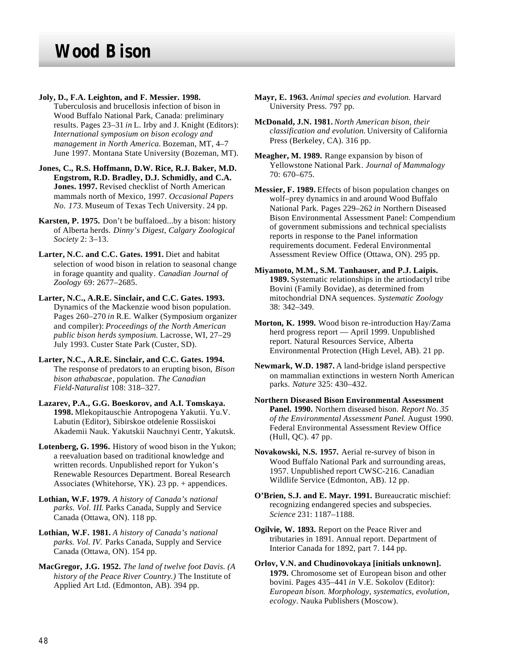**Joly, D., F.A. Leighton, and F. Messier. 1998.** Tuberculosis and brucellosis infection of bison in Wood Buffalo National Park, Canada: preliminary results. Pages 23–31 *in* L. Irby and J. Knight (Editors): *International symposium on bison ecology and management in North America.* Bozeman, MT, 4–7 June 1997. Montana State University (Bozeman, MT).

**Jones, C., R.S. Hoffmann, D.W. Rice, R.J. Baker, M.D. Engstrom, R.D. Bradley, D.J. Schmidly, and C.A. Jones. 1997.** Revised checklist of North American mammals north of Mexico, 1997. *Occasional Papers No. 173.* Museum of Texas Tech University. 24 pp.

**Karsten, P. 1975.** Don't be buffaloed...by a bison: history of Alberta herds. *Dinny's Digest, Calgary Zoological Society* 2: 3–13.

**Larter, N.C. and C.C. Gates. 1991.** Diet and habitat selection of wood bison in relation to seasonal change in forage quantity and quality*. Canadian Journal of Zoology* 69: 2677–2685.

**Larter, N.C., A.R.E. Sinclair, and C.C. Gates. 1993.** Dynamics of the Mackenzie wood bison population. Pages 260–270 *in* R.E. Walker (Symposium organizer and compiler): *Proceedings of the North American public bison herds symposium.* Lacrosse, WI, 27–29 July 1993. Custer State Park (Custer, SD).

**Larter, N.C., A.R.E. Sinclair, and C.C. Gates. 1994.** The response of predators to an erupting bison, *Bison bison athabascae*, population. *The Canadian Field-Naturalist* 108: 318–327.

**Lazarev, P.A., G.G. Boeskorov, and A.I. Tomskaya. 1998.** Mlekopitauschie Antropogena Yakutii. Yu.V. Labutin (Editor), Sibirskoe otdelenie Rossiiskoi Akademii Nauk. Yakutskii Nauchnyi Centr, Yakutsk.

**Lotenberg, G. 1996.** History of wood bison in the Yukon; a reevaluation based on traditional knowledge and written records. Unpublished report for Yukon's Renewable Resources Department. Boreal Research Associates (Whitehorse, YK). 23 pp. + appendices.

**Lothian, W.F. 1979.** *A history of Canada's national parks. Vol. III*. Parks Canada, Supply and Service Canada (Ottawa, ON). 118 pp.

**Lothian, W.F. 1981.** *A history of Canada's national parks. Vol. IV.* Parks Canada, Supply and Service Canada (Ottawa, ON). 154 pp.

**MacGregor, J.G. 1952.** *The land of twelve foot Davis. (A history of the Peace River Country.)* The Institute of Applied Art Ltd. (Edmonton, AB). 394 pp.

- **Mayr, E. 1963.** *Animal species and evolution.* Harvard University Press. 797 pp.
- **McDonald, J.N. 1981.** *North American bison, their classification and evolution.* University of California Press (Berkeley, CA). 316 pp.
- **Meagher, M. 1989.** Range expansion by bison of Yellowstone National Park*. Journal of Mammalogy* 70: 670–675.

**Messier, F. 1989.** Effects of bison population changes on wolf–prey dynamics in and around Wood Buffalo National Park. Pages 229–262 *in* Northern Diseased Bison Environmental Assessment Panel: Compendium of government submissions and technical specialists reports in response to the Panel information requirements document. Federal Environmental Assessment Review Office (Ottawa, ON). 295 pp.

**Miyamoto, M.M., S.M. Tanhauser, and P.J. Laipis. 1989.** Systematic relationships in the artiodactyl tribe Bovini (Family Bovidae), as determined from mitochondrial DNA sequences. *Systematic Zoology* 38: 342–349.

**Morton, K. 1999.** Wood bison re-introduction Hay/Zama herd progress report — April 1999. Unpublished report. Natural Resources Service, Alberta Environmental Protection (High Level, AB). 21 pp.

**Newmark, W.D. 1987.** A land-bridge island perspective on mammalian extinctions in western North American parks. *Nature* 325: 430–432.

**Northern Diseased Bison Environmental Assessment Panel. 1990.** Northern diseased bison. *Report No. 35 of the Environmental Assessment Panel*. August 1990. Federal Environmental Assessment Review Office (Hull, QC). 47 pp.

**Novakowski, N.S. 1957.** Aerial re-survey of bison in Wood Buffalo National Park and surrounding areas, 1957. Unpublished report CWSC-216. Canadian Wildlife Service (Edmonton, AB). 12 pp.

**O'Brien, S.J. and E. Mayr. 1991.** Bureaucratic mischief: recognizing endangered species and subspecies. *Science* 231: 1187–1188.

**Ogilvie, W. 1893.** Report on the Peace River and tributaries in 1891. Annual report. Department of Interior Canada for 1892, part 7. 144 pp.

**Orlov, V.N. and Chudinovokaya [initials unknown]. 1979.** Chromosome set of European bison and other bovini. Pages 435–441 *in* V.E. Sokolov (Editor): *European bison. Morphology, systematics, evolution, ecology*. Nauka Publishers (Moscow).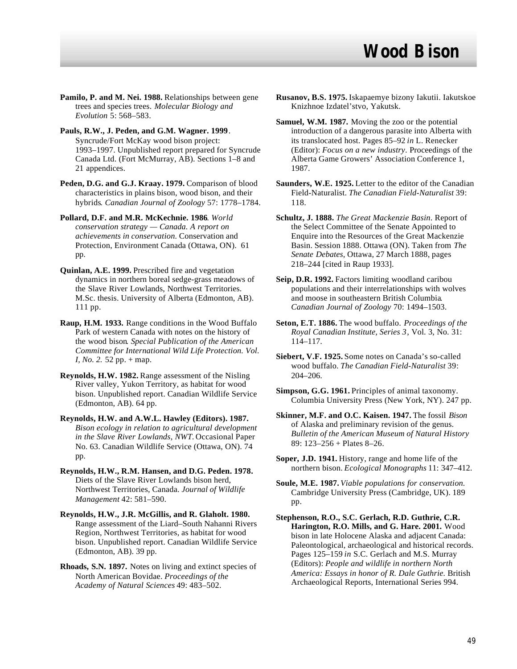- **Pamilo, P. and M. Nei. 1988.** Relationships between gene trees and species trees. *Molecular Biology and Evolution* 5: 568–583.
- **Pauls, R.W., J. Peden, and G.M. Wagner. 1999**. Syncrude/Fort McKay wood bison project: 1993–1997. Unpublished report prepared for Syncrude Canada Ltd. (Fort McMurray, AB). Sections 1–8 and 21 appendices.
- **Peden, D.G. and G.J. Kraay. 1979.** Comparison of blood characteristics in plains bison, wood bison, and their hybrids*. Canadian Journal of Zoology* 57: 1778–1784.
- **Pollard, D.F. and M.R. McKechnie. 1986**. *World conservation strategy — Canada. A report on achievements in conservation.* Conservation and Protection, Environment Canada (Ottawa, ON). 61 pp.
- **Quinlan, A.E. 1999.** Prescribed fire and vegetation dynamics in northern boreal sedge-grass meadows of the Slave River Lowlands, Northwest Territories. M.Sc. thesis. University of Alberta (Edmonton, AB). 111 pp.
- **Raup, H.M. 1933.** Range conditions in the Wood Buffalo Park of western Canada with notes on the history of the wood bison*. Special Publication of the American Committee for International Wild Life Protection. Vol. I, No.* 2. 52 pp. + map.
- **Reynolds, H.W. 1982.** Range assessment of the Nisling River valley, Yukon Territory, as habitat for wood bison. Unpublished report. Canadian Wildlife Service (Edmonton, AB). 64 pp.
- **Reynolds, H.W. and A.W.L. Hawley (Editors). 1987.** *Bison ecology in relation to agricultural development in the Slave River Lowlands, NWT.* Occasional Paper No. 63. Canadian Wildlife Service (Ottawa, ON). 74 pp.
- **Reynolds, H.W., R.M. Hansen, and D.G. Peden. 1978.** Diets of the Slave River Lowlands bison herd, Northwest Territories, Canada. *Journal of Wildlife Management* 42: 581–590.
- **Reynolds, H.W., J.R. McGillis, and R. Glaholt. 1980.** Range assessment of the Liard–South Nahanni Rivers Region, Northwest Territories, as habitat for wood bison. Unpublished report. Canadian Wildlife Service (Edmonton, AB). 39 pp.
- **Rhoads, S.N. 1897.** Notes on living and extinct species of North American Bovidae. *Proceedings of the Academy of Natural Sciences* 49: 483–502.
- **Rusanov, B.S. 1975.** Iskapaemye bizony Iakutii. Iakutskoe Knizhnoe Izdatel'stvo, Yakutsk.
- **Samuel, W.M. 1987.** Moving the zoo or the potential introduction of a dangerous parasite into Alberta with its translocated host. Pages 85–92 *in* L. Renecker (Editor): *Focus on a new industry*. Proceedings of the Alberta Game Growers' Association Conference 1, 1987.
- **Saunders, W.E. 1925.** Letter to the editor of the Canadian Field-Naturalist. *The Canadian Field-Naturalist* 39: 118.
- **Schultz, J. 1888.** *The Great Mackenzie Basin*. Report of the Select Committee of the Senate Appointed to Enquire into the Resources of the Great Mackenzie Basin. Session 1888. Ottawa (ON). Taken from *The Senate Debates*, Ottawa, 27 March 1888, pages 218–244 [cited in Raup 1933].
- **Seip, D.R. 1992.** Factors limiting woodland caribou populations and their interrelationships with wolves and moose in southeastern British Columbia*. Canadian Journal of Zoology* 70: 1494–1503.
- **Seton, E.T. 1886.** The wood buffalo. *Proceedings of the Royal Canadian Institute, Series 3*, Vol. 3, No. 31: 114–117.
- **Siebert, V.F. 1925.** Some notes on Canada's so-called wood buffalo. *The Canadian Field-Naturalist* 39: 204–206.
- **Simpson, G.G. 1961.** Principles of animal taxonomy. Columbia University Press (New York, NY). 247 pp.
- **Skinner, M.F. and O.C. Kaisen. 1947.** The fossil *Bison* of Alaska and preliminary revision of the genus. *Bulletin of the American Museum of Natural History* 89: 123–256 + Plates 8–26.
- **Soper, J.D. 1941.** History, range and home life of the northern bison. *Ecological Monographs* 11: 347–412.
- **Soule, M.E. 1987.** *Viable populations for conservation.* Cambridge University Press (Cambridge, UK). 189 pp.
- **Stephenson, R.O., S.C. Gerlach, R.D. Guthrie, C.R. Harington, R.O. Mills, and G. Hare. 2001.** Wood bison in late Holocene Alaska and adjacent Canada: Paleontological, archaeological and historical records. Pages 125–159 *in* S.C. Gerlach and M.S. Murray (Editors): *People and wildlife in northern North America: Essays in honor of R. Dale Guthrie.* British Archaeological Reports, International Series 994.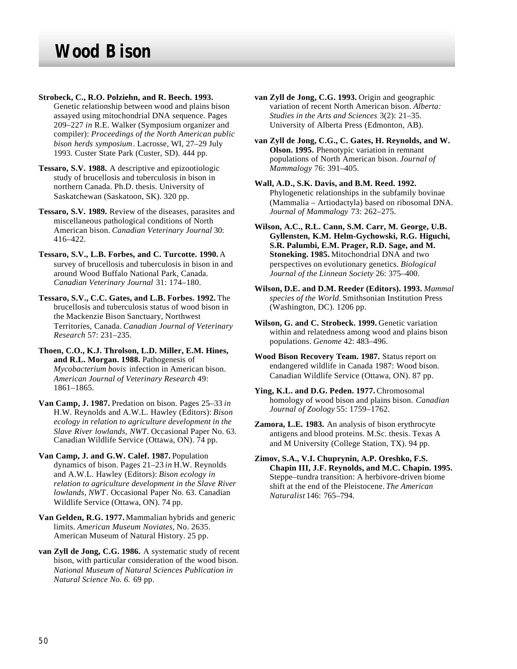- **Strobeck, C., R.O. Polziehn, and R. Beech. 1993.** Genetic relationship between wood and plains bison assayed using mitochondrial DNA sequence. Pages 209–227 *in* R.E. Walker (Symposium organizer and compiler): *Proceedings of the North American public bison herds symposium*. Lacrosse, WI, 27–29 July 1993. Custer State Park (Custer, SD). 444 pp.
- **Tessaro, S.V. 1988.** A descriptive and epizootiologic study of brucellosis and tuberculosis in bison in northern Canada. Ph.D. thesis. University of Saskatchewan (Saskatoon, SK). 320 pp.
- **Tessaro, S.V. 1989.** Review of the diseases, parasites and miscellaneous pathological conditions of North American bison. *Canadian Veterinary Journal* 30: 416–422.
- **Tessaro, S.V., L.B. Forbes, and C. Turcotte. 1990.** A survey of brucellosis and tuberculosis in bison in and around Wood Buffalo National Park, Canada. *Canadian Veterinary Journal* 31: 174–180.
- **Tessaro, S.V., C.C. Gates, and L.B. Forbes. 1992.** The brucellosis and tuberculosis status of wood bison in the Mackenzie Bison Sanctuary, Northwest Territories, Canada. *Canadian Journal of Veterinary Research* 57: 231–235.
- **Thoen, C.O., K.J. Throlson, L.D. Miller, E.M. Hines, and R.L. Morgan. 1988.** Pathogenesis of *Mycobacterium bovis* infection in American bison. *American Journal of Veterinary Research* 49: 1861–1865.
- **Van Camp, J. 1987.** Predation on bison. Pages 25–33 *in* H.W. Reynolds and A.W.L. Hawley (Editors): *Bison ecology in relation to agriculture development in the Slave River lowlands, NWT*. Occasional Paper No. 63. Canadian Wildlife Service (Ottawa, ON). 74 pp.
- **Van Camp, J. and G.W. Calef. 1987.** Population dynamics of bison. Pages 21–23 *in* H.W. Reynolds and A.W.L. Hawley (Editors): *Bison ecology in relation to agriculture development in the Slave River lowlands, NWT*. Occasional Paper No. 63. Canadian Wildlife Service (Ottawa, ON). 74 pp.
- **Van Gelden, R.G. 1977.** Mammalian hybrids and generic limits. *American Museum Noviates,* No. 2635. American Museum of Natural History. 25 pp.
- **van Zyll de Jong, C.G. 1986.** A systematic study of recent bison, with particular consideration of the wood bison. *National Museum of Natural Sciences Publication in Natural Science No. 6.* 69 pp.
- **van Zyll de Jong, C.G. 1993.** Origin and geographic variation of recent North American bison. *Alberta: Studies in the Arts and Sciences* 3(2): 21–35. University of Alberta Press (Edmonton, AB).
- **van Zyll de Jong, C.G., C. Gates, H. Reynolds, and W. Olson. 1995.** Phenotypic variation in remnant populations of North American bison. *Journal of Mammalogy* 76: 391–405.
- **Wall, A.D., S.K. Davis, and B.M. Reed. 1992.** Phylogenetic relationships in the subfamily bovinae (Mammalia – Artiodactyla) based on ribosomal DNA. *Journal of Mammalogy* 73: 262–275.
- **Wilson, A.C., R.L. Cann, S.M. Carr, M. George, U.B. Gyllensten, K.M. Helm-Gychowski, R.G. Higuchi, S.R. Palumbi, E.M. Prager, R.D. Sage, and M. Stoneking. 1985.** Mitochondrial DNA and two perspectives on evolutionary genetics. *Biological Journal of the Linnean Society* 26: 375–400.
- **Wilson, D.E. and D.M. Reeder (Editors). 1993.** *Mammal species of the World.* Smithsonian Institution Press (Washington, DC). 1206 pp.
- **Wilson, G. and C. Strobeck. 1999.** Genetic variation within and relatedness among wood and plains bison populations. *Genome* 42: 483–496.
- **Wood Bison Recovery Team. 1987.** Status report on endangered wildlife in Canada 1987: Wood bison. Canadian Wildlife Service (Ottawa, ON). 87 pp.
- **Ying, K.L. and D.G. Peden. 1977.** Chromosomal homology of wood bison and plains bison. *Canadian Journal of Zoology* 55: 1759–1762.
- **Zamora, L.E. 1983.** An analysis of bison erythrocyte antigens and blood proteins. M.Sc. thesis. Texas A and M University (College Station, TX). 94 pp.
- **Zimov, S.A., V.I. Chuprynin, A.P. Oreshko, F.S. Chapin III, J.F. Reynolds, and M.C. Chapin. 1995.** Steppe–tundra transition: A herbivore-driven biome shift at the end of the Pleistocene. *The American Naturalist* 146: 765–794.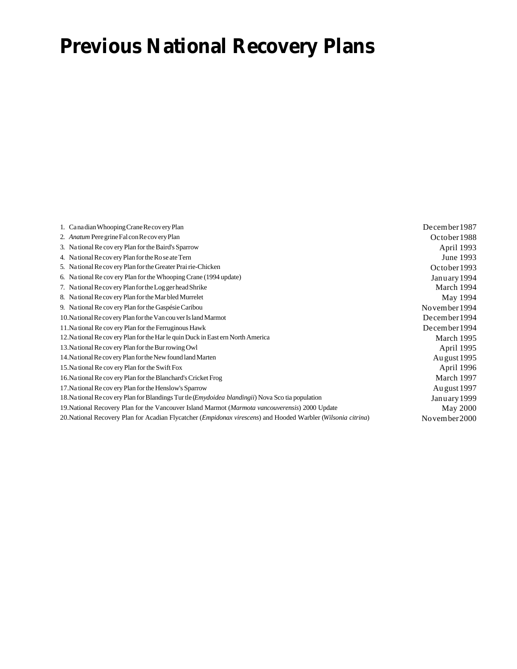# **Previous National Recovery Plans**

| 1. Canadian Whooping Crane Recovery Plan                                                                      | December 1987  |
|---------------------------------------------------------------------------------------------------------------|----------------|
| 2. Anatum Pere grine Fal con Recovery Plan                                                                    | October 1988   |
| 3. National Recovery Plan for the Baird's Sparrow                                                             | April 1993     |
| 4. National Recovery Plan for the Rose ate Tern                                                               | June 1993      |
| 5. National Recovery Plan for the Greater Prairie-Chicken                                                     | October 1993   |
| 6. National Recovery Plan for the Whooping Crane (1994 update)                                                | January 1994   |
| 7. National Recovery Plan for the Log ger head Shrike                                                         | March 1994     |
| 8. National Recovery Plan for the Mar bled Murrelet                                                           | May 1994       |
| 9. Na tional Re covery Plan for the Gaspésie Caribou                                                          | November 1994  |
| 10. National Recovery Plan for the Van couver Island Marmot                                                   | December 1994  |
| 11. Na tional Re covery Plan for the Ferruginous Hawk                                                         | December 1994  |
| 12. Na tional Re covery Plan for the Har le quin Duck in East ern North America                               | March 1995     |
| 13. Na tional Re covery Plan for the Burrowing Owl                                                            | April 1995     |
| 14. Na tional Recovery Plan for the New found land Marten                                                     | Au gust 1995   |
| 15. Na tional Re covery Plan for the Swift Fox                                                                | April 1996     |
| 16. Na tional Re covery Plan for the Blanchard's Cricket Frog                                                 | March 1997     |
| 17. Na tional Re covery Plan for the Henslow's Sparrow                                                        | Au gust 1997   |
| 18. Na tional Re covery Plan for Blandings Tur tle ( <i>Emydoidea blandingii</i> ) Nova Sco tia population    | January 1999   |
| 19. National Recovery Plan for the Vancouver Island Marmot (Marmota vancouverensis) 2000 Update               | May 2000       |
| 20. National Recovery Plan for Acadian Flycatcher (Empidonax virescens) and Hooded Warbler (Wilsonia citrina) | No vember 2000 |